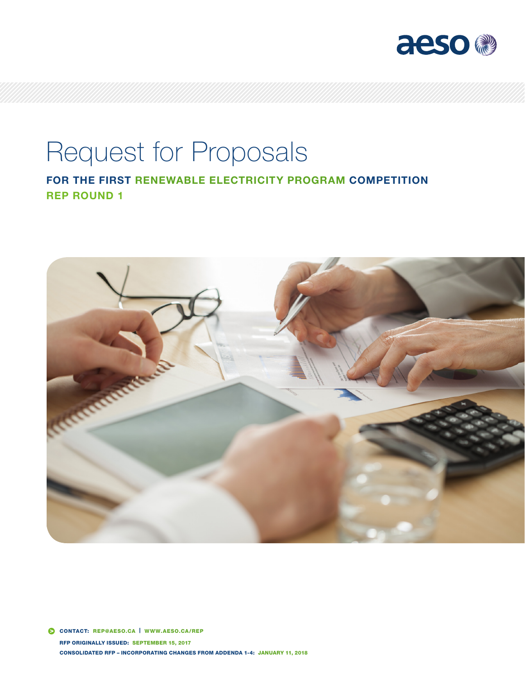

# Request for Proposals

FOR THE FIRST RENEWABLE ELECTRICITY PROGRAM COMPETITION REP ROUND 1

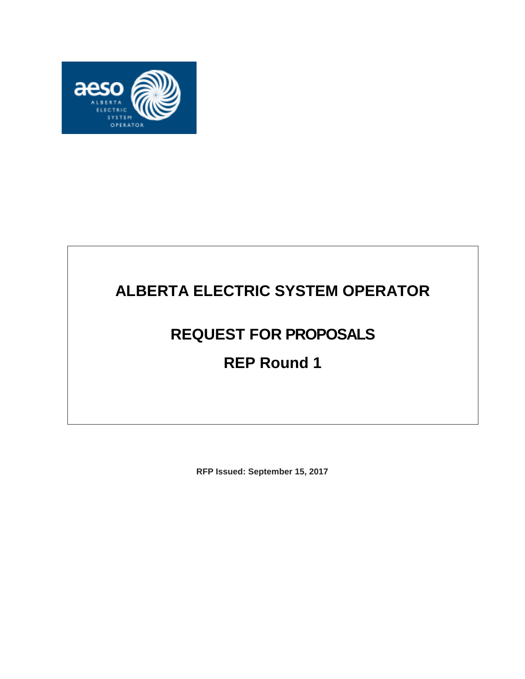

## **ALBERTA ELECTRIC SYSTEM OPERATOR**

## **REQUEST FOR PROPOSALS**

## **REP Round 1**

**RFP Issued: September 15, 2017**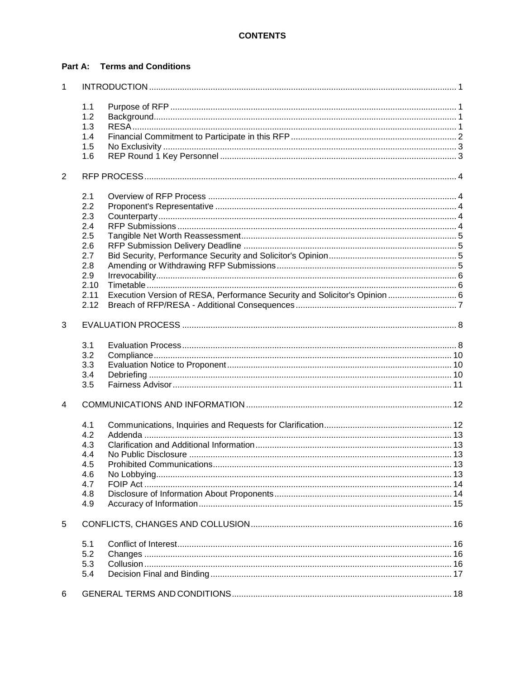### **Part A: Terms and Conditions**

| $\mathbf{1}$   |      |                                                                                                                                                                                                                               |  |
|----------------|------|-------------------------------------------------------------------------------------------------------------------------------------------------------------------------------------------------------------------------------|--|
|                | 1.1  |                                                                                                                                                                                                                               |  |
|                | 1.2  |                                                                                                                                                                                                                               |  |
|                | 1.3  |                                                                                                                                                                                                                               |  |
|                | 1.4  |                                                                                                                                                                                                                               |  |
|                | 1.5  |                                                                                                                                                                                                                               |  |
|                | 1.6  |                                                                                                                                                                                                                               |  |
| $\overline{2}$ |      |                                                                                                                                                                                                                               |  |
|                | 2.1  |                                                                                                                                                                                                                               |  |
|                | 2.2  |                                                                                                                                                                                                                               |  |
|                | 2.3  |                                                                                                                                                                                                                               |  |
|                | 2.4  |                                                                                                                                                                                                                               |  |
|                | 2.5  |                                                                                                                                                                                                                               |  |
|                | 2.6  |                                                                                                                                                                                                                               |  |
|                | 2.7  |                                                                                                                                                                                                                               |  |
|                | 2.8  |                                                                                                                                                                                                                               |  |
|                | 2.9  |                                                                                                                                                                                                                               |  |
|                | 2.10 |                                                                                                                                                                                                                               |  |
|                | 2.11 | Execution Version of RESA, Performance Security and Solicitor's Opinion 6                                                                                                                                                     |  |
|                | 2.12 |                                                                                                                                                                                                                               |  |
|                |      |                                                                                                                                                                                                                               |  |
| 3              |      |                                                                                                                                                                                                                               |  |
|                | 3.1  |                                                                                                                                                                                                                               |  |
|                | 3.2  |                                                                                                                                                                                                                               |  |
|                | 3.3  |                                                                                                                                                                                                                               |  |
|                | 3.4  |                                                                                                                                                                                                                               |  |
|                | 3.5  |                                                                                                                                                                                                                               |  |
| 4              |      |                                                                                                                                                                                                                               |  |
|                | 4.1  |                                                                                                                                                                                                                               |  |
|                | 4.2  |                                                                                                                                                                                                                               |  |
|                | 4.3  |                                                                                                                                                                                                                               |  |
|                | 4.4  |                                                                                                                                                                                                                               |  |
|                | 4.5  | Prohibited Communications and the contract of the contract of the contract of the contract of the contract of the contract of the contract of the contract of the contract of the contract of the contract of the contract of |  |
|                | 4.6  |                                                                                                                                                                                                                               |  |
|                | 4.7  |                                                                                                                                                                                                                               |  |
|                | 4.8  |                                                                                                                                                                                                                               |  |
|                | 4.9  |                                                                                                                                                                                                                               |  |
| 5              |      |                                                                                                                                                                                                                               |  |
|                | 5.1  |                                                                                                                                                                                                                               |  |
|                | 5.2  |                                                                                                                                                                                                                               |  |
|                | 5.3  |                                                                                                                                                                                                                               |  |
|                | 5.4  |                                                                                                                                                                                                                               |  |
|                |      |                                                                                                                                                                                                                               |  |
| 6              |      |                                                                                                                                                                                                                               |  |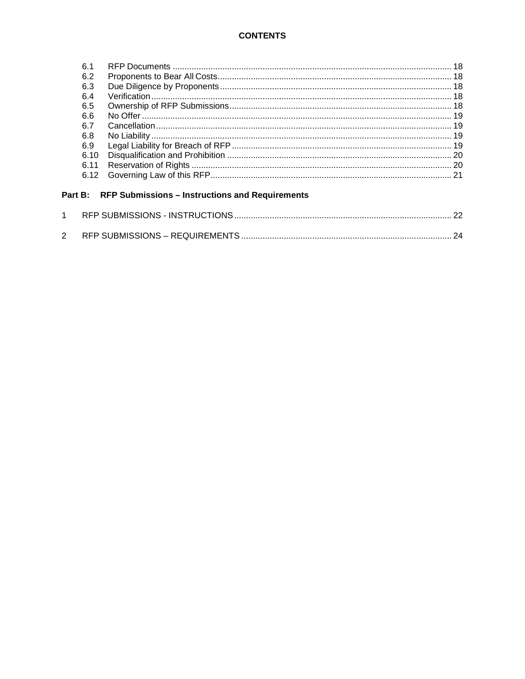#### **CONTENTS**

| 6.1  |  |
|------|--|
| 6.2  |  |
| 6.3  |  |
| 6.4  |  |
| 6.5  |  |
| 6.6  |  |
| 6.7  |  |
| 6.8  |  |
| 6.9  |  |
| 6.10 |  |
| 6.11 |  |
| 6.12 |  |
|      |  |

## Part B: RFP Submissions - Instructions and Requirements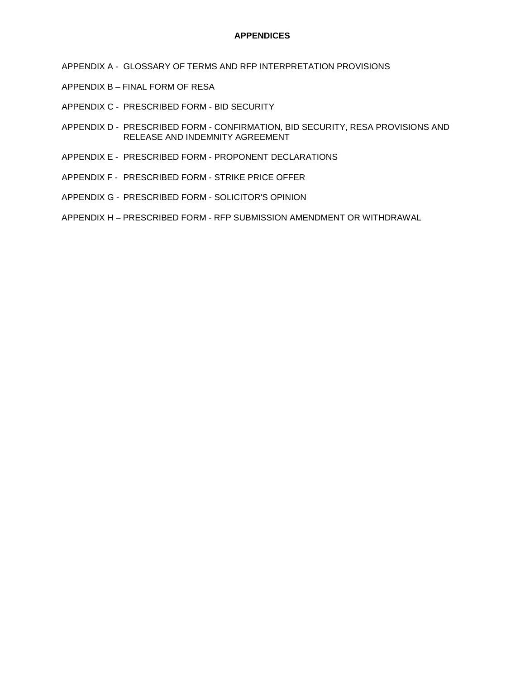#### **APPENDICES**

- APPENDIX A GLOSSARY OF TERMS AND RFP INTERPRETATION PROVISIONS
- APPENDIX B FINAL FORM OF RESA
- APPENDIX C PRESCRIBED FORM BID SECURITY
- APPENDIX D PRESCRIBED FORM CONFIRMATION, BID SECURITY, RESA PROVISIONS AND RELEASE AND INDEMNITY AGREEMENT
- APPENDIX E PRESCRIBED FORM PROPONENT DECLARATIONS
- APPENDIX F PRESCRIBED FORM STRIKE PRICE OFFER
- APPENDIX G PRESCRIBED FORM SOLICITOR'S OPINION
- APPENDIX H PRESCRIBED FORM RFP SUBMISSION AMENDMENT OR WITHDRAWAL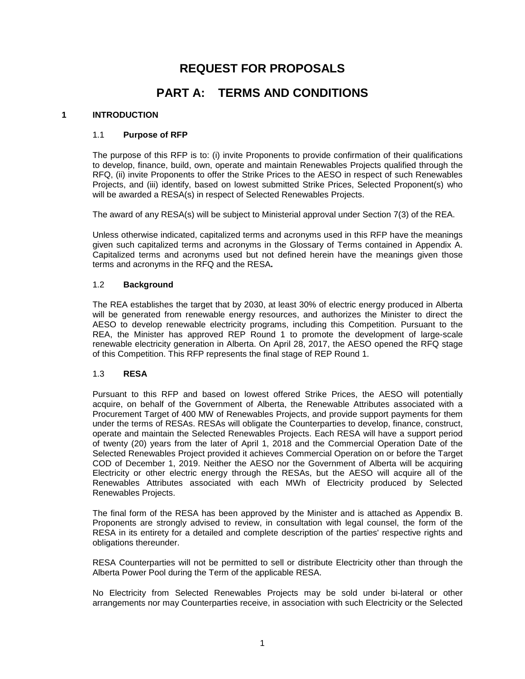## **REQUEST FOR PROPOSALS**

## **PART A: TERMS AND CONDITIONS**

#### <span id="page-5-1"></span><span id="page-5-0"></span>**1 INTRODUCTION**

#### 1.1 **Purpose of RFP**

The purpose of this RFP is to: (i) invite Proponents to provide confirmation of their qualifications to develop, finance, build, own, operate and maintain Renewables Projects qualified through the RFQ, (ii) invite Proponents to offer the Strike Prices to the AESO in respect of such Renewables Projects, and (iii) identify, based on lowest submitted Strike Prices, Selected Proponent(s) who will be awarded a RESA(s) in respect of Selected Renewables Projects.

The award of any RESA(s) will be subject to Ministerial approval under Section 7(3) of the REA.

Unless otherwise indicated, capitalized terms and acronyms used in this RFP have the meanings given such capitalized terms and acronyms in the Glossary of Terms contained in Appendix A. Capitalized terms and acronyms used but not defined herein have the meanings given those terms and acronyms in the RFQ and the RESA**.**

#### <span id="page-5-2"></span>1.2 **Background**

The REA establishes the target that by 2030, at least 30% of electric energy produced in Alberta will be generated from renewable energy resources, and authorizes the Minister to direct the AESO to develop renewable electricity programs, including this Competition. Pursuant to the REA, the Minister has approved REP Round 1 to promote the development of large-scale renewable electricity generation in Alberta. On April 28, 2017, the AESO opened the RFQ stage of this Competition. This RFP represents the final stage of REP Round 1.

#### <span id="page-5-3"></span>1.3 **RESA**

Pursuant to this RFP and based on lowest offered Strike Prices, the AESO will potentially acquire, on behalf of the Government of Alberta, the Renewable Attributes associated with a Procurement Target of 400 MW of Renewables Projects, and provide support payments for them under the terms of RESAs. RESAs will obligate the Counterparties to develop, finance, construct, operate and maintain the Selected Renewables Projects. Each RESA will have a support period of twenty (20) years from the later of April 1, 2018 and the Commercial Operation Date of the Selected Renewables Project provided it achieves Commercial Operation on or before the Target COD of December 1, 2019. Neither the AESO nor the Government of Alberta will be acquiring Electricity or other electric energy through the RESAs, but the AESO will acquire all of the Renewables Attributes associated with each MWh of Electricity produced by Selected Renewables Projects.

The final form of the RESA has been approved by the Minister and is attached as Appendix B. Proponents are strongly advised to review, in consultation with legal counsel, the form of the RESA in its entirety for a detailed and complete description of the parties' respective rights and obligations thereunder.

RESA Counterparties will not be permitted to sell or distribute Electricity other than through the Alberta Power Pool during the Term of the applicable RESA.

No Electricity from Selected Renewables Projects may be sold under bi-lateral or other arrangements nor may Counterparties receive, in association with such Electricity or the Selected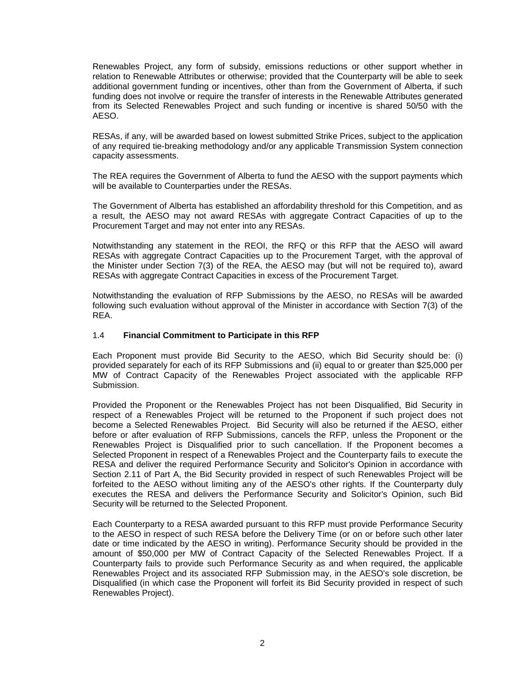Renewables Project, any form of subsidy, emissions reductions or other support whether in relation to Renewable Attributes or otherwise; provided that the Counterparty will be able to seek additional government funding or incentives, other than from the Government of Alberta, if such funding does not involve or require the transfer of interests in the Renewable Attributes generated from its Selected Renewables Project and such funding or incentive is shared 50/50 with the AESO.

RESAs, if any, will be awarded based on lowest submitted Strike Prices, subject to the application of any required tie-breaking methodology and/or any applicable Transmission System connection capacity assessments.

The REA requires the Government of Alberta to fund the AESO with the support payments which will be available to Counterparties under the RESAs.

The Government of Alberta has established an affordability threshold for this Competition, and as a result, the AESO may not award RESAs with aggregate Contract Capacities of up to the Procurement Target and may not enter into any RESAs.

Notwithstanding any statement in the REOI, the RFQ or this RFP that the AESO will award RESAs with aggregate Contract Capacities up to the Procurement Target, with the approval of the Minister under Section 7(3) of the REA, the AESO may (but will not be required to), award RESAs with aggregate Contract Capacities in excess of the Procurement Target.

Notwithstanding the evaluation of RFP Submissions by the AESO, no RESAs will be awarded following such evaluation without approval of the Minister in accordance with Section 7(3) of the REA.

#### <span id="page-6-0"></span>1.4 **Financial Commitment to Participate in this RFP**

Each Proponent must provide Bid Security to the AESO, which Bid Security should be: (i) provided separately for each of its RFP Submissions and (ii) equal to or greater than \$25,000 per MW of Contract Capacity of the Renewables Project associated with the applicable RFP Submission.

Provided the Proponent or the Renewables Project has not been Disqualified, Bid Security in respect of a Renewables Project will be returned to the Proponent if such project does not become a Selected Renewables Project. Bid Security will also be returned if the AESO, either before or after evaluation of RFP Submissions, cancels the RFP, unless the Proponent or the Renewables Project is Disqualified prior to such cancellation. If the Proponent becomes a Selected Proponent in respect of a Renewables Project and the Counterparty fails to execute the RESA and deliver the required Performance Security and Solicitor's Opinion in accordance with Section 2.11 of Part A, the Bid Security provided in respect of such Renewables Project will be forfeited to the AESO without limiting any of the AESO's other rights. If the Counterparty duly executes the RESA and delivers the Performance Security and Solicitor's Opinion, such Bid Security will be returned to the Selected Proponent.

Each Counterparty to a RESA awarded pursuant to this RFP must provide Performance Security to the AESO in respect of such RESA before the Delivery Time (or on or before such other later date or time indicated by the AESO in writing). Performance Security should be provided in the amount of \$50,000 per MW of Contract Capacity of the Selected Renewables Project. If a Counterparty fails to provide such Performance Security as and when required, the applicable Renewables Project and its associated RFP Submission may, in the AESO's sole discretion, be Disqualified (in which case the Proponent will forfeit its Bid Security provided in respect of such Renewables Project).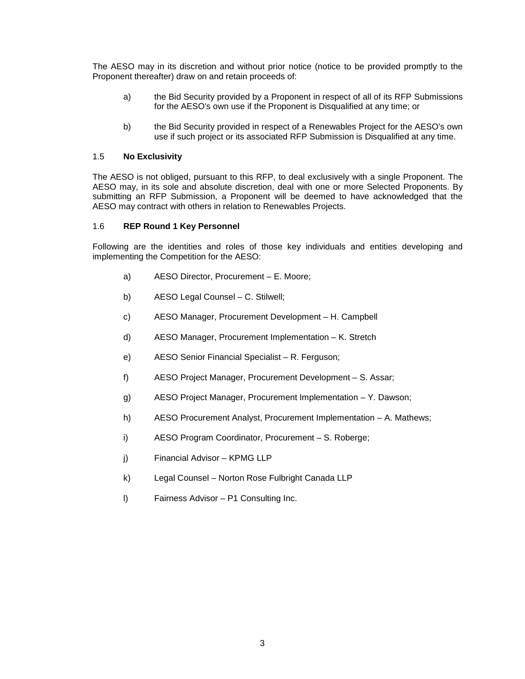The AESO may in its discretion and without prior notice (notice to be provided promptly to the Proponent thereafter) draw on and retain proceeds of:

- a) the Bid Security provided by a Proponent in respect of all of its RFP Submissions for the AESO's own use if the Proponent is Disqualified at any time; or
- b) the Bid Security provided in respect of a Renewables Project for the AESO's own use if such project or its associated RFP Submission is Disqualified at any time.

#### <span id="page-7-0"></span>1.5 **No Exclusivity**

The AESO is not obliged, pursuant to this RFP, to deal exclusively with a single Proponent. The AESO may, in its sole and absolute discretion, deal with one or more Selected Proponents. By submitting an RFP Submission, a Proponent will be deemed to have acknowledged that the AESO may contract with others in relation to Renewables Projects.

#### <span id="page-7-1"></span>1.6 **REP Round 1 Key Personnel**

Following are the identities and roles of those key individuals and entities developing and implementing the Competition for the AESO:

- a) AESO Director, Procurement E. Moore;
- b) AESO Legal Counsel C. Stilwell;
- c) AESO Manager, Procurement Development H. Campbell
- d) AESO Manager, Procurement Implementation K. Stretch
- e) AESO Senior Financial Specialist R. Ferguson;
- f) AESO Project Manager, Procurement Development S. Assar;
- g) AESO Project Manager, Procurement Implementation Y. Dawson;
- h) AESO Procurement Analyst, Procurement Implementation A. Mathews;
- i) AESO Program Coordinator, Procurement S. Roberge;
- j) Financial Advisor KPMG LLP
- k) Legal Counsel Norton Rose Fulbright Canada LLP
- l) Fairness Advisor P1 Consulting Inc.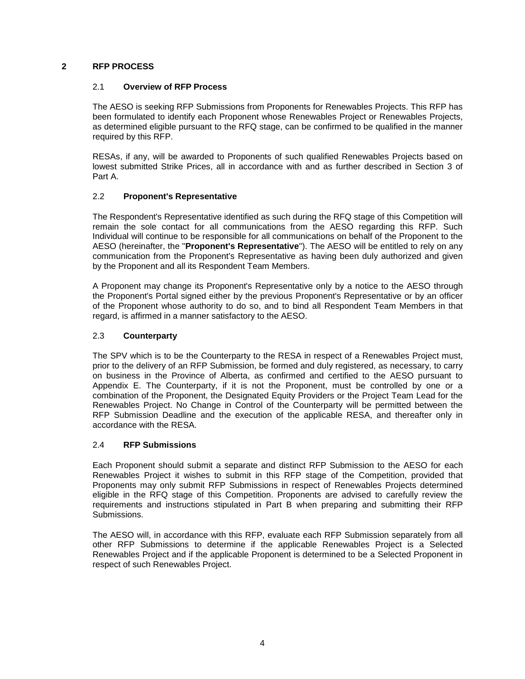#### <span id="page-8-1"></span><span id="page-8-0"></span>**2 RFP PROCESS**

#### 2.1 **Overview of RFP Process**

The AESO is seeking RFP Submissions from Proponents for Renewables Projects. This RFP has been formulated to identify each Proponent whose Renewables Project or Renewables Projects, as determined eligible pursuant to the RFQ stage, can be confirmed to be qualified in the manner required by this RFP.

RESAs, if any, will be awarded to Proponents of such qualified Renewables Projects based on lowest submitted Strike Prices, all in accordance with and as further described in Section 3 of Part A.

#### <span id="page-8-2"></span>2.2 **Proponent's Representative**

The Respondent's Representative identified as such during the RFQ stage of this Competition will remain the sole contact for all communications from the AESO regarding this RFP. Such Individual will continue to be responsible for all communications on behalf of the Proponent to the AESO (hereinafter, the "**Proponent's Representative**"). The AESO will be entitled to rely on any communication from the Proponent's Representative as having been duly authorized and given by the Proponent and all its Respondent Team Members.

A Proponent may change its Proponent's Representative only by a notice to the AESO through the Proponent's Portal signed either by the previous Proponent's Representative or by an officer of the Proponent whose authority to do so, and to bind all Respondent Team Members in that regard, is affirmed in a manner satisfactory to the AESO.

#### <span id="page-8-3"></span>2.3 **Counterparty**

The SPV which is to be the Counterparty to the RESA in respect of a Renewables Project must, prior to the delivery of an RFP Submission, be formed and duly registered, as necessary, to carry on business in the Province of Alberta, as confirmed and certified to the AESO pursuant to Appendix E. The Counterparty, if it is not the Proponent, must be controlled by one or a combination of the Proponent, the Designated Equity Providers or the Project Team Lead for the Renewables Project. No Change in Control of the Counterparty will be permitted between the RFP Submission Deadline and the execution of the applicable RESA, and thereafter only in accordance with the RESA.

#### <span id="page-8-4"></span>2.4 **RFP Submissions**

Each Proponent should submit a separate and distinct RFP Submission to the AESO for each Renewables Project it wishes to submit in this RFP stage of the Competition, provided that Proponents may only submit RFP Submissions in respect of Renewables Projects determined eligible in the RFQ stage of this Competition. Proponents are advised to carefully review the requirements and instructions stipulated in Part B when preparing and submitting their RFP Submissions.

The AESO will, in accordance with this RFP, evaluate each RFP Submission separately from all other RFP Submissions to determine if the applicable Renewables Project is a Selected Renewables Project and if the applicable Proponent is determined to be a Selected Proponent in respect of such Renewables Project.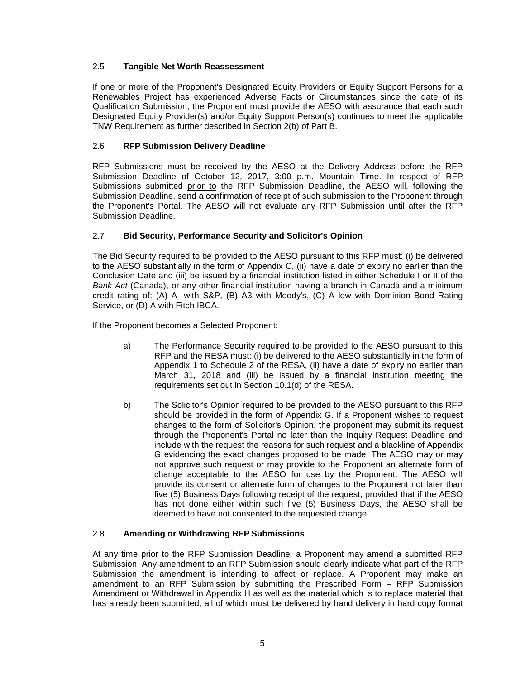#### <span id="page-9-0"></span>2.5 **Tangible Net Worth Reassessment**

If one or more of the Proponent's Designated Equity Providers or Equity Support Persons for a Renewables Project has experienced Adverse Facts or Circumstances since the date of its Qualification Submission, the Proponent must provide the AESO with assurance that each such Designated Equity Provider(s) and/or Equity Support Person(s) continues to meet the applicable TNW Requirement as further described in Section 2(b) of Part B.

### <span id="page-9-1"></span>2.6 **RFP Submission Delivery Deadline**

RFP Submissions must be received by the AESO at the Delivery Address before the RFP Submission Deadline of October 12, 2017, 3:00 p.m. Mountain Time. In respect of RFP Submissions submitted prior to the RFP Submission Deadline, the AESO will, following the Submission Deadline, send a confirmation of receipt of such submission to the Proponent through the Proponent's Portal. The AESO will not evaluate any RFP Submission until after the RFP Submission Deadline.

#### <span id="page-9-2"></span>2.7 **Bid Security, Performance Security and Solicitor's Opinion**

The Bid Security required to be provided to the AESO pursuant to this RFP must: (i) be delivered to the AESO substantially in the form of Appendix C, (ii) have a date of expiry no earlier than the Conclusion Date and (iii) be issued by a financial institution listed in either Schedule I or II of the *Bank Act* (Canada), or any other financial institution having a branch in Canada and a minimum credit rating of: (A) A- with S&P, (B) A3 with Moody's, (C) A low with Dominion Bond Rating Service, or (D) A with Fitch IBCA.

If the Proponent becomes a Selected Proponent:

- a) The Performance Security required to be provided to the AESO pursuant to this RFP and the RESA must: (i) be delivered to the AESO substantially in the form of Appendix 1 to Schedule 2 of the RESA, (ii) have a date of expiry no earlier than March 31, 2018 and (iii) be issued by a financial institution meeting the requirements set out in Section 10.1(d) of the RESA.
- b) The Solicitor's Opinion required to be provided to the AESO pursuant to this RFP should be provided in the form of Appendix G. If a Proponent wishes to request changes to the form of Solicitor's Opinion, the proponent may submit its request through the Proponent's Portal no later than the Inquiry Request Deadline and include with the request the reasons for such request and a blackline of Appendix G evidencing the exact changes proposed to be made. The AESO may or may not approve such request or may provide to the Proponent an alternate form of change acceptable to the AESO for use by the Proponent. The AESO will provide its consent or alternate form of changes to the Proponent not later than five (5) Business Days following receipt of the request; provided that if the AESO has not done either within such five (5) Business Days, the AESO shall be deemed to have not consented to the requested change.

#### <span id="page-9-3"></span>2.8 **Amending or Withdrawing RFP Submissions**

At any time prior to the RFP Submission Deadline, a Proponent may amend a submitted RFP Submission. Any amendment to an RFP Submission should clearly indicate what part of the RFP Submission the amendment is intending to affect or replace. A Proponent may make an amendment to an RFP Submission by submitting the Prescribed Form – RFP Submission Amendment or Withdrawal in Appendix H as well as the material which is to replace material that has already been submitted, all of which must be delivered by hand delivery in hard copy format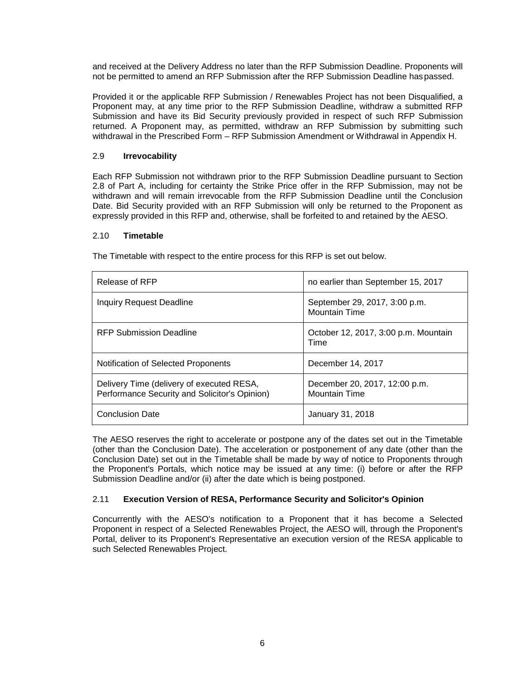and received at the Delivery Address no later than the RFP Submission Deadline. Proponents will not be permitted to amend an RFP Submission after the RFP Submission Deadline haspassed.

Provided it or the applicable RFP Submission / Renewables Project has not been Disqualified, a Proponent may, at any time prior to the RFP Submission Deadline, withdraw a submitted RFP Submission and have its Bid Security previously provided in respect of such RFP Submission returned. A Proponent may, as permitted, withdraw an RFP Submission by submitting such withdrawal in the Prescribed Form – RFP Submission Amendment or Withdrawal in Appendix H.

#### <span id="page-10-0"></span>2.9 **Irrevocability**

Each RFP Submission not withdrawn prior to the RFP Submission Deadline pursuant to Section 2.8 of Part A, including for certainty the Strike Price offer in the RFP Submission, may not be withdrawn and will remain irrevocable from the RFP Submission Deadline until the Conclusion Date. Bid Security provided with an RFP Submission will only be returned to the Proponent as expressly provided in this RFP and, otherwise, shall be forfeited to and retained by the AESO.

#### <span id="page-10-1"></span>2.10 **Timetable**

The Timetable with respect to the entire process for this RFP is set out below.

| Release of RFP                                                                             | no earlier than September 15, 2017                    |
|--------------------------------------------------------------------------------------------|-------------------------------------------------------|
| Inquiry Request Deadline                                                                   | September 29, 2017, 3:00 p.m.<br><b>Mountain Time</b> |
| RFP Submission Deadline                                                                    | October 12, 2017, 3:00 p.m. Mountain<br>Time          |
| Notification of Selected Proponents                                                        | December 14, 2017                                     |
| Delivery Time (delivery of executed RESA,<br>Performance Security and Solicitor's Opinion) | December 20, 2017, 12:00 p.m.<br><b>Mountain Time</b> |
| <b>Conclusion Date</b>                                                                     | January 31, 2018                                      |

The AESO reserves the right to accelerate or postpone any of the dates set out in the Timetable (other than the Conclusion Date). The acceleration or postponement of any date (other than the Conclusion Date) set out in the Timetable shall be made by way of notice to Proponents through the Proponent's Portals, which notice may be issued at any time: (i) before or after the RFP Submission Deadline and/or (ii) after the date which is being postponed.

#### <span id="page-10-2"></span>2.11 **Execution Version of RESA, Performance Security and Solicitor's Opinion**

Concurrently with the AESO's notification to a Proponent that it has become a Selected Proponent in respect of a Selected Renewables Project, the AESO will, through the Proponent's Portal, deliver to its Proponent's Representative an execution version of the RESA applicable to such Selected Renewables Project.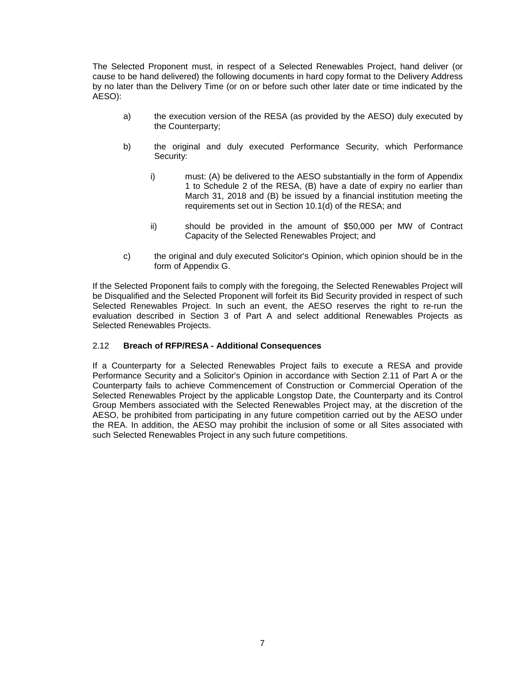The Selected Proponent must, in respect of a Selected Renewables Project, hand deliver (or cause to be hand delivered) the following documents in hard copy format to the Delivery Address by no later than the Delivery Time (or on or before such other later date or time indicated by the AESO):

- a) the execution version of the RESA (as provided by the AESO) duly executed by the Counterparty;
- b) the original and duly executed Performance Security, which Performance Security:
	- i) must: (A) be delivered to the AESO substantially in the form of Appendix 1 to Schedule 2 of the RESA, (B) have a date of expiry no earlier than March 31, 2018 and (B) be issued by a financial institution meeting the requirements set out in Section 10.1(d) of the RESA; and
	- ii) should be provided in the amount of \$50,000 per MW of Contract Capacity of the Selected Renewables Project; and
- c) the original and duly executed Solicitor's Opinion, which opinion should be in the form of Appendix G.

If the Selected Proponent fails to comply with the foregoing, the Selected Renewables Project will be Disqualified and the Selected Proponent will forfeit its Bid Security provided in respect of such Selected Renewables Project. In such an event, the AESO reserves the right to re-run the evaluation described in Section 3 of Part A and select additional Renewables Projects as Selected Renewables Projects.

#### <span id="page-11-0"></span>2.12 **Breach of RFP/RESA - Additional Consequences**

If a Counterparty for a Selected Renewables Project fails to execute a RESA and provide Performance Security and a Solicitor's Opinion in accordance with Section 2.11 of Part A or the Counterparty fails to achieve Commencement of Construction or Commercial Operation of the Selected Renewables Project by the applicable Longstop Date, the Counterparty and its Control Group Members associated with the Selected Renewables Project may, at the discretion of the AESO, be prohibited from participating in any future competition carried out by the AESO under the REA. In addition, the AESO may prohibit the inclusion of some or all Sites associated with such Selected Renewables Project in any such future competitions.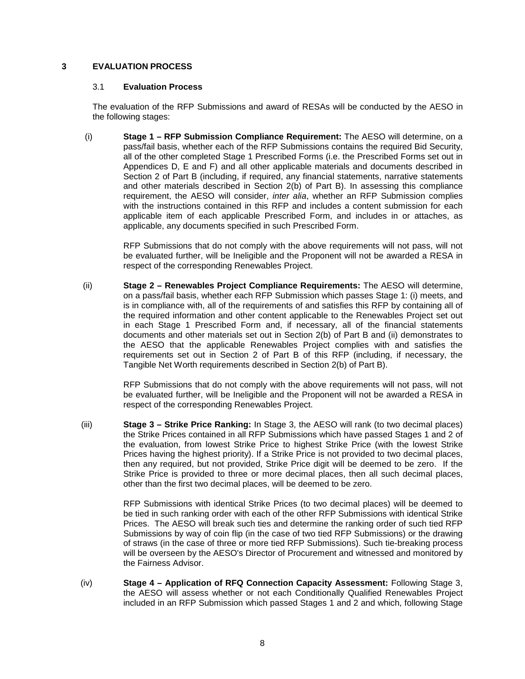#### <span id="page-12-1"></span><span id="page-12-0"></span>**3 EVALUATION PROCESS**

#### 3.1 **Evaluation Process**

The evaluation of the RFP Submissions and award of RESAs will be conducted by the AESO in the following stages:

(i) **Stage 1 – RFP Submission Compliance Requirement:** The AESO will determine, on a pass/fail basis, whether each of the RFP Submissions contains the required Bid Security, all of the other completed Stage 1 Prescribed Forms (i.e. the Prescribed Forms set out in Appendices D, E and F) and all other applicable materials and documents described in Section 2 of Part B (including, if required, any financial statements, narrative statements and other materials described in Section 2(b) of Part B). In assessing this compliance requirement, the AESO will consider, *inter alia*, whether an RFP Submission complies with the instructions contained in this RFP and includes a content submission for each applicable item of each applicable Prescribed Form, and includes in or attaches, as applicable, any documents specified in such Prescribed Form.

RFP Submissions that do not comply with the above requirements will not pass, will not be evaluated further, will be Ineligible and the Proponent will not be awarded a RESA in respect of the corresponding Renewables Project.

(ii) **Stage 2 – Renewables Project Compliance Requirements:** The AESO will determine, on a pass/fail basis, whether each RFP Submission which passes Stage 1: (i) meets, and is in compliance with, all of the requirements of and satisfies this RFP by containing all of the required information and other content applicable to the Renewables Project set out in each Stage 1 Prescribed Form and, if necessary, all of the financial statements documents and other materials set out in Section 2(b) of Part B and (ii) demonstrates to the AESO that the applicable Renewables Project complies with and satisfies the requirements set out in Section 2 of Part B of this RFP (including, if necessary, the Tangible Net Worth requirements described in Section 2(b) of Part B).

> RFP Submissions that do not comply with the above requirements will not pass, will not be evaluated further, will be Ineligible and the Proponent will not be awarded a RESA in respect of the corresponding Renewables Project.

(iii) **Stage 3 – Strike Price Ranking:** In Stage 3, the AESO will rank (to two decimal places) the Strike Prices contained in all RFP Submissions which have passed Stages 1 and 2 of the evaluation, from lowest Strike Price to highest Strike Price (with the lowest Strike Prices having the highest priority). If a Strike Price is not provided to two decimal places, then any required, but not provided, Strike Price digit will be deemed to be zero. If the Strike Price is provided to three or more decimal places, then all such decimal places, other than the first two decimal places, will be deemed to be zero.

> RFP Submissions with identical Strike Prices (to two decimal places) will be deemed to be tied in such ranking order with each of the other RFP Submissions with identical Strike Prices. The AESO will break such ties and determine the ranking order of such tied RFP Submissions by way of coin flip (in the case of two tied RFP Submissions) or the drawing of straws (in the case of three or more tied RFP Submissions). Such tie-breaking process will be overseen by the AESO's Director of Procurement and witnessed and monitored by the Fairness Advisor.

(iv) **Stage 4 – Application of RFQ Connection Capacity Assessment:** Following Stage 3, the AESO will assess whether or not each Conditionally Qualified Renewables Project included in an RFP Submission which passed Stages 1 and 2 and which, following Stage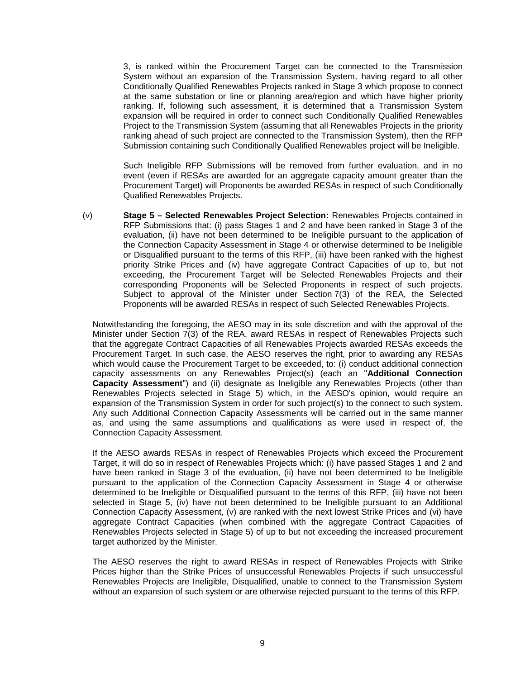3, is ranked within the Procurement Target can be connected to the Transmission System without an expansion of the Transmission System, having regard to all other Conditionally Qualified Renewables Projects ranked in Stage 3 which propose to connect at the same substation or line or planning area/region and which have higher priority ranking. If, following such assessment, it is determined that a Transmission System expansion will be required in order to connect such Conditionally Qualified Renewables Project to the Transmission System (assuming that all Renewables Projects in the priority ranking ahead of such project are connected to the Transmission System), then the RFP Submission containing such Conditionally Qualified Renewables project will be Ineligible.

Such Ineligible RFP Submissions will be removed from further evaluation, and in no event (even if RESAs are awarded for an aggregate capacity amount greater than the Procurement Target) will Proponents be awarded RESAs in respect of such Conditionally Qualified Renewables Projects.

(v) **Stage 5 – Selected Renewables Project Selection:** Renewables Projects contained in RFP Submissions that: (i) pass Stages 1 and 2 and have been ranked in Stage 3 of the evaluation, (ii) have not been determined to be Ineligible pursuant to the application of the Connection Capacity Assessment in Stage 4 or otherwise determined to be Ineligible or Disqualified pursuant to the terms of this RFP, (iii) have been ranked with the highest priority Strike Prices and (iv) have aggregate Contract Capacities of up to, but not exceeding, the Procurement Target will be Selected Renewables Projects and their corresponding Proponents will be Selected Proponents in respect of such projects. Subject to approval of the Minister under Section 7(3) of the REA, the Selected Proponents will be awarded RESAs in respect of such Selected Renewables Projects.

Notwithstanding the foregoing, the AESO may in its sole discretion and with the approval of the Minister under Section 7(3) of the REA, award RESAs in respect of Renewables Projects such that the aggregate Contract Capacities of all Renewables Projects awarded RESAs exceeds the Procurement Target. In such case, the AESO reserves the right, prior to awarding any RESAs which would cause the Procurement Target to be exceeded, to: (i) conduct additional connection capacity assessments on any Renewables Project(s) (each an "**Additional Connection Capacity Assessment**") and (ii) designate as Ineligible any Renewables Projects (other than Renewables Projects selected in Stage 5) which, in the AESO's opinion, would require an expansion of the Transmission System in order for such project(s) to the connect to such system. Any such Additional Connection Capacity Assessments will be carried out in the same manner as, and using the same assumptions and qualifications as were used in respect of, the Connection Capacity Assessment.

If the AESO awards RESAs in respect of Renewables Projects which exceed the Procurement Target, it will do so in respect of Renewables Projects which: (i) have passed Stages 1 and 2 and have been ranked in Stage 3 of the evaluation, (ii) have not been determined to be Ineligible pursuant to the application of the Connection Capacity Assessment in Stage 4 or otherwise determined to be Ineligible or Disqualified pursuant to the terms of this RFP, (iii) have not been selected in Stage 5, (iv) have not been determined to be Ineligible pursuant to an Additional Connection Capacity Assessment, (v) are ranked with the next lowest Strike Prices and (vi) have aggregate Contract Capacities (when combined with the aggregate Contract Capacities of Renewables Projects selected in Stage 5) of up to but not exceeding the increased procurement target authorized by the Minister.

The AESO reserves the right to award RESAs in respect of Renewables Projects with Strike Prices higher than the Strike Prices of unsuccessful Renewables Projects if such unsuccessful Renewables Projects are Ineligible, Disqualified, unable to connect to the Transmission System without an expansion of such system or are otherwise rejected pursuant to the terms of this RFP.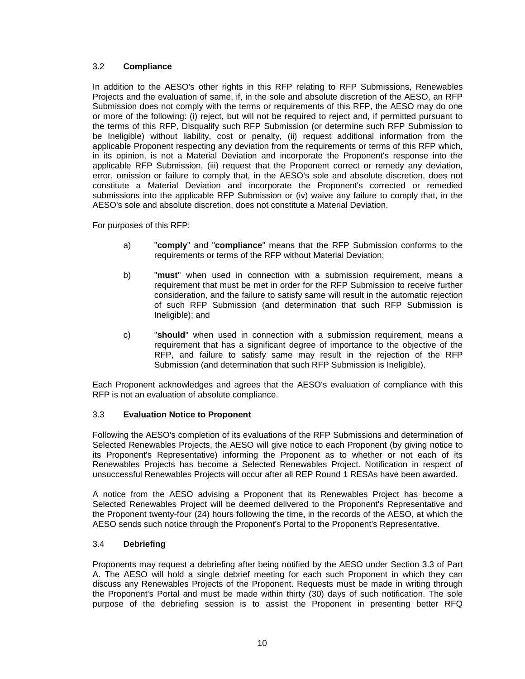#### <span id="page-14-0"></span>3.2 **Compliance**

In addition to the AESO's other rights in this RFP relating to RFP Submissions, Renewables Projects and the evaluation of same, if, in the sole and absolute discretion of the AESO, an RFP Submission does not comply with the terms or requirements of this RFP, the AESO may do one or more of the following: (i) reject, but will not be required to reject and, if permitted pursuant to the terms of this RFP, Disqualify such RFP Submission (or determine such RFP Submission to be Ineligible) without liability, cost or penalty, (ii) request additional information from the applicable Proponent respecting any deviation from the requirements or terms of this RFP which, in its opinion, is not a Material Deviation and incorporate the Proponent's response into the applicable RFP Submission, (iii) request that the Proponent correct or remedy any deviation, error, omission or failure to comply that, in the AESO's sole and absolute discretion, does not constitute a Material Deviation and incorporate the Proponent's corrected or remedied submissions into the applicable RFP Submission or (iv) waive any failure to comply that, in the AESO's sole and absolute discretion, does not constitute a Material Deviation.

For purposes of this RFP:

- a) "**comply**" and "**compliance**" means that the RFP Submission conforms to the requirements or terms of the RFP without Material Deviation;
- b) "**must**" when used in connection with a submission requirement, means a requirement that must be met in order for the RFP Submission to receive further consideration, and the failure to satisfy same will result in the automatic rejection of such RFP Submission (and determination that such RFP Submission is Ineligible); and
- c) "**should**" when used in connection with a submission requirement, means a requirement that has a significant degree of importance to the objective of the RFP, and failure to satisfy same may result in the rejection of the RFP Submission (and determination that such RFP Submission is Ineligible).

Each Proponent acknowledges and agrees that the AESO's evaluation of compliance with this RFP is not an evaluation of absolute compliance.

#### <span id="page-14-1"></span>3.3 **Evaluation Notice to Proponent**

Following the AESO's completion of its evaluations of the RFP Submissions and determination of Selected Renewables Projects, the AESO will give notice to each Proponent (by giving notice to its Proponent's Representative) informing the Proponent as to whether or not each of its Renewables Projects has become a Selected Renewables Project. Notification in respect of unsuccessful Renewables Projects will occur after all REP Round 1 RESAs have been awarded.

A notice from the AESO advising a Proponent that its Renewables Project has become a Selected Renewables Project will be deemed delivered to the Proponent's Representative and the Proponent twenty-four (24) hours following the time, in the records of the AESO, at which the AESO sends such notice through the Proponent's Portal to the Proponent's Representative.

#### <span id="page-14-2"></span>3.4 **Debriefing**

Proponents may request a debriefing after being notified by the AESO under Section 3.3 of Part A. The AESO will hold a single debrief meeting for each such Proponent in which they can discuss any Renewables Projects of the Proponent. Requests must be made in writing through the Proponent's Portal and must be made within thirty (30) days of such notification. The sole purpose of the debriefing session is to assist the Proponent in presenting better RFQ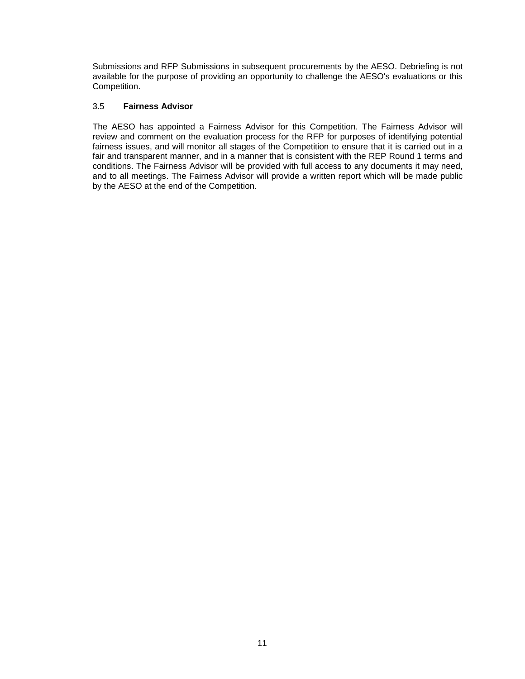Submissions and RFP Submissions in subsequent procurements by the AESO. Debriefing is not available for the purpose of providing an opportunity to challenge the AESO's evaluations or this Competition.

#### <span id="page-15-0"></span>3.5 **Fairness Advisor**

The AESO has appointed a Fairness Advisor for this Competition. The Fairness Advisor will review and comment on the evaluation process for the RFP for purposes of identifying potential fairness issues, and will monitor all stages of the Competition to ensure that it is carried out in a fair and transparent manner, and in a manner that is consistent with the REP Round 1 terms and conditions. The Fairness Advisor will be provided with full access to any documents it may need, and to all meetings. The Fairness Advisor will provide a written report which will be made public by the AESO at the end of the Competition.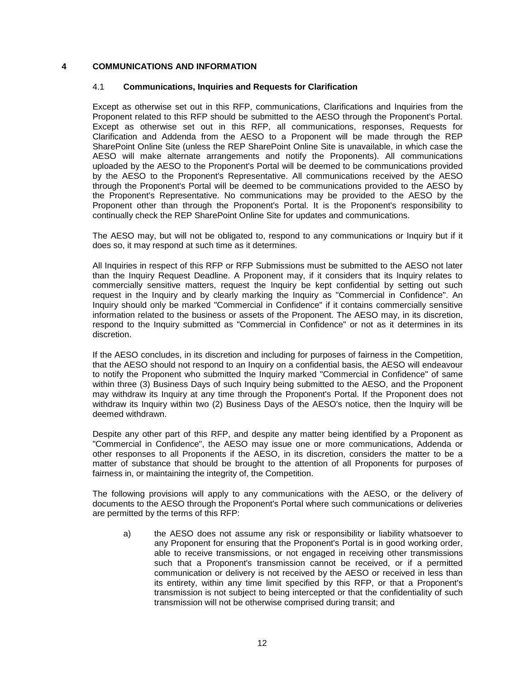#### <span id="page-16-1"></span><span id="page-16-0"></span>**4 COMMUNICATIONS AND INFORMATION**

#### 4.1 **Communications, Inquiries and Requests for Clarification**

Except as otherwise set out in this RFP, communications, Clarifications and Inquiries from the Proponent related to this RFP should be submitted to the AESO through the Proponent's Portal. Except as otherwise set out in this RFP, all communications, responses, Requests for Clarification and Addenda from the AESO to a Proponent will be made through the REP SharePoint Online Site (unless the REP SharePoint Online Site is unavailable, in which case the AESO will make alternate arrangements and notify the Proponents). All communications uploaded by the AESO to the Proponent's Portal will be deemed to be communications provided by the AESO to the Proponent's Representative. All communications received by the AESO through the Proponent's Portal will be deemed to be communications provided to the AESO by the Proponent's Representative. No communications may be provided to the AESO by the Proponent other than through the Proponent's Portal. It is the Proponent's responsibility to continually check the REP SharePoint Online Site for updates and communications.

The AESO may, but will not be obligated to, respond to any communications or Inquiry but if it does so, it may respond at such time as it determines.

All Inquiries in respect of this RFP or RFP Submissions must be submitted to the AESO not later than the Inquiry Request Deadline. A Proponent may, if it considers that its Inquiry relates to commercially sensitive matters, request the Inquiry be kept confidential by setting out such request in the Inquiry and by clearly marking the Inquiry as "Commercial in Confidence". An Inquiry should only be marked "Commercial in Confidence" if it contains commercially sensitive information related to the business or assets of the Proponent. The AESO may, in its discretion, respond to the Inquiry submitted as "Commercial in Confidence" or not as it determines in its discretion.

If the AESO concludes, in its discretion and including for purposes of fairness in the Competition, that the AESO should not respond to an Inquiry on a confidential basis, the AESO will endeavour to notify the Proponent who submitted the Inquiry marked "Commercial in Confidence" of same within three (3) Business Days of such Inquiry being submitted to the AESO, and the Proponent may withdraw its Inquiry at any time through the Proponent's Portal. If the Proponent does not withdraw its Inquiry within two (2) Business Days of the AESO's notice, then the Inquiry will be deemed withdrawn.

Despite any other part of this RFP, and despite any matter being identified by a Proponent as "Commercial in Confidence", the AESO may issue one or more communications, Addenda or other responses to all Proponents if the AESO, in its discretion, considers the matter to be a matter of substance that should be brought to the attention of all Proponents for purposes of fairness in, or maintaining the integrity of, the Competition.

The following provisions will apply to any communications with the AESO, or the delivery of documents to the AESO through the Proponent's Portal where such communications or deliveries are permitted by the terms of this RFP:

a) the AESO does not assume any risk or responsibility or liability whatsoever to any Proponent for ensuring that the Proponent's Portal is in good working order, able to receive transmissions, or not engaged in receiving other transmissions such that a Proponent's transmission cannot be received, or if a permitted communication or delivery is not received by the AESO or received in less than its entirety, within any time limit specified by this RFP, or that a Proponent's transmission is not subject to being intercepted or that the confidentiality of such transmission will not be otherwise comprised during transit; and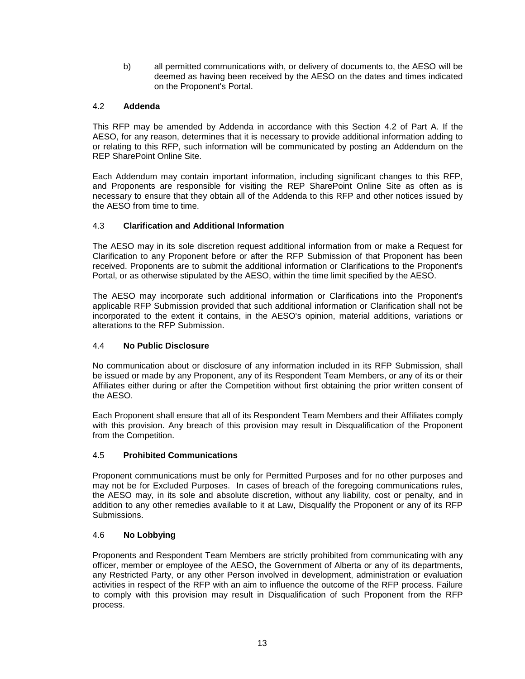b) all permitted communications with, or delivery of documents to, the AESO will be deemed as having been received by the AESO on the dates and times indicated on the Proponent's Portal.

#### <span id="page-17-0"></span>4.2 **Addenda**

This RFP may be amended by Addenda in accordance with this Section 4.2 of Part A. If the AESO, for any reason, determines that it is necessary to provide additional information adding to or relating to this RFP, such information will be communicated by posting an Addendum on the REP SharePoint Online Site.

Each Addendum may contain important information, including significant changes to this RFP, and Proponents are responsible for visiting the REP SharePoint Online Site as often as is necessary to ensure that they obtain all of the Addenda to this RFP and other notices issued by the AESO from time to time.

#### <span id="page-17-1"></span>4.3 **Clarification and Additional Information**

The AESO may in its sole discretion request additional information from or make a Request for Clarification to any Proponent before or after the RFP Submission of that Proponent has been received. Proponents are to submit the additional information or Clarifications to the Proponent's Portal, or as otherwise stipulated by the AESO, within the time limit specified by the AESO.

The AESO may incorporate such additional information or Clarifications into the Proponent's applicable RFP Submission provided that such additional information or Clarification shall not be incorporated to the extent it contains, in the AESO's opinion, material additions, variations or alterations to the RFP Submission.

#### <span id="page-17-2"></span>4.4 **No Public Disclosure**

No communication about or disclosure of any information included in its RFP Submission, shall be issued or made by any Proponent, any of its Respondent Team Members, or any of its or their Affiliates either during or after the Competition without first obtaining the prior written consent of the AESO.

Each Proponent shall ensure that all of its Respondent Team Members and their Affiliates comply with this provision. Any breach of this provision may result in Disqualification of the Proponent from the Competition.

#### <span id="page-17-3"></span>4.5 **Prohibited Communications**

Proponent communications must be only for Permitted Purposes and for no other purposes and may not be for Excluded Purposes. In cases of breach of the foregoing communications rules, the AESO may, in its sole and absolute discretion, without any liability, cost or penalty, and in addition to any other remedies available to it at Law, Disqualify the Proponent or any of its RFP Submissions.

#### <span id="page-17-4"></span>4.6 **No Lobbying**

Proponents and Respondent Team Members are strictly prohibited from communicating with any officer, member or employee of the AESO, the Government of Alberta or any of its departments, any Restricted Party, or any other Person involved in development, administration or evaluation activities in respect of the RFP with an aim to influence the outcome of the RFP process. Failure to comply with this provision may result in Disqualification of such Proponent from the RFP process.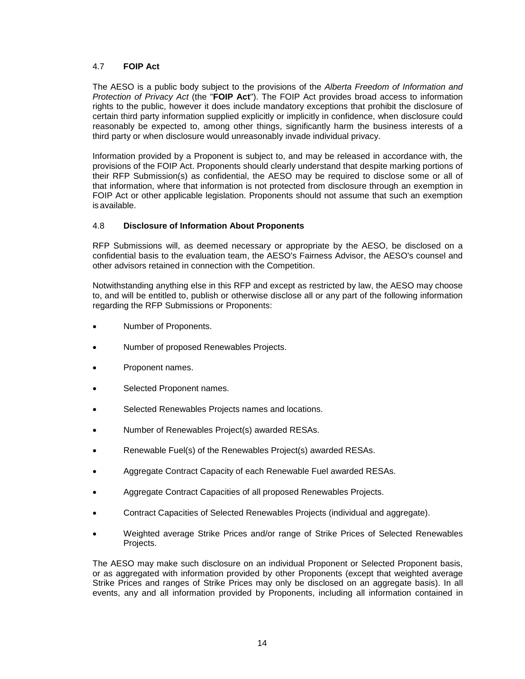#### <span id="page-18-0"></span>4.7 **FOIP Act**

The AESO is a public body subject to the provisions of the *Alberta Freedom of Information and Protection of Privacy Act* (the "**FOIP Act**"). The FOIP Act provides broad access to information rights to the public, however it does include mandatory exceptions that prohibit the disclosure of certain third party information supplied explicitly or implicitly in confidence, when disclosure could reasonably be expected to, among other things, significantly harm the business interests of a third party or when disclosure would unreasonably invade individual privacy.

Information provided by a Proponent is subject to, and may be released in accordance with, the provisions of the FOIP Act. Proponents should clearly understand that despite marking portions of their RFP Submission(s) as confidential, the AESO may be required to disclose some or all of that information, where that information is not protected from disclosure through an exemption in FOIP Act or other applicable legislation. Proponents should not assume that such an exemption is available.

#### <span id="page-18-1"></span>4.8 **Disclosure of Information About Proponents**

RFP Submissions will, as deemed necessary or appropriate by the AESO, be disclosed on a confidential basis to the evaluation team, the AESO's Fairness Advisor, the AESO's counsel and other advisors retained in connection with the Competition.

Notwithstanding anything else in this RFP and except as restricted by law, the AESO may choose to, and will be entitled to, publish or otherwise disclose all or any part of the following information regarding the RFP Submissions or Proponents:

- Number of Proponents.
- Number of proposed Renewables Projects.
- Proponent names.
- Selected Proponent names.
- Selected Renewables Projects names and locations.
- Number of Renewables Project(s) awarded RESAs.
- Renewable Fuel(s) of the Renewables Project(s) awarded RESAs.
- Aggregate Contract Capacity of each Renewable Fuel awarded RESAs.
- Aggregate Contract Capacities of all proposed Renewables Projects.
- Contract Capacities of Selected Renewables Projects (individual and aggregate).
- Weighted average Strike Prices and/or range of Strike Prices of Selected Renewables Projects.

The AESO may make such disclosure on an individual Proponent or Selected Proponent basis, or as aggregated with information provided by other Proponents (except that weighted average Strike Prices and ranges of Strike Prices may only be disclosed on an aggregate basis). In all events, any and all information provided by Proponents, including all information contained in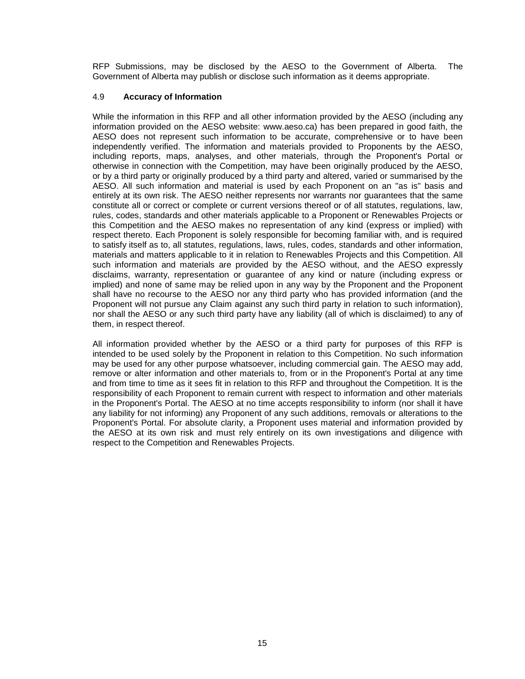RFP Submissions, may be disclosed by the AESO to the Government of Alberta. The Government of Alberta may publish or disclose such information as it deems appropriate.

#### <span id="page-19-0"></span>4.9 **Accuracy of Information**

While the information in this RFP and all other information provided by the AESO (including any information provided on the AESO website: www.aeso.ca) has been prepared in good faith, the AESO does not represent such information to be accurate, comprehensive or to have been independently verified. The information and materials provided to Proponents by the AESO, including reports, maps, analyses, and other materials, through the Proponent's Portal or otherwise in connection with the Competition, may have been originally produced by the AESO, or by a third party or originally produced by a third party and altered, varied or summarised by the AESO. All such information and material is used by each Proponent on an "as is" basis and entirely at its own risk. The AESO neither represents nor warrants nor guarantees that the same constitute all or correct or complete or current versions thereof or of all statutes, regulations, law, rules, codes, standards and other materials applicable to a Proponent or Renewables Projects or this Competition and the AESO makes no representation of any kind (express or implied) with respect thereto. Each Proponent is solely responsible for becoming familiar with, and is required to satisfy itself as to, all statutes, regulations, laws, rules, codes, standards and other information, materials and matters applicable to it in relation to Renewables Projects and this Competition. All such information and materials are provided by the AESO without, and the AESO expressly disclaims, warranty, representation or guarantee of any kind or nature (including express or implied) and none of same may be relied upon in any way by the Proponent and the Proponent shall have no recourse to the AESO nor any third party who has provided information (and the Proponent will not pursue any Claim against any such third party in relation to such information), nor shall the AESO or any such third party have any liability (all of which is disclaimed) to any of them, in respect thereof.

All information provided whether by the AESO or a third party for purposes of this RFP is intended to be used solely by the Proponent in relation to this Competition. No such information may be used for any other purpose whatsoever, including commercial gain. The AESO may add, remove or alter information and other materials to, from or in the Proponent's Portal at any time and from time to time as it sees fit in relation to this RFP and throughout the Competition. It is the responsibility of each Proponent to remain current with respect to information and other materials in the Proponent's Portal. The AESO at no time accepts responsibility to inform (nor shall it have any liability for not informing) any Proponent of any such additions, removals or alterations to the Proponent's Portal. For absolute clarity, a Proponent uses material and information provided by the AESO at its own risk and must rely entirely on its own investigations and diligence with respect to the Competition and Renewables Projects.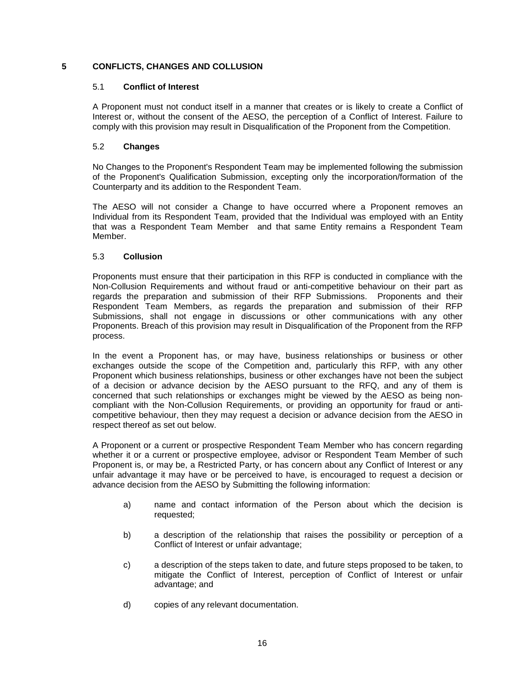#### <span id="page-20-1"></span><span id="page-20-0"></span>**5 CONFLICTS, CHANGES AND COLLUSION**

#### 5.1 **Conflict of Interest**

A Proponent must not conduct itself in a manner that creates or is likely to create a Conflict of Interest or, without the consent of the AESO, the perception of a Conflict of Interest. Failure to comply with this provision may result in Disqualification of the Proponent from the Competition.

#### <span id="page-20-2"></span>5.2 **Changes**

No Changes to the Proponent's Respondent Team may be implemented following the submission of the Proponent's Qualification Submission, excepting only the incorporation/formation of the Counterparty and its addition to the Respondent Team.

The AESO will not consider a Change to have occurred where a Proponent removes an Individual from its Respondent Team, provided that the Individual was employed with an Entity that was a Respondent Team Member and that same Entity remains a Respondent Team Member.

#### <span id="page-20-3"></span>5.3 **Collusion**

Proponents must ensure that their participation in this RFP is conducted in compliance with the Non-Collusion Requirements and without fraud or anti-competitive behaviour on their part as regards the preparation and submission of their RFP Submissions. Proponents and their Respondent Team Members, as regards the preparation and submission of their RFP Submissions, shall not engage in discussions or other communications with any other Proponents. Breach of this provision may result in Disqualification of the Proponent from the RFP process.

In the event a Proponent has, or may have, business relationships or business or other exchanges outside the scope of the Competition and, particularly this RFP, with any other Proponent which business relationships, business or other exchanges have not been the subject of a decision or advance decision by the AESO pursuant to the RFQ, and any of them is concerned that such relationships or exchanges might be viewed by the AESO as being noncompliant with the Non-Collusion Requirements, or providing an opportunity for fraud or anticompetitive behaviour, then they may request a decision or advance decision from the AESO in respect thereof as set out below.

A Proponent or a current or prospective Respondent Team Member who has concern regarding whether it or a current or prospective employee, advisor or Respondent Team Member of such Proponent is, or may be, a Restricted Party, or has concern about any Conflict of Interest or any unfair advantage it may have or be perceived to have, is encouraged to request a decision or advance decision from the AESO by Submitting the following information:

- a) name and contact information of the Person about which the decision is requested;
- b) a description of the relationship that raises the possibility or perception of a Conflict of Interest or unfair advantage;
- c) a description of the steps taken to date, and future steps proposed to be taken, to mitigate the Conflict of Interest, perception of Conflict of Interest or unfair advantage; and
- d) copies of any relevant documentation.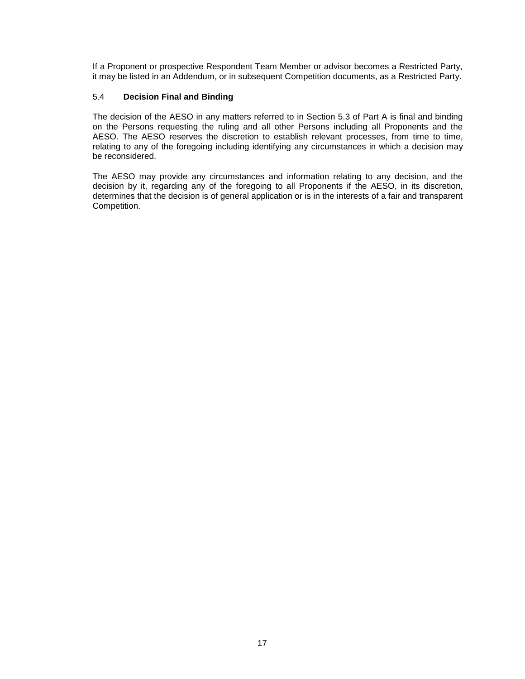If a Proponent or prospective Respondent Team Member or advisor becomes a Restricted Party, it may be listed in an Addendum, or in subsequent Competition documents, as a Restricted Party.

#### <span id="page-21-0"></span>5.4 **Decision Final and Binding**

The decision of the AESO in any matters referred to in Section 5.3 of Part A is final and binding on the Persons requesting the ruling and all other Persons including all Proponents and the AESO. The AESO reserves the discretion to establish relevant processes, from time to time, relating to any of the foregoing including identifying any circumstances in which a decision may be reconsidered.

The AESO may provide any circumstances and information relating to any decision, and the decision by it, regarding any of the foregoing to all Proponents if the AESO, in its discretion, determines that the decision is of general application or is in the interests of a fair and transparent Competition.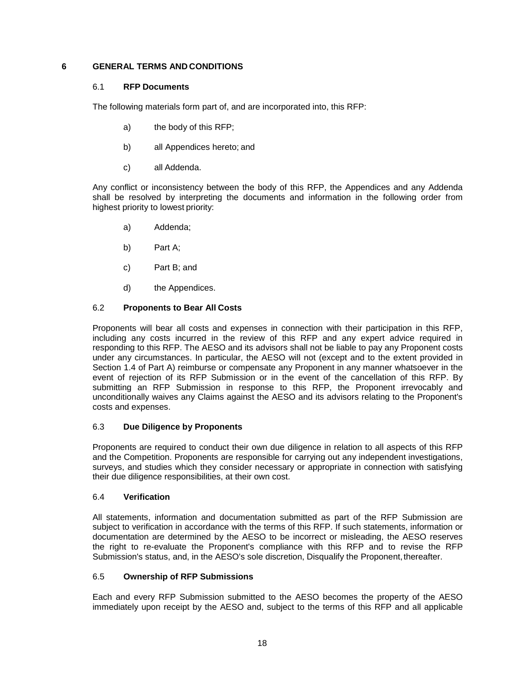#### <span id="page-22-1"></span><span id="page-22-0"></span>**6 GENERAL TERMS AND CONDITIONS**

#### 6.1 **RFP Documents**

The following materials form part of, and are incorporated into, this RFP:

- a) the body of this RFP;
- b) all Appendices hereto; and
- c) all Addenda.

Any conflict or inconsistency between the body of this RFP, the Appendices and any Addenda shall be resolved by interpreting the documents and information in the following order from highest priority to lowest priority:

- a) Addenda;
- b) Part A;
- c) Part B; and
- d) the Appendices.

#### <span id="page-22-2"></span>6.2 **Proponents to Bear All Costs**

Proponents will bear all costs and expenses in connection with their participation in this RFP, including any costs incurred in the review of this RFP and any expert advice required in responding to this RFP. The AESO and its advisors shall not be liable to pay any Proponent costs under any circumstances. In particular, the AESO will not (except and to the extent provided in Section 1.4 of Part A) reimburse or compensate any Proponent in any manner whatsoever in the event of rejection of its RFP Submission or in the event of the cancellation of this RFP. By submitting an RFP Submission in response to this RFP, the Proponent irrevocably and unconditionally waives any Claims against the AESO and its advisors relating to the Proponent's costs and expenses.

#### <span id="page-22-3"></span>6.3 **Due Diligence by Proponents**

Proponents are required to conduct their own due diligence in relation to all aspects of this RFP and the Competition. Proponents are responsible for carrying out any independent investigations, surveys, and studies which they consider necessary or appropriate in connection with satisfying their due diligence responsibilities, at their own cost.

#### <span id="page-22-4"></span>6.4 **Verification**

All statements, information and documentation submitted as part of the RFP Submission are subject to verification in accordance with the terms of this RFP. If such statements, information or documentation are determined by the AESO to be incorrect or misleading, the AESO reserves the right to re-evaluate the Proponent's compliance with this RFP and to revise the RFP Submission's status, and, in the AESO's sole discretion, Disqualify the Proponent, thereafter.

#### <span id="page-22-5"></span>6.5 **Ownership of RFP Submissions**

Each and every RFP Submission submitted to the AESO becomes the property of the AESO immediately upon receipt by the AESO and, subject to the terms of this RFP and all applicable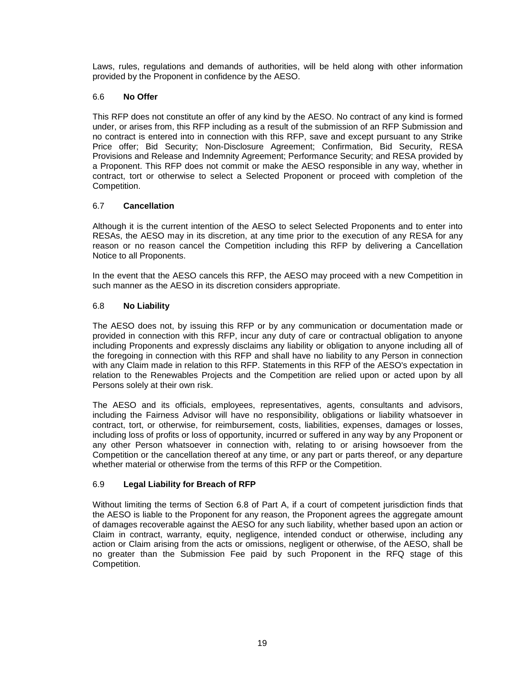Laws, rules, regulations and demands of authorities, will be held along with other information provided by the Proponent in confidence by the AESO.

#### <span id="page-23-0"></span>6.6 **No Offer**

This RFP does not constitute an offer of any kind by the AESO. No contract of any kind is formed under, or arises from, this RFP including as a result of the submission of an RFP Submission and no contract is entered into in connection with this RFP, save and except pursuant to any Strike Price offer; Bid Security; Non-Disclosure Agreement; Confirmation, Bid Security, RESA Provisions and Release and Indemnity Agreement; Performance Security; and RESA provided by a Proponent. This RFP does not commit or make the AESO responsible in any way, whether in contract, tort or otherwise to select a Selected Proponent or proceed with completion of the Competition.

#### <span id="page-23-1"></span>6.7 **Cancellation**

Although it is the current intention of the AESO to select Selected Proponents and to enter into RESAs, the AESO may in its discretion, at any time prior to the execution of any RESA for any reason or no reason cancel the Competition including this RFP by delivering a Cancellation Notice to all Proponents.

In the event that the AESO cancels this RFP, the AESO may proceed with a new Competition in such manner as the AESO in its discretion considers appropriate.

#### <span id="page-23-2"></span>6.8 **No Liability**

The AESO does not, by issuing this RFP or by any communication or documentation made or provided in connection with this RFP, incur any duty of care or contractual obligation to anyone including Proponents and expressly disclaims any liability or obligation to anyone including all of the foregoing in connection with this RFP and shall have no liability to any Person in connection with any Claim made in relation to this RFP. Statements in this RFP of the AESO's expectation in relation to the Renewables Projects and the Competition are relied upon or acted upon by all Persons solely at their own risk.

The AESO and its officials, employees, representatives, agents, consultants and advisors, including the Fairness Advisor will have no responsibility, obligations or liability whatsoever in contract, tort, or otherwise, for reimbursement, costs, liabilities, expenses, damages or losses, including loss of profits or loss of opportunity, incurred or suffered in any way by any Proponent or any other Person whatsoever in connection with, relating to or arising howsoever from the Competition or the cancellation thereof at any time, or any part or parts thereof, or any departure whether material or otherwise from the terms of this RFP or the Competition.

#### <span id="page-23-3"></span>6.9 **Legal Liability for Breach of RFP**

Without limiting the terms of Section 6.8 of Part A, if a court of competent jurisdiction finds that the AESO is liable to the Proponent for any reason, the Proponent agrees the aggregate amount of damages recoverable against the AESO for any such liability, whether based upon an action or Claim in contract, warranty, equity, negligence, intended conduct or otherwise, including any action or Claim arising from the acts or omissions, negligent or otherwise, of the AESO, shall be no greater than the Submission Fee paid by such Proponent in the RFQ stage of this Competition.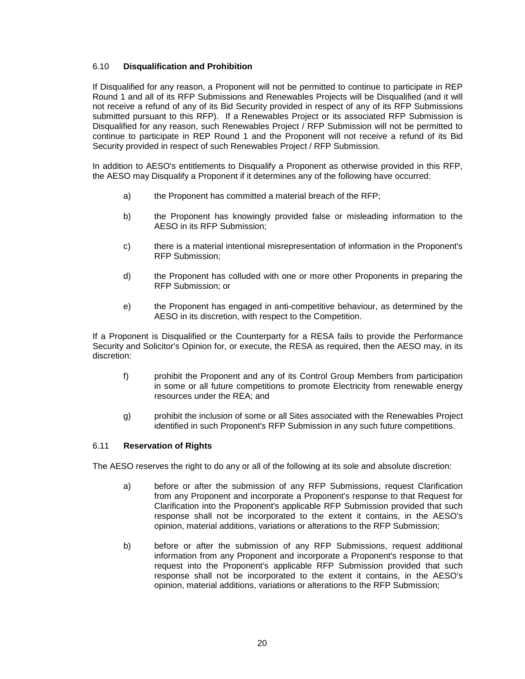#### <span id="page-24-0"></span>6.10 **Disqualification and Prohibition**

If Disqualified for any reason, a Proponent will not be permitted to continue to participate in REP Round 1 and all of its RFP Submissions and Renewables Projects will be Disqualified (and it will not receive a refund of any of its Bid Security provided in respect of any of its RFP Submissions submitted pursuant to this RFP). If a Renewables Project or its associated RFP Submission is Disqualified for any reason, such Renewables Project / RFP Submission will not be permitted to continue to participate in REP Round 1 and the Proponent will not receive a refund of its Bid Security provided in respect of such Renewables Project / RFP Submission.

In addition to AESO's entitlements to Disqualify a Proponent as otherwise provided in this RFP, the AESO may Disqualify a Proponent if it determines any of the following have occurred:

- a) the Proponent has committed a material breach of the RFP;
- b) the Proponent has knowingly provided false or misleading information to the AESO in its RFP Submission;
- c) there is a material intentional misrepresentation of information in the Proponent's RFP Submission;
- d) the Proponent has colluded with one or more other Proponents in preparing the RFP Submission; or
- e) the Proponent has engaged in anti-competitive behaviour, as determined by the AESO in its discretion, with respect to the Competition.

If a Proponent is Disqualified or the Counterparty for a RESA fails to provide the Performance Security and Solicitor's Opinion for, or execute, the RESA as required, then the AESO may, in its discretion:

- f) prohibit the Proponent and any of its Control Group Members from participation in some or all future competitions to promote Electricity from renewable energy resources under the REA; and
- g) prohibit the inclusion of some or all Sites associated with the Renewables Project identified in such Proponent's RFP Submission in any such future competitions.

#### <span id="page-24-1"></span>6.11 **Reservation of Rights**

The AESO reserves the right to do any or all of the following at its sole and absolute discretion:

- a) before or after the submission of any RFP Submissions, request Clarification from any Proponent and incorporate a Proponent's response to that Request for Clarification into the Proponent's applicable RFP Submission provided that such response shall not be incorporated to the extent it contains, in the AESO's opinion, material additions, variations or alterations to the RFP Submission;
- b) before or after the submission of any RFP Submissions, request additional information from any Proponent and incorporate a Proponent's response to that request into the Proponent's applicable RFP Submission provided that such response shall not be incorporated to the extent it contains, in the AESO's opinion, material additions, variations or alterations to the RFP Submission;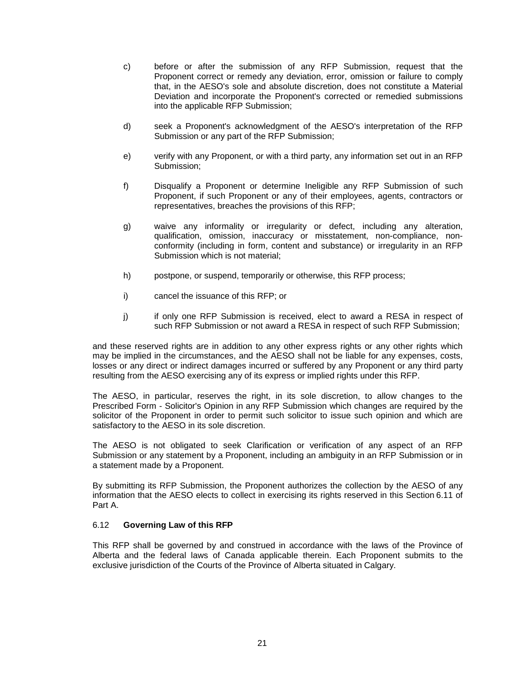- c) before or after the submission of any RFP Submission, request that the Proponent correct or remedy any deviation, error, omission or failure to comply that, in the AESO's sole and absolute discretion, does not constitute a Material Deviation and incorporate the Proponent's corrected or remedied submissions into the applicable RFP Submission;
- d) seek a Proponent's acknowledgment of the AESO's interpretation of the RFP Submission or any part of the RFP Submission;
- e) verify with any Proponent, or with a third party, any information set out in an RFP Submission;
- f) Disqualify a Proponent or determine Ineligible any RFP Submission of such Proponent, if such Proponent or any of their employees, agents, contractors or representatives, breaches the provisions of this RFP;
- g) waive any informality or irregularity or defect, including any alteration, qualification, omission, inaccuracy or misstatement, non-compliance, nonconformity (including in form, content and substance) or irregularity in an RFP Submission which is not material;
- h) postpone, or suspend, temporarily or otherwise, this RFP process;
- i) cancel the issuance of this RFP; or
- j) if only one RFP Submission is received, elect to award a RESA in respect of such RFP Submission or not award a RESA in respect of such RFP Submission;

and these reserved rights are in addition to any other express rights or any other rights which may be implied in the circumstances, and the AESO shall not be liable for any expenses, costs, losses or any direct or indirect damages incurred or suffered by any Proponent or any third party resulting from the AESO exercising any of its express or implied rights under this RFP.

The AESO, in particular, reserves the right, in its sole discretion, to allow changes to the Prescribed Form - Solicitor's Opinion in any RFP Submission which changes are required by the solicitor of the Proponent in order to permit such solicitor to issue such opinion and which are satisfactory to the AESO in its sole discretion.

The AESO is not obligated to seek Clarification or verification of any aspect of an RFP Submission or any statement by a Proponent, including an ambiguity in an RFP Submission or in a statement made by a Proponent.

By submitting its RFP Submission, the Proponent authorizes the collection by the AESO of any information that the AESO elects to collect in exercising its rights reserved in this Section 6.11 of Part A.

#### <span id="page-25-0"></span>6.12 **Governing Law of this RFP**

This RFP shall be governed by and construed in accordance with the laws of the Province of Alberta and the federal laws of Canada applicable therein. Each Proponent submits to the exclusive jurisdiction of the Courts of the Province of Alberta situated in Calgary.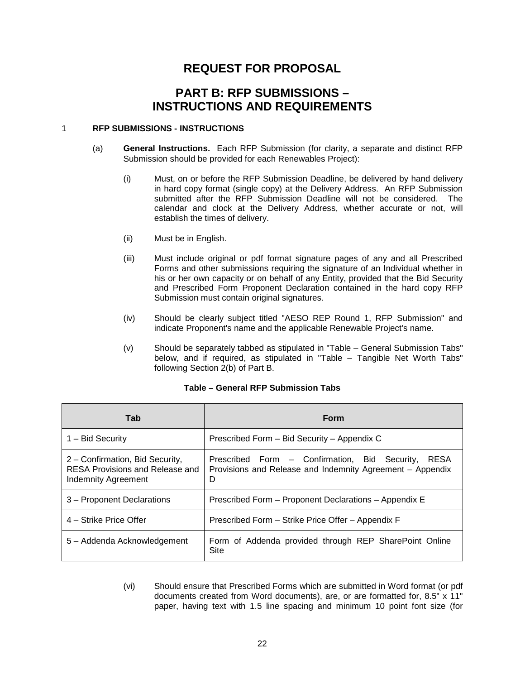## **REQUEST FOR PROPOSAL**

## **PART B: RFP SUBMISSIONS – INSTRUCTIONS AND REQUIREMENTS**

#### <span id="page-26-0"></span>1 **RFP SUBMISSIONS - INSTRUCTIONS**

- (a) **General Instructions.** Each RFP Submission (for clarity, a separate and distinct RFP Submission should be provided for each Renewables Project):
	- (i) Must, on or before the RFP Submission Deadline, be delivered by hand delivery in hard copy format (single copy) at the Delivery Address. An RFP Submission submitted after the RFP Submission Deadline will not be considered. The calendar and clock at the Delivery Address, whether accurate or not, will establish the times of delivery.
	- (ii) Must be in English.
	- (iii) Must include original or pdf format signature pages of any and all Prescribed Forms and other submissions requiring the signature of an Individual whether in his or her own capacity or on behalf of any Entity, provided that the Bid Security and Prescribed Form Proponent Declaration contained in the hard copy RFP Submission must contain original signatures.
	- (iv) Should be clearly subject titled "AESO REP Round 1, RFP Submission" and indicate Proponent's name and the applicable Renewable Project's name.
	- (v) Should be separately tabbed as stipulated in "Table General Submission Tabs" below, and if required, as stipulated in "Table – Tangible Net Worth Tabs" following Section 2(b) of Part B.

| Tab                                                                                       | Form                                                                                                                           |
|-------------------------------------------------------------------------------------------|--------------------------------------------------------------------------------------------------------------------------------|
| 1 – Bid Security                                                                          | Prescribed Form - Bid Security - Appendix C                                                                                    |
| 2 - Confirmation, Bid Security,<br>RESA Provisions and Release and<br>Indemnity Agreement | <b>RESA</b><br>Prescribed Form – Confirmation, Bid Security,<br>Provisions and Release and Indemnity Agreement - Appendix<br>D |
| 3 – Proponent Declarations                                                                | Prescribed Form – Proponent Declarations – Appendix E                                                                          |
| 4 – Strike Price Offer                                                                    | Prescribed Form – Strike Price Offer – Appendix F                                                                              |
| 5 – Addenda Acknowledgement                                                               | Form of Addenda provided through REP SharePoint Online<br>Site                                                                 |

#### **Table – General RFP Submission Tabs**

(vi) Should ensure that Prescribed Forms which are submitted in Word format (or pdf documents created from Word documents), are, or are formatted for, 8.5" x 11" paper, having text with 1.5 line spacing and minimum 10 point font size (for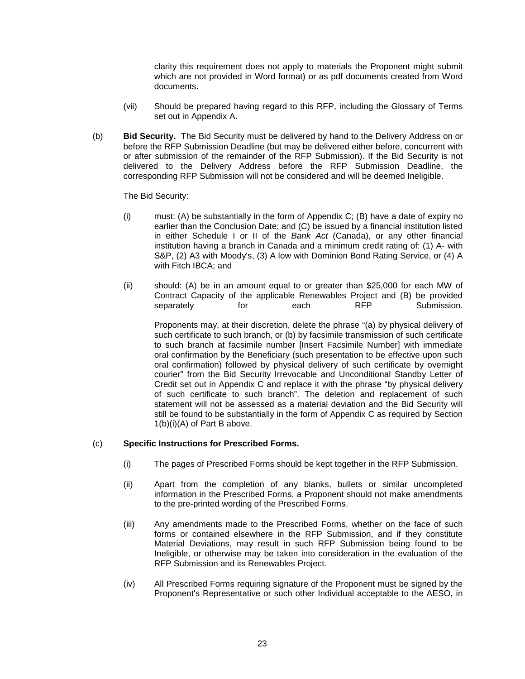clarity this requirement does not apply to materials the Proponent might submit which are not provided in Word format) or as pdf documents created from Word documents.

- (vii) Should be prepared having regard to this RFP, including the Glossary of Terms set out in Appendix A.
- (b) **Bid Security.** The Bid Security must be delivered by hand to the Delivery Address on or before the RFP Submission Deadline (but may be delivered either before, concurrent with or after submission of the remainder of the RFP Submission). If the Bid Security is not delivered to the Delivery Address before the RFP Submission Deadline, the corresponding RFP Submission will not be considered and will be deemed Ineligible.

The Bid Security:

- (i) must: (A) be substantially in the form of Appendix C; (B) have a date of expiry no earlier than the Conclusion Date; and (C) be issued by a financial institution listed in either Schedule I or II of the *Bank Act* (Canada), or any other financial institution having a branch in Canada and a minimum credit rating of: (1) A- with S&P, (2) A3 with Moody's, (3) A low with Dominion Bond Rating Service, or (4) A with Fitch IBCA; and
- (ii) should: (A) be in an amount equal to or greater than \$25,000 for each MW of Contract Capacity of the applicable Renewables Project and (B) be provided separately for each RFP Submission.

Proponents may, at their discretion, delete the phrase "(a) by physical delivery of such certificate to such branch, or (b) by facsimile transmission of such certificate to such branch at facsimile number [Insert Facsimile Number] with immediate oral confirmation by the Beneficiary (such presentation to be effective upon such oral confirmation) followed by physical delivery of such certificate by overnight courier" from the Bid Security Irrevocable and Unconditional Standby Letter of Credit set out in Appendix C and replace it with the phrase "by physical delivery of such certificate to such branch". The deletion and replacement of such statement will not be assessed as a material deviation and the Bid Security will still be found to be substantially in the form of Appendix C as required by Section 1(b)(i)(A) of Part B above.

#### (c) **Specific Instructions for Prescribed Forms.**

- (i) The pages of Prescribed Forms should be kept together in the RFP Submission.
- (ii) Apart from the completion of any blanks, bullets or similar uncompleted information in the Prescribed Forms, a Proponent should not make amendments to the pre-printed wording of the Prescribed Forms.
- (iii) Any amendments made to the Prescribed Forms, whether on the face of such forms or contained elsewhere in the RFP Submission, and if they constitute Material Deviations, may result in such RFP Submission being found to be Ineligible, or otherwise may be taken into consideration in the evaluation of the RFP Submission and its Renewables Project.
- (iv) All Prescribed Forms requiring signature of the Proponent must be signed by the Proponent's Representative or such other Individual acceptable to the AESO, in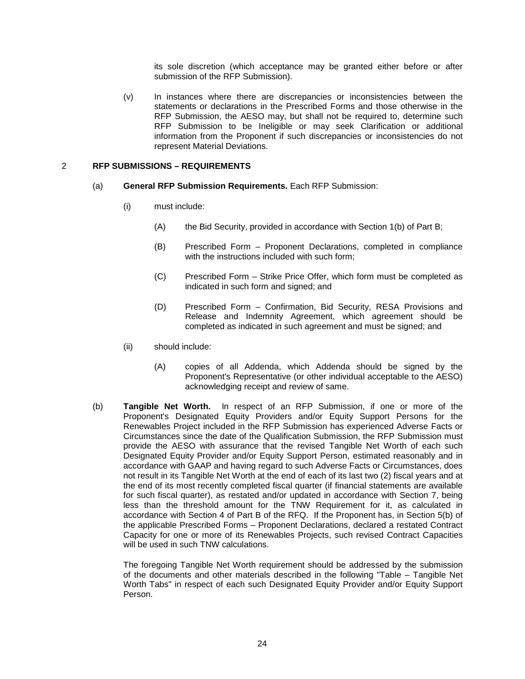its sole discretion (which acceptance may be granted either before or after submission of the RFP Submission).

(v) In instances where there are discrepancies or inconsistencies between the statements or declarations in the Prescribed Forms and those otherwise in the RFP Submission, the AESO may, but shall not be required to, determine such RFP Submission to be Ineligible or may seek Clarification or additional information from the Proponent if such discrepancies or inconsistencies do not represent Material Deviations.

#### <span id="page-28-0"></span>2 **RFP SUBMISSIONS – REQUIREMENTS**

- (a) **General RFP Submission Requirements.** Each RFP Submission:
	- (i) must include:
		- (A) the Bid Security, provided in accordance with Section 1(b) of Part B;
		- (B) Prescribed Form Proponent Declarations, completed in compliance with the instructions included with such form;
		- (C) Prescribed Form Strike Price Offer, which form must be completed as indicated in such form and signed; and
		- (D) Prescribed Form Confirmation, Bid Security, RESA Provisions and Release and Indemnity Agreement, which agreement should be completed as indicated in such agreement and must be signed; and
	- (ii) should include:
		- (A) copies of all Addenda, which Addenda should be signed by the Proponent's Representative (or other individual acceptable to the AESO) acknowledging receipt and review of same.
- (b) **Tangible Net Worth.** In respect of an RFP Submission, if one or more of the Proponent's Designated Equity Providers and/or Equity Support Persons for the Renewables Project included in the RFP Submission has experienced Adverse Facts or Circumstances since the date of the Qualification Submission, the RFP Submission must provide the AESO with assurance that the revised Tangible Net Worth of each such Designated Equity Provider and/or Equity Support Person, estimated reasonably and in accordance with GAAP and having regard to such Adverse Facts or Circumstances, does not result in its Tangible Net Worth at the end of each of its last two (2) fiscal years and at the end of its most recently completed fiscal quarter (if financial statements are available for such fiscal quarter), as restated and/or updated in accordance with Section 7, being less than the threshold amount for the TNW Requirement for it, as calculated in accordance with Section 4 of Part B of the RFQ. If the Proponent has, in Section 5(b) of the applicable Prescribed Forms – Proponent Declarations, declared a restated Contract Capacity for one or more of its Renewables Projects, such revised Contract Capacities will be used in such TNW calculations.

The foregoing Tangible Net Worth requirement should be addressed by the submission of the documents and other materials described in the following "Table – Tangible Net Worth Tabs" in respect of each such Designated Equity Provider and/or Equity Support Person.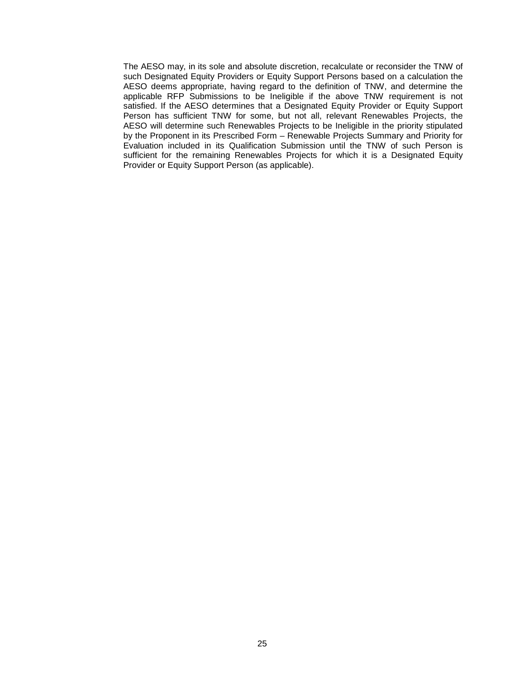The AESO may, in its sole and absolute discretion, recalculate or reconsider the TNW of such Designated Equity Providers or Equity Support Persons based on a calculation the AESO deems appropriate, having regard to the definition of TNW, and determine the applicable RFP Submissions to be Ineligible if the above TNW requirement is not satisfied. If the AESO determines that a Designated Equity Provider or Equity Support Person has sufficient TNW for some, but not all, relevant Renewables Projects, the AESO will determine such Renewables Projects to be Ineligible in the priority stipulated by the Proponent in its Prescribed Form – Renewable Projects Summary and Priority for Evaluation included in its Qualification Submission until the TNW of such Person is sufficient for the remaining Renewables Projects for which it is a Designated Equity Provider or Equity Support Person (as applicable).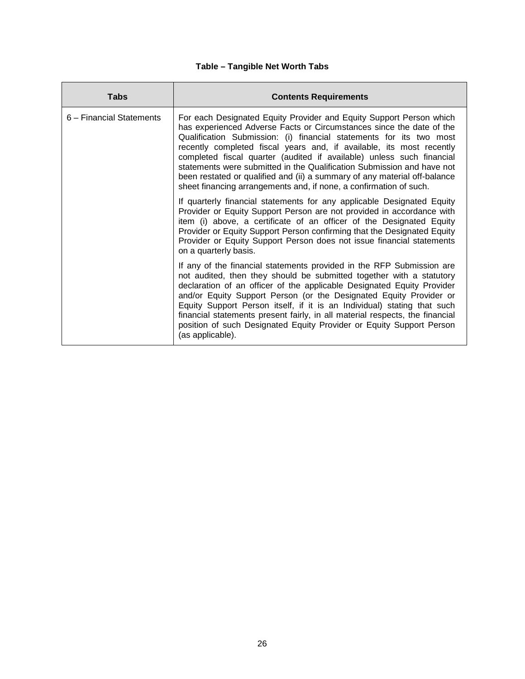## **Table – Tangible Net Worth Tabs**

| Tabs                     | <b>Contents Requirements</b>                                                                                                                                                                                                                                                                                                                                                                                                                                                                                                                                                                     |
|--------------------------|--------------------------------------------------------------------------------------------------------------------------------------------------------------------------------------------------------------------------------------------------------------------------------------------------------------------------------------------------------------------------------------------------------------------------------------------------------------------------------------------------------------------------------------------------------------------------------------------------|
| 6 – Financial Statements | For each Designated Equity Provider and Equity Support Person which<br>has experienced Adverse Facts or Circumstances since the date of the<br>Qualification Submission: (i) financial statements for its two most<br>recently completed fiscal years and, if available, its most recently<br>completed fiscal quarter (audited if available) unless such financial<br>statements were submitted in the Qualification Submission and have not<br>been restated or qualified and (ii) a summary of any material off-balance<br>sheet financing arrangements and, if none, a confirmation of such. |
|                          | If quarterly financial statements for any applicable Designated Equity<br>Provider or Equity Support Person are not provided in accordance with<br>item (i) above, a certificate of an officer of the Designated Equity<br>Provider or Equity Support Person confirming that the Designated Equity<br>Provider or Equity Support Person does not issue financial statements<br>on a quarterly basis.                                                                                                                                                                                             |
|                          | If any of the financial statements provided in the RFP Submission are<br>not audited, then they should be submitted together with a statutory<br>declaration of an officer of the applicable Designated Equity Provider<br>and/or Equity Support Person (or the Designated Equity Provider or<br>Equity Support Person itself, if it is an Individual) stating that such<br>financial statements present fairly, in all material respects, the financial<br>position of such Designated Equity Provider or Equity Support Person<br>(as applicable).                                             |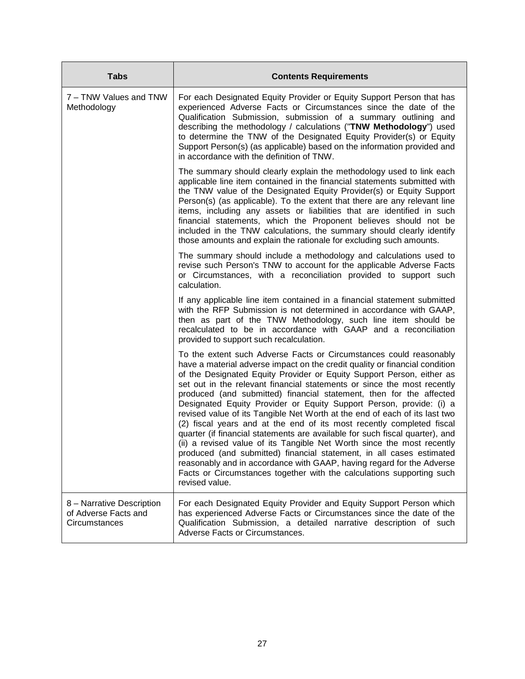| <b>Tabs</b>                                                        | <b>Contents Requirements</b>                                                                                                                                                                                                                                                                                                                                                                                                                                                                                                                                                                                                                                                                                                                                                                                                                                                                                                                                                                                     |
|--------------------------------------------------------------------|------------------------------------------------------------------------------------------------------------------------------------------------------------------------------------------------------------------------------------------------------------------------------------------------------------------------------------------------------------------------------------------------------------------------------------------------------------------------------------------------------------------------------------------------------------------------------------------------------------------------------------------------------------------------------------------------------------------------------------------------------------------------------------------------------------------------------------------------------------------------------------------------------------------------------------------------------------------------------------------------------------------|
| 7 - TNW Values and TNW<br>Methodology                              | For each Designated Equity Provider or Equity Support Person that has<br>experienced Adverse Facts or Circumstances since the date of the<br>Qualification Submission, submission of a summary outlining and<br>describing the methodology / calculations ("TNW Methodology") used<br>to determine the TNW of the Designated Equity Provider(s) or Equity<br>Support Person(s) (as applicable) based on the information provided and<br>in accordance with the definition of TNW.                                                                                                                                                                                                                                                                                                                                                                                                                                                                                                                                |
|                                                                    | The summary should clearly explain the methodology used to link each<br>applicable line item contained in the financial statements submitted with<br>the TNW value of the Designated Equity Provider(s) or Equity Support<br>Person(s) (as applicable). To the extent that there are any relevant line<br>items, including any assets or liabilities that are identified in such<br>financial statements, which the Proponent believes should not be<br>included in the TNW calculations, the summary should clearly identify<br>those amounts and explain the rationale for excluding such amounts.                                                                                                                                                                                                                                                                                                                                                                                                             |
|                                                                    | The summary should include a methodology and calculations used to<br>revise such Person's TNW to account for the applicable Adverse Facts<br>or Circumstances, with a reconciliation provided to support such<br>calculation.                                                                                                                                                                                                                                                                                                                                                                                                                                                                                                                                                                                                                                                                                                                                                                                    |
|                                                                    | If any applicable line item contained in a financial statement submitted<br>with the RFP Submission is not determined in accordance with GAAP,<br>then as part of the TNW Methodology, such line item should be<br>recalculated to be in accordance with GAAP and a reconciliation<br>provided to support such recalculation.                                                                                                                                                                                                                                                                                                                                                                                                                                                                                                                                                                                                                                                                                    |
|                                                                    | To the extent such Adverse Facts or Circumstances could reasonably<br>have a material adverse impact on the credit quality or financial condition<br>of the Designated Equity Provider or Equity Support Person, either as<br>set out in the relevant financial statements or since the most recently<br>produced (and submitted) financial statement, then for the affected<br>Designated Equity Provider or Equity Support Person, provide: (i) a<br>revised value of its Tangible Net Worth at the end of each of its last two<br>(2) fiscal years and at the end of its most recently completed fiscal<br>quarter (if financial statements are available for such fiscal quarter), and<br>(ii) a revised value of its Tangible Net Worth since the most recently<br>produced (and submitted) financial statement, in all cases estimated<br>reasonably and in accordance with GAAP, having regard for the Adverse<br>Facts or Circumstances together with the calculations supporting such<br>revised value. |
| 8 - Narrative Description<br>of Adverse Facts and<br>Circumstances | For each Designated Equity Provider and Equity Support Person which<br>has experienced Adverse Facts or Circumstances since the date of the<br>Qualification Submission, a detailed narrative description of such<br>Adverse Facts or Circumstances.                                                                                                                                                                                                                                                                                                                                                                                                                                                                                                                                                                                                                                                                                                                                                             |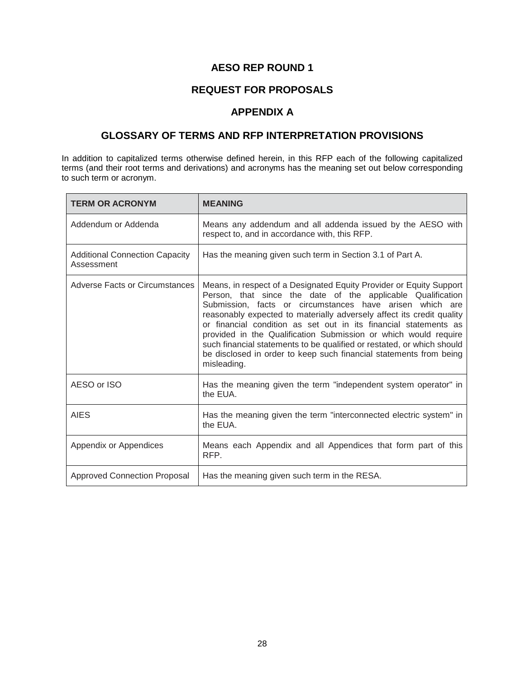## **AESO REP ROUND 1**

## **REQUEST FOR PROPOSALS**

## **APPENDIX A**

## **GLOSSARY OF TERMS AND RFP INTERPRETATION PROVISIONS**

In addition to capitalized terms otherwise defined herein, in this RFP each of the following capitalized terms (and their root terms and derivations) and acronyms has the meaning set out below corresponding to such term or acronym.

| <b>TERM OR ACRONYM</b>                              | <b>MEANING</b>                                                                                                                                                                                                                                                                                                                                                                                                                                                                                                                                                                |
|-----------------------------------------------------|-------------------------------------------------------------------------------------------------------------------------------------------------------------------------------------------------------------------------------------------------------------------------------------------------------------------------------------------------------------------------------------------------------------------------------------------------------------------------------------------------------------------------------------------------------------------------------|
| Addendum or Addenda                                 | Means any addendum and all addenda issued by the AESO with<br>respect to, and in accordance with, this RFP.                                                                                                                                                                                                                                                                                                                                                                                                                                                                   |
| <b>Additional Connection Capacity</b><br>Assessment | Has the meaning given such term in Section 3.1 of Part A.                                                                                                                                                                                                                                                                                                                                                                                                                                                                                                                     |
| Adverse Facts or Circumstances                      | Means, in respect of a Designated Equity Provider or Equity Support<br>Person, that since the date of the applicable Qualification<br>Submission, facts or circumstances have arisen which are<br>reasonably expected to materially adversely affect its credit quality<br>or financial condition as set out in its financial statements as<br>provided in the Qualification Submission or which would require<br>such financial statements to be qualified or restated, or which should<br>be disclosed in order to keep such financial statements from being<br>misleading. |
| AESO or ISO                                         | Has the meaning given the term "independent system operator" in<br>the EUA.                                                                                                                                                                                                                                                                                                                                                                                                                                                                                                   |
| <b>AIES</b>                                         | Has the meaning given the term "interconnected electric system" in<br>the EUA.                                                                                                                                                                                                                                                                                                                                                                                                                                                                                                |
| Appendix or Appendices                              | Means each Appendix and all Appendices that form part of this<br>RFP.                                                                                                                                                                                                                                                                                                                                                                                                                                                                                                         |
| <b>Approved Connection Proposal</b>                 | Has the meaning given such term in the RESA.                                                                                                                                                                                                                                                                                                                                                                                                                                                                                                                                  |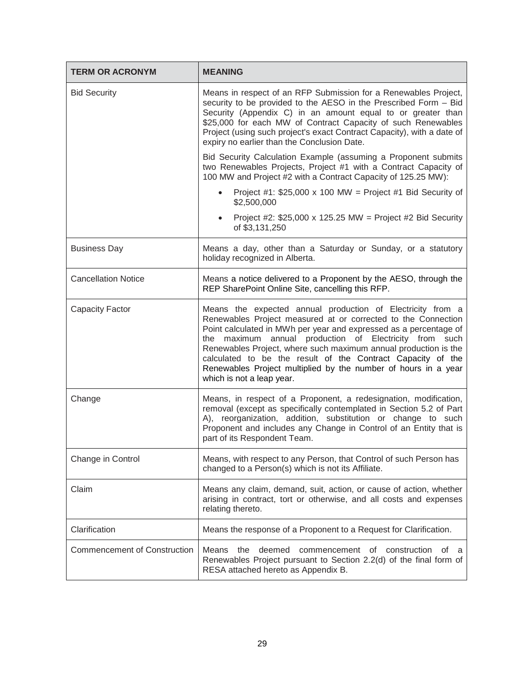| <b>TERM OR ACRONYM</b>              | <b>MEANING</b>                                                                                                                                                                                                                                                                                                                                                                                                                                                                              |
|-------------------------------------|---------------------------------------------------------------------------------------------------------------------------------------------------------------------------------------------------------------------------------------------------------------------------------------------------------------------------------------------------------------------------------------------------------------------------------------------------------------------------------------------|
| <b>Bid Security</b>                 | Means in respect of an RFP Submission for a Renewables Project,<br>security to be provided to the AESO in the Prescribed Form - Bid<br>Security (Appendix C) in an amount equal to or greater than<br>\$25,000 for each MW of Contract Capacity of such Renewables<br>Project (using such project's exact Contract Capacity), with a date of<br>expiry no earlier than the Conclusion Date.                                                                                                 |
|                                     | Bid Security Calculation Example (assuming a Proponent submits<br>two Renewables Projects, Project #1 with a Contract Capacity of<br>100 MW and Project #2 with a Contract Capacity of 125.25 MW):                                                                                                                                                                                                                                                                                          |
|                                     | Project #1: $$25,000 \times 100$ MW = Project #1 Bid Security of<br>\$2,500,000                                                                                                                                                                                                                                                                                                                                                                                                             |
|                                     | Project #2: $$25,000 \times 125.25$ MW = Project #2 Bid Security<br>$\bullet$<br>of \$3,131,250                                                                                                                                                                                                                                                                                                                                                                                             |
| <b>Business Day</b>                 | Means a day, other than a Saturday or Sunday, or a statutory<br>holiday recognized in Alberta.                                                                                                                                                                                                                                                                                                                                                                                              |
| <b>Cancellation Notice</b>          | Means a notice delivered to a Proponent by the AESO, through the<br>REP SharePoint Online Site, cancelling this RFP.                                                                                                                                                                                                                                                                                                                                                                        |
| <b>Capacity Factor</b>              | Means the expected annual production of Electricity from a<br>Renewables Project measured at or corrected to the Connection<br>Point calculated in MWh per year and expressed as a percentage of<br>the maximum annual production of Electricity from such<br>Renewables Project, where such maximum annual production is the<br>calculated to be the result of the Contract Capacity of the<br>Renewables Project multiplied by the number of hours in a year<br>which is not a leap year. |
| Change                              | Means, in respect of a Proponent, a redesignation, modification,<br>removal (except as specifically contemplated in Section 5.2 of Part<br>A), reorganization, addition, substitution or change to such<br>Proponent and includes any Change in Control of an Entity that is<br>part of its Respondent Team.                                                                                                                                                                                |
| Change in Control                   | Means, with respect to any Person, that Control of such Person has<br>changed to a Person(s) which is not its Affiliate.                                                                                                                                                                                                                                                                                                                                                                    |
| Claim                               | Means any claim, demand, suit, action, or cause of action, whether<br>arising in contract, tort or otherwise, and all costs and expenses<br>relating thereto.                                                                                                                                                                                                                                                                                                                               |
| Clarification                       | Means the response of a Proponent to a Request for Clarification.                                                                                                                                                                                                                                                                                                                                                                                                                           |
| <b>Commencement of Construction</b> | <b>Means</b><br>the<br>deemed<br>commencement of<br>construction of<br>Renewables Project pursuant to Section 2.2(d) of the final form of<br>RESA attached hereto as Appendix B.                                                                                                                                                                                                                                                                                                            |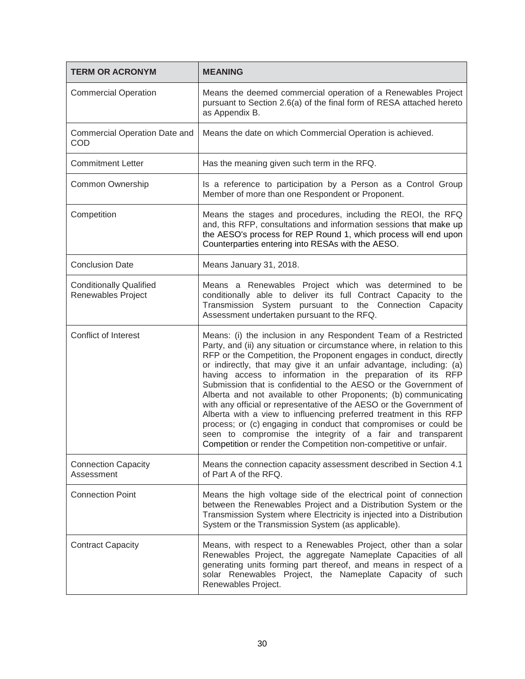| <b>TERM OR ACRONYM</b>                               | <b>MEANING</b>                                                                                                                                                                                                                                                                                                                                                                                                                                                                                                                                                                                                                                                                                                                                                                                                                                     |
|------------------------------------------------------|----------------------------------------------------------------------------------------------------------------------------------------------------------------------------------------------------------------------------------------------------------------------------------------------------------------------------------------------------------------------------------------------------------------------------------------------------------------------------------------------------------------------------------------------------------------------------------------------------------------------------------------------------------------------------------------------------------------------------------------------------------------------------------------------------------------------------------------------------|
| <b>Commercial Operation</b>                          | Means the deemed commercial operation of a Renewables Project<br>pursuant to Section 2.6(a) of the final form of RESA attached hereto<br>as Appendix B.                                                                                                                                                                                                                                                                                                                                                                                                                                                                                                                                                                                                                                                                                            |
| <b>Commercial Operation Date and</b><br><b>COD</b>   | Means the date on which Commercial Operation is achieved.                                                                                                                                                                                                                                                                                                                                                                                                                                                                                                                                                                                                                                                                                                                                                                                          |
| <b>Commitment Letter</b>                             | Has the meaning given such term in the RFQ.                                                                                                                                                                                                                                                                                                                                                                                                                                                                                                                                                                                                                                                                                                                                                                                                        |
| <b>Common Ownership</b>                              | Is a reference to participation by a Person as a Control Group<br>Member of more than one Respondent or Proponent.                                                                                                                                                                                                                                                                                                                                                                                                                                                                                                                                                                                                                                                                                                                                 |
| Competition                                          | Means the stages and procedures, including the REOI, the RFQ<br>and, this RFP, consultations and information sessions that make up<br>the AESO's process for REP Round 1, which process will end upon<br>Counterparties entering into RESAs with the AESO.                                                                                                                                                                                                                                                                                                                                                                                                                                                                                                                                                                                         |
| <b>Conclusion Date</b>                               | Means January 31, 2018.                                                                                                                                                                                                                                                                                                                                                                                                                                                                                                                                                                                                                                                                                                                                                                                                                            |
| <b>Conditionally Qualified</b><br>Renewables Project | Means a Renewables Project which was determined to be<br>conditionally able to deliver its full Contract Capacity to the<br>Transmission System pursuant to the Connection Capacity<br>Assessment undertaken pursuant to the RFQ.                                                                                                                                                                                                                                                                                                                                                                                                                                                                                                                                                                                                                  |
| Conflict of Interest                                 | Means: (i) the inclusion in any Respondent Team of a Restricted<br>Party, and (ii) any situation or circumstance where, in relation to this<br>RFP or the Competition, the Proponent engages in conduct, directly<br>or indirectly, that may give it an unfair advantage, including: (a)<br>having access to information in the preparation of its RFP<br>Submission that is confidential to the AESO or the Government of<br>Alberta and not available to other Proponents; (b) communicating<br>with any official or representative of the AESO or the Government of<br>Alberta with a view to influencing preferred treatment in this RFP<br>process; or (c) engaging in conduct that compromises or could be<br>seen to compromise the integrity of a fair and transparent<br>Competition or render the Competition non-competitive or unfair. |
| <b>Connection Capacity</b><br>Assessment             | Means the connection capacity assessment described in Section 4.1<br>of Part A of the RFQ.                                                                                                                                                                                                                                                                                                                                                                                                                                                                                                                                                                                                                                                                                                                                                         |
| <b>Connection Point</b>                              | Means the high voltage side of the electrical point of connection<br>between the Renewables Project and a Distribution System or the<br>Transmission System where Electricity is injected into a Distribution<br>System or the Transmission System (as applicable).                                                                                                                                                                                                                                                                                                                                                                                                                                                                                                                                                                                |
| <b>Contract Capacity</b>                             | Means, with respect to a Renewables Project, other than a solar<br>Renewables Project, the aggregate Nameplate Capacities of all<br>generating units forming part thereof, and means in respect of a<br>solar Renewables Project, the Nameplate Capacity of such<br>Renewables Project.                                                                                                                                                                                                                                                                                                                                                                                                                                                                                                                                                            |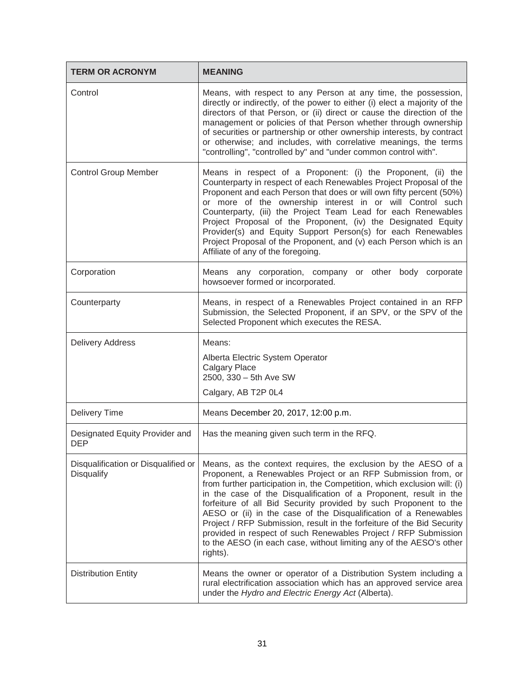| <b>TERM OR ACRONYM</b>                            | <b>MEANING</b>                                                                                                                                                                                                                                                                                                                                                                                                                                                                                                                                                                                                                                            |
|---------------------------------------------------|-----------------------------------------------------------------------------------------------------------------------------------------------------------------------------------------------------------------------------------------------------------------------------------------------------------------------------------------------------------------------------------------------------------------------------------------------------------------------------------------------------------------------------------------------------------------------------------------------------------------------------------------------------------|
| Control                                           | Means, with respect to any Person at any time, the possession,<br>directly or indirectly, of the power to either (i) elect a majority of the<br>directors of that Person, or (ii) direct or cause the direction of the<br>management or policies of that Person whether through ownership<br>of securities or partnership or other ownership interests, by contract<br>or otherwise; and includes, with correlative meanings, the terms<br>"controlling", "controlled by" and "under common control with".                                                                                                                                                |
| <b>Control Group Member</b>                       | Means in respect of a Proponent: (i) the Proponent, (ii) the<br>Counterparty in respect of each Renewables Project Proposal of the<br>Proponent and each Person that does or will own fifty percent (50%)<br>or more of the ownership interest in or will Control such<br>Counterparty, (iii) the Project Team Lead for each Renewables<br>Project Proposal of the Proponent, (iv) the Designated Equity<br>Provider(s) and Equity Support Person(s) for each Renewables<br>Project Proposal of the Proponent, and (v) each Person which is an<br>Affiliate of any of the foregoing.                                                                      |
| Corporation                                       | Means any corporation, company or other body corporate<br>howsoever formed or incorporated.                                                                                                                                                                                                                                                                                                                                                                                                                                                                                                                                                               |
| Counterparty                                      | Means, in respect of a Renewables Project contained in an RFP<br>Submission, the Selected Proponent, if an SPV, or the SPV of the<br>Selected Proponent which executes the RESA.                                                                                                                                                                                                                                                                                                                                                                                                                                                                          |
| <b>Delivery Address</b>                           | Means:                                                                                                                                                                                                                                                                                                                                                                                                                                                                                                                                                                                                                                                    |
|                                                   | Alberta Electric System Operator<br><b>Calgary Place</b><br>2500, 330 - 5th Ave SW                                                                                                                                                                                                                                                                                                                                                                                                                                                                                                                                                                        |
|                                                   | Calgary, AB T2P 0L4                                                                                                                                                                                                                                                                                                                                                                                                                                                                                                                                                                                                                                       |
| <b>Delivery Time</b>                              | Means December 20, 2017, 12:00 p.m.                                                                                                                                                                                                                                                                                                                                                                                                                                                                                                                                                                                                                       |
| Designated Equity Provider and<br><b>DEP</b>      | Has the meaning given such term in the RFQ.                                                                                                                                                                                                                                                                                                                                                                                                                                                                                                                                                                                                               |
| Disqualification or Disqualified or<br>Disqualify | Means, as the context requires, the exclusion by the AESO of a<br>Proponent, a Renewables Project or an RFP Submission from, or<br>from further participation in, the Competition, which exclusion will: (i)<br>in the case of the Disqualification of a Proponent, result in the<br>forfeiture of all Bid Security provided by such Proponent to the<br>AESO or (ii) in the case of the Disqualification of a Renewables<br>Project / RFP Submission, result in the forfeiture of the Bid Security<br>provided in respect of such Renewables Project / RFP Submission<br>to the AESO (in each case, without limiting any of the AESO's other<br>rights). |
| <b>Distribution Entity</b>                        | Means the owner or operator of a Distribution System including a<br>rural electrification association which has an approved service area<br>under the Hydro and Electric Energy Act (Alberta).                                                                                                                                                                                                                                                                                                                                                                                                                                                            |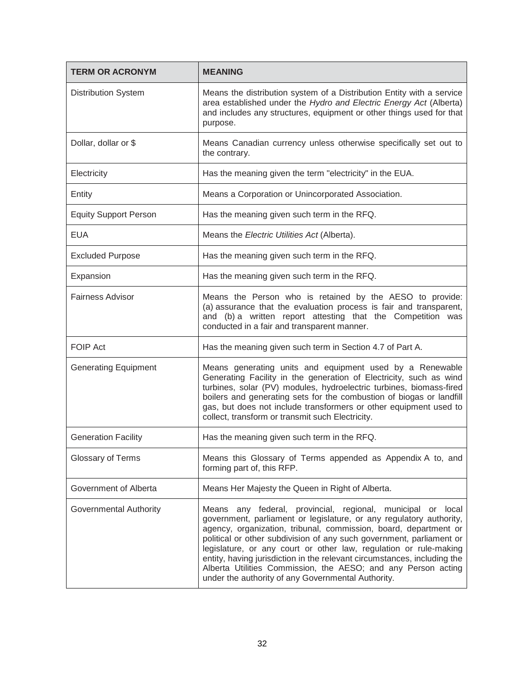| <b>TERM OR ACRONYM</b>        | <b>MEANING</b>                                                                                                                                                                                                                                                                                                                                                                                                                                                                                                                                         |
|-------------------------------|--------------------------------------------------------------------------------------------------------------------------------------------------------------------------------------------------------------------------------------------------------------------------------------------------------------------------------------------------------------------------------------------------------------------------------------------------------------------------------------------------------------------------------------------------------|
| <b>Distribution System</b>    | Means the distribution system of a Distribution Entity with a service<br>area established under the Hydro and Electric Energy Act (Alberta)<br>and includes any structures, equipment or other things used for that<br>purpose.                                                                                                                                                                                                                                                                                                                        |
| Dollar, dollar or \$          | Means Canadian currency unless otherwise specifically set out to<br>the contrary.                                                                                                                                                                                                                                                                                                                                                                                                                                                                      |
| Electricity                   | Has the meaning given the term "electricity" in the EUA.                                                                                                                                                                                                                                                                                                                                                                                                                                                                                               |
| Entity                        | Means a Corporation or Unincorporated Association.                                                                                                                                                                                                                                                                                                                                                                                                                                                                                                     |
| <b>Equity Support Person</b>  | Has the meaning given such term in the RFQ.                                                                                                                                                                                                                                                                                                                                                                                                                                                                                                            |
| <b>EUA</b>                    | Means the Electric Utilities Act (Alberta).                                                                                                                                                                                                                                                                                                                                                                                                                                                                                                            |
| <b>Excluded Purpose</b>       | Has the meaning given such term in the RFQ.                                                                                                                                                                                                                                                                                                                                                                                                                                                                                                            |
| Expansion                     | Has the meaning given such term in the RFQ.                                                                                                                                                                                                                                                                                                                                                                                                                                                                                                            |
| <b>Fairness Advisor</b>       | Means the Person who is retained by the AESO to provide:<br>(a) assurance that the evaluation process is fair and transparent,<br>and (b) a written report attesting that the Competition was<br>conducted in a fair and transparent manner.                                                                                                                                                                                                                                                                                                           |
| <b>FOIP Act</b>               | Has the meaning given such term in Section 4.7 of Part A.                                                                                                                                                                                                                                                                                                                                                                                                                                                                                              |
| <b>Generating Equipment</b>   | Means generating units and equipment used by a Renewable<br>Generating Facility in the generation of Electricity, such as wind<br>turbines, solar (PV) modules, hydroelectric turbines, biomass-fired<br>boilers and generating sets for the combustion of biogas or landfill<br>gas, but does not include transformers or other equipment used to<br>collect, transform or transmit such Electricity.                                                                                                                                                 |
| <b>Generation Facility</b>    | Has the meaning given such term in the RFQ.                                                                                                                                                                                                                                                                                                                                                                                                                                                                                                            |
| Glossary of Terms             | Means this Glossary of Terms appended as Appendix A to, and<br>forming part of, this RFP.                                                                                                                                                                                                                                                                                                                                                                                                                                                              |
| Government of Alberta         | Means Her Majesty the Queen in Right of Alberta.                                                                                                                                                                                                                                                                                                                                                                                                                                                                                                       |
| <b>Governmental Authority</b> | Means any federal, provincial, regional, municipal or local<br>government, parliament or legislature, or any regulatory authority,<br>agency, organization, tribunal, commission, board, department or<br>political or other subdivision of any such government, parliament or<br>legislature, or any court or other law, regulation or rule-making<br>entity, having jurisdiction in the relevant circumstances, including the<br>Alberta Utilities Commission, the AESO; and any Person acting<br>under the authority of any Governmental Authority. |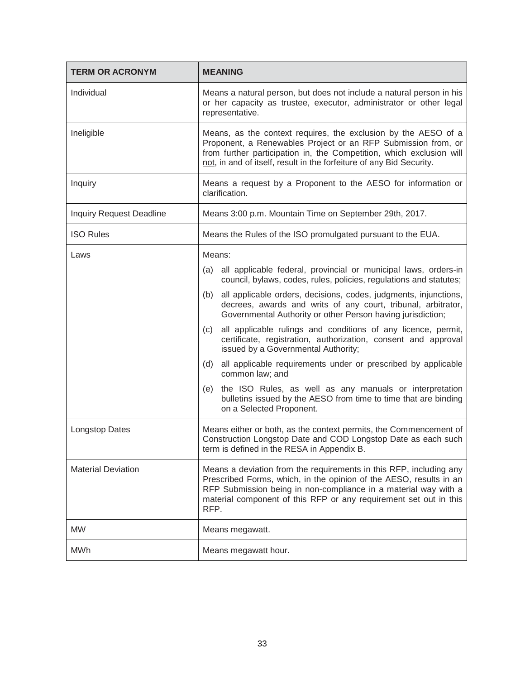| <b>TERM OR ACRONYM</b>    | <b>MEANING</b>                                                                                                                                                                                                                                                                           |  |
|---------------------------|------------------------------------------------------------------------------------------------------------------------------------------------------------------------------------------------------------------------------------------------------------------------------------------|--|
| Individual                | Means a natural person, but does not include a natural person in his<br>or her capacity as trustee, executor, administrator or other legal<br>representative.                                                                                                                            |  |
| Ineligible                | Means, as the context requires, the exclusion by the AESO of a<br>Proponent, a Renewables Project or an RFP Submission from, or<br>from further participation in, the Competition, which exclusion will<br>not, in and of itself, result in the forfeiture of any Bid Security.          |  |
| Inquiry                   | Means a request by a Proponent to the AESO for information or<br>clarification.                                                                                                                                                                                                          |  |
| Inquiry Request Deadline  | Means 3:00 p.m. Mountain Time on September 29th, 2017.                                                                                                                                                                                                                                   |  |
| <b>ISO Rules</b>          | Means the Rules of the ISO promulgated pursuant to the EUA.                                                                                                                                                                                                                              |  |
| Laws                      | Means:                                                                                                                                                                                                                                                                                   |  |
|                           | all applicable federal, provincial or municipal laws, orders-in<br>(a)<br>council, bylaws, codes, rules, policies, regulations and statutes;                                                                                                                                             |  |
|                           | all applicable orders, decisions, codes, judgments, injunctions,<br>(b)<br>decrees, awards and writs of any court, tribunal, arbitrator,<br>Governmental Authority or other Person having jurisdiction;                                                                                  |  |
|                           | all applicable rulings and conditions of any licence, permit,<br>(c)<br>certificate, registration, authorization, consent and approval<br>issued by a Governmental Authority;                                                                                                            |  |
|                           | all applicable requirements under or prescribed by applicable<br>(d)<br>common law; and                                                                                                                                                                                                  |  |
|                           | the ISO Rules, as well as any manuals or interpretation<br>(e)<br>bulletins issued by the AESO from time to time that are binding<br>on a Selected Proponent.                                                                                                                            |  |
| <b>Longstop Dates</b>     | Means either or both, as the context permits, the Commencement of<br>Construction Longstop Date and COD Longstop Date as each such<br>term is defined in the RESA in Appendix B.                                                                                                         |  |
| <b>Material Deviation</b> | Means a deviation from the requirements in this RFP, including any<br>Prescribed Forms, which, in the opinion of the AESO, results in an<br>RFP Submission being in non-compliance in a material way with a<br>material component of this RFP or any requirement set out in this<br>RFP. |  |
| <b>MW</b>                 | Means megawatt.                                                                                                                                                                                                                                                                          |  |
| <b>MWh</b>                | Means megawatt hour.                                                                                                                                                                                                                                                                     |  |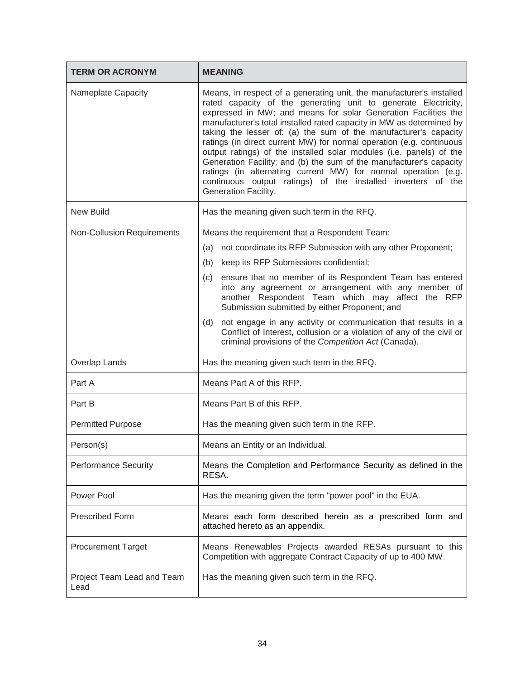| <b>TERM OR ACRONYM</b>             | <b>MEANING</b>                                                                                                                                                                                                                                                                                                                                                                                                                                                                                                                                                                                                                                                                                                                       |  |
|------------------------------------|--------------------------------------------------------------------------------------------------------------------------------------------------------------------------------------------------------------------------------------------------------------------------------------------------------------------------------------------------------------------------------------------------------------------------------------------------------------------------------------------------------------------------------------------------------------------------------------------------------------------------------------------------------------------------------------------------------------------------------------|--|
| Nameplate Capacity                 | Means, in respect of a generating unit, the manufacturer's installed<br>rated capacity of the generating unit to generate Electricity,<br>expressed in MW; and means for solar Generation Facilities the<br>manufacturer's total installed rated capacity in MW as determined by<br>taking the lesser of: (a) the sum of the manufacturer's capacity<br>ratings (in direct current MW) for normal operation (e.g. continuous<br>output ratings) of the installed solar modules (i.e. panels) of the<br>Generation Facility; and (b) the sum of the manufacturer's capacity<br>ratings (in alternating current MW) for normal operation (e.g.<br>continuous output ratings) of the installed inverters of the<br>Generation Facility. |  |
| <b>New Build</b>                   | Has the meaning given such term in the RFQ.                                                                                                                                                                                                                                                                                                                                                                                                                                                                                                                                                                                                                                                                                          |  |
| <b>Non-Collusion Requirements</b>  | Means the requirement that a Respondent Team:                                                                                                                                                                                                                                                                                                                                                                                                                                                                                                                                                                                                                                                                                        |  |
|                                    | not coordinate its RFP Submission with any other Proponent;<br>(a)                                                                                                                                                                                                                                                                                                                                                                                                                                                                                                                                                                                                                                                                   |  |
|                                    | keep its RFP Submissions confidential;<br>(b)                                                                                                                                                                                                                                                                                                                                                                                                                                                                                                                                                                                                                                                                                        |  |
|                                    | ensure that no member of its Respondent Team has entered<br>(c)<br>into any agreement or arrangement with any member of<br>another Respondent Team which may affect the RFP<br>Submission submitted by either Proponent; and                                                                                                                                                                                                                                                                                                                                                                                                                                                                                                         |  |
|                                    | not engage in any activity or communication that results in a<br>(d)<br>Conflict of Interest, collusion or a violation of any of the civil or<br>criminal provisions of the Competition Act (Canada).                                                                                                                                                                                                                                                                                                                                                                                                                                                                                                                                |  |
| Overlap Lands                      | Has the meaning given such term in the RFQ.                                                                                                                                                                                                                                                                                                                                                                                                                                                                                                                                                                                                                                                                                          |  |
| Part A                             | Means Part A of this RFP.                                                                                                                                                                                                                                                                                                                                                                                                                                                                                                                                                                                                                                                                                                            |  |
| Part B                             | Means Part B of this RFP.                                                                                                                                                                                                                                                                                                                                                                                                                                                                                                                                                                                                                                                                                                            |  |
| <b>Permitted Purpose</b>           | Has the meaning given such term in the RFP.                                                                                                                                                                                                                                                                                                                                                                                                                                                                                                                                                                                                                                                                                          |  |
| Person(s)                          | Means an Entity or an Individual.                                                                                                                                                                                                                                                                                                                                                                                                                                                                                                                                                                                                                                                                                                    |  |
| <b>Performance Security</b>        | Means the Completion and Performance Security as defined in the<br>RESA.                                                                                                                                                                                                                                                                                                                                                                                                                                                                                                                                                                                                                                                             |  |
| Power Pool                         | Has the meaning given the term "power pool" in the EUA.                                                                                                                                                                                                                                                                                                                                                                                                                                                                                                                                                                                                                                                                              |  |
| <b>Prescribed Form</b>             | Means each form described herein as a prescribed form and<br>attached hereto as an appendix.                                                                                                                                                                                                                                                                                                                                                                                                                                                                                                                                                                                                                                         |  |
| <b>Procurement Target</b>          | Means Renewables Projects awarded RESAs pursuant to this<br>Competition with aggregate Contract Capacity of up to 400 MW.                                                                                                                                                                                                                                                                                                                                                                                                                                                                                                                                                                                                            |  |
| Project Team Lead and Team<br>Lead | Has the meaning given such term in the RFQ.                                                                                                                                                                                                                                                                                                                                                                                                                                                                                                                                                                                                                                                                                          |  |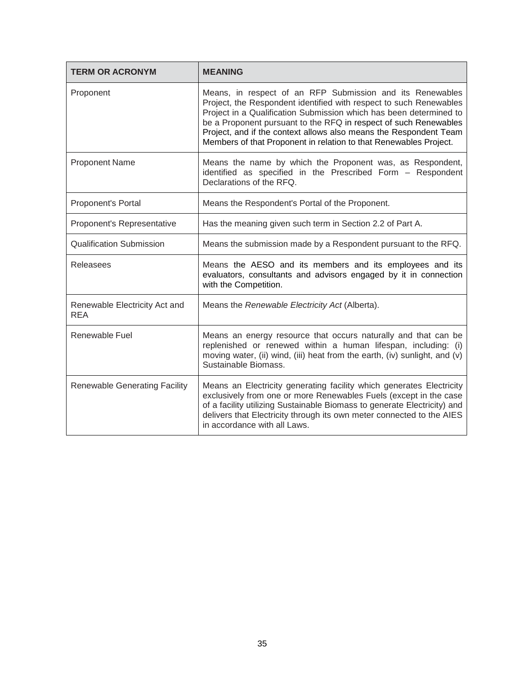| <b>TERM OR ACRONYM</b>               | <b>MEANING</b>                                                                                                                                                                                                                                                                                                                                                                                                      |
|--------------------------------------|---------------------------------------------------------------------------------------------------------------------------------------------------------------------------------------------------------------------------------------------------------------------------------------------------------------------------------------------------------------------------------------------------------------------|
| Proponent                            | Means, in respect of an RFP Submission and its Renewables<br>Project, the Respondent identified with respect to such Renewables<br>Project in a Qualification Submission which has been determined to<br>be a Proponent pursuant to the RFQ in respect of such Renewables<br>Project, and if the context allows also means the Respondent Team<br>Members of that Proponent in relation to that Renewables Project. |
| <b>Proponent Name</b>                | Means the name by which the Proponent was, as Respondent,<br>identified as specified in the Prescribed Form - Respondent<br>Declarations of the RFQ.                                                                                                                                                                                                                                                                |
| Proponent's Portal                   | Means the Respondent's Portal of the Proponent.                                                                                                                                                                                                                                                                                                                                                                     |
| Proponent's Representative           | Has the meaning given such term in Section 2.2 of Part A.                                                                                                                                                                                                                                                                                                                                                           |
| <b>Qualification Submission</b>      | Means the submission made by a Respondent pursuant to the RFQ.                                                                                                                                                                                                                                                                                                                                                      |
| <b>Releasees</b>                     | Means the AESO and its members and its employees and its<br>evaluators, consultants and advisors engaged by it in connection<br>with the Competition.                                                                                                                                                                                                                                                               |
| Renewable Electricity Act and<br>REA | Means the Renewable Electricity Act (Alberta).                                                                                                                                                                                                                                                                                                                                                                      |
| Renewable Fuel                       | Means an energy resource that occurs naturally and that can be<br>replenished or renewed within a human lifespan, including: (i)<br>moving water, (ii) wind, (iii) heat from the earth, (iv) sunlight, and (v)<br>Sustainable Biomass.                                                                                                                                                                              |
| <b>Renewable Generating Facility</b> | Means an Electricity generating facility which generates Electricity<br>exclusively from one or more Renewables Fuels (except in the case<br>of a facility utilizing Sustainable Biomass to generate Electricity) and<br>delivers that Electricity through its own meter connected to the AIES<br>in accordance with all Laws.                                                                                      |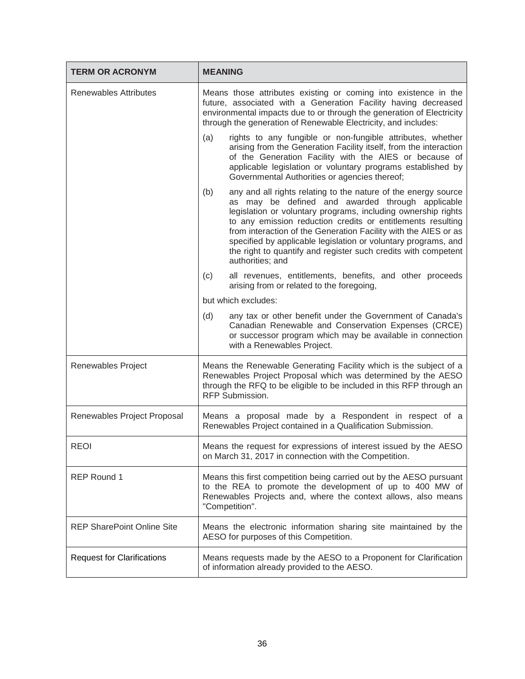| <b>TERM OR ACRONYM</b>            | <b>MEANING</b>                                                                                                                                                                                                                                                                                                                                                                                                                                                                       |  |
|-----------------------------------|--------------------------------------------------------------------------------------------------------------------------------------------------------------------------------------------------------------------------------------------------------------------------------------------------------------------------------------------------------------------------------------------------------------------------------------------------------------------------------------|--|
| <b>Renewables Attributes</b>      | Means those attributes existing or coming into existence in the<br>future, associated with a Generation Facility having decreased<br>environmental impacts due to or through the generation of Electricity<br>through the generation of Renewable Electricity, and includes:                                                                                                                                                                                                         |  |
|                                   | rights to any fungible or non-fungible attributes, whether<br>(a)<br>arising from the Generation Facility itself, from the interaction<br>of the Generation Facility with the AIES or because of<br>applicable legislation or voluntary programs established by<br>Governmental Authorities or agencies thereof;                                                                                                                                                                     |  |
|                                   | any and all rights relating to the nature of the energy source<br>(b)<br>as may be defined and awarded through applicable<br>legislation or voluntary programs, including ownership rights<br>to any emission reduction credits or entitlements resulting<br>from interaction of the Generation Facility with the AIES or as<br>specified by applicable legislation or voluntary programs, and<br>the right to quantify and register such credits with competent<br>authorities; and |  |
|                                   | all revenues, entitlements, benefits, and other proceeds<br>(c)<br>arising from or related to the foregoing,                                                                                                                                                                                                                                                                                                                                                                         |  |
|                                   | but which excludes:                                                                                                                                                                                                                                                                                                                                                                                                                                                                  |  |
|                                   | (d)<br>any tax or other benefit under the Government of Canada's<br>Canadian Renewable and Conservation Expenses (CRCE)<br>or successor program which may be available in connection<br>with a Renewables Project.                                                                                                                                                                                                                                                                   |  |
| Renewables Project                | Means the Renewable Generating Facility which is the subject of a<br>Renewables Project Proposal which was determined by the AESO<br>through the RFQ to be eligible to be included in this RFP through an<br>RFP Submission.                                                                                                                                                                                                                                                         |  |
| Renewables Project Proposal       | Means a proposal made by a Respondent in respect of a<br>Renewables Project contained in a Qualification Submission.                                                                                                                                                                                                                                                                                                                                                                 |  |
| <b>REOI</b>                       | Means the request for expressions of interest issued by the AESO<br>on March 31, 2017 in connection with the Competition.                                                                                                                                                                                                                                                                                                                                                            |  |
| <b>REP Round 1</b>                | Means this first competition being carried out by the AESO pursuant<br>to the REA to promote the development of up to 400 MW of<br>Renewables Projects and, where the context allows, also means<br>"Competition".                                                                                                                                                                                                                                                                   |  |
| <b>REP SharePoint Online Site</b> | Means the electronic information sharing site maintained by the<br>AESO for purposes of this Competition.                                                                                                                                                                                                                                                                                                                                                                            |  |
| <b>Request for Clarifications</b> | Means requests made by the AESO to a Proponent for Clarification<br>of information already provided to the AESO.                                                                                                                                                                                                                                                                                                                                                                     |  |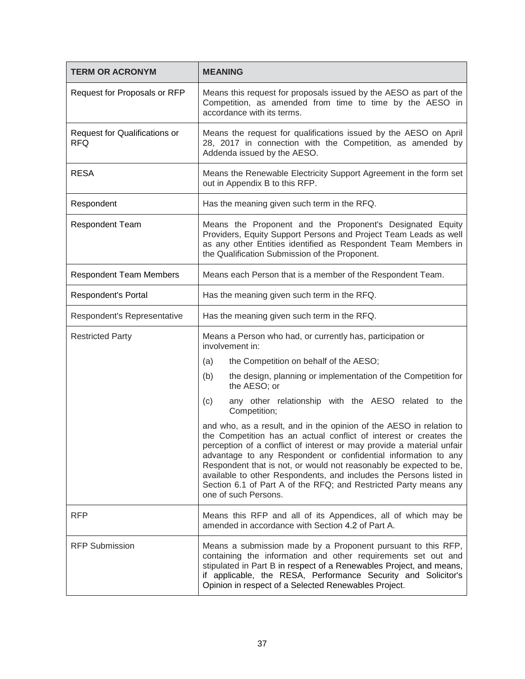| <b>TERM OR ACRONYM</b>                      | <b>MEANING</b>                                                                                                                                                                                                                                                                                                                                                                                                                                                                                                              |  |
|---------------------------------------------|-----------------------------------------------------------------------------------------------------------------------------------------------------------------------------------------------------------------------------------------------------------------------------------------------------------------------------------------------------------------------------------------------------------------------------------------------------------------------------------------------------------------------------|--|
| Request for Proposals or RFP                | Means this request for proposals issued by the AESO as part of the<br>Competition, as amended from time to time by the AESO in<br>accordance with its terms.                                                                                                                                                                                                                                                                                                                                                                |  |
| Request for Qualifications or<br><b>RFQ</b> | Means the request for qualifications issued by the AESO on April<br>28, 2017 in connection with the Competition, as amended by<br>Addenda issued by the AESO.                                                                                                                                                                                                                                                                                                                                                               |  |
| <b>RESA</b>                                 | Means the Renewable Electricity Support Agreement in the form set<br>out in Appendix B to this RFP.                                                                                                                                                                                                                                                                                                                                                                                                                         |  |
| Respondent                                  | Has the meaning given such term in the RFQ.                                                                                                                                                                                                                                                                                                                                                                                                                                                                                 |  |
| <b>Respondent Team</b>                      | Means the Proponent and the Proponent's Designated Equity<br>Providers, Equity Support Persons and Project Team Leads as well<br>as any other Entities identified as Respondent Team Members in<br>the Qualification Submission of the Proponent.                                                                                                                                                                                                                                                                           |  |
| <b>Respondent Team Members</b>              | Means each Person that is a member of the Respondent Team.                                                                                                                                                                                                                                                                                                                                                                                                                                                                  |  |
| Respondent's Portal                         | Has the meaning given such term in the RFQ.                                                                                                                                                                                                                                                                                                                                                                                                                                                                                 |  |
| Respondent's Representative                 | Has the meaning given such term in the RFQ.                                                                                                                                                                                                                                                                                                                                                                                                                                                                                 |  |
| <b>Restricted Party</b>                     | Means a Person who had, or currently has, participation or<br>involvement in:                                                                                                                                                                                                                                                                                                                                                                                                                                               |  |
|                                             | the Competition on behalf of the AESO;<br>(a)                                                                                                                                                                                                                                                                                                                                                                                                                                                                               |  |
|                                             | the design, planning or implementation of the Competition for<br>(b)<br>the AESO; or                                                                                                                                                                                                                                                                                                                                                                                                                                        |  |
|                                             | any other relationship with the AESO related to the<br>(c)<br>Competition;                                                                                                                                                                                                                                                                                                                                                                                                                                                  |  |
|                                             | and who, as a result, and in the opinion of the AESO in relation to<br>the Competition has an actual conflict of interest or creates the<br>perception of a conflict of interest or may provide a material unfair<br>advantage to any Respondent or confidential information to any<br>Respondent that is not, or would not reasonably be expected to be,<br>available to other Respondents, and includes the Persons listed in<br>Section 6.1 of Part A of the RFQ; and Restricted Party means any<br>one of such Persons. |  |
| <b>RFP</b>                                  | Means this RFP and all of its Appendices, all of which may be<br>amended in accordance with Section 4.2 of Part A.                                                                                                                                                                                                                                                                                                                                                                                                          |  |
| <b>RFP Submission</b>                       | Means a submission made by a Proponent pursuant to this RFP,<br>containing the information and other requirements set out and<br>stipulated in Part B in respect of a Renewables Project, and means,<br>if applicable, the RESA, Performance Security and Solicitor's<br>Opinion in respect of a Selected Renewables Project.                                                                                                                                                                                               |  |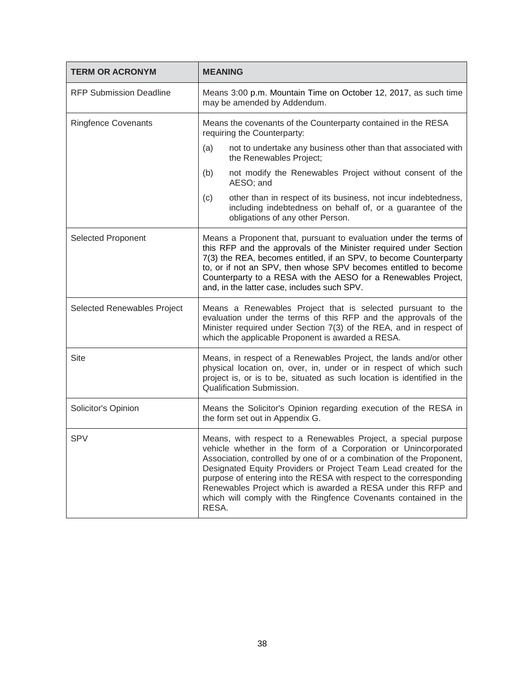| <b>TERM OR ACRONYM</b>         | <b>MEANING</b>                                                                                                                                                                                                                                                                                                                                                                                                                                                                                   |  |
|--------------------------------|--------------------------------------------------------------------------------------------------------------------------------------------------------------------------------------------------------------------------------------------------------------------------------------------------------------------------------------------------------------------------------------------------------------------------------------------------------------------------------------------------|--|
| <b>RFP Submission Deadline</b> | Means 3:00 p.m. Mountain Time on October 12, 2017, as such time<br>may be amended by Addendum.                                                                                                                                                                                                                                                                                                                                                                                                   |  |
| <b>Ringfence Covenants</b>     | Means the covenants of the Counterparty contained in the RESA<br>requiring the Counterparty:                                                                                                                                                                                                                                                                                                                                                                                                     |  |
|                                | not to undertake any business other than that associated with<br>(a)<br>the Renewables Project;                                                                                                                                                                                                                                                                                                                                                                                                  |  |
|                                | not modify the Renewables Project without consent of the<br>(b)<br>AESO; and                                                                                                                                                                                                                                                                                                                                                                                                                     |  |
|                                | other than in respect of its business, not incur indebtedness,<br>(c)<br>including indebtedness on behalf of, or a guarantee of the<br>obligations of any other Person.                                                                                                                                                                                                                                                                                                                          |  |
| <b>Selected Proponent</b>      | Means a Proponent that, pursuant to evaluation under the terms of<br>this RFP and the approvals of the Minister required under Section<br>7(3) the REA, becomes entitled, if an SPV, to become Counterparty<br>to, or if not an SPV, then whose SPV becomes entitled to become<br>Counterparty to a RESA with the AESO for a Renewables Project,<br>and, in the latter case, includes such SPV.                                                                                                  |  |
| Selected Renewables Project    | Means a Renewables Project that is selected pursuant to the<br>evaluation under the terms of this RFP and the approvals of the<br>Minister required under Section 7(3) of the REA, and in respect of<br>which the applicable Proponent is awarded a RESA.                                                                                                                                                                                                                                        |  |
| <b>Site</b>                    | Means, in respect of a Renewables Project, the lands and/or other<br>physical location on, over, in, under or in respect of which such<br>project is, or is to be, situated as such location is identified in the<br>Qualification Submission.                                                                                                                                                                                                                                                   |  |
| Solicitor's Opinion            | Means the Solicitor's Opinion regarding execution of the RESA in<br>the form set out in Appendix G.                                                                                                                                                                                                                                                                                                                                                                                              |  |
| <b>SPV</b>                     | Means, with respect to a Renewables Project, a special purpose<br>vehicle whether in the form of a Corporation or Unincorporated<br>Association, controlled by one of or a combination of the Proponent,<br>Designated Equity Providers or Project Team Lead created for the<br>purpose of entering into the RESA with respect to the corresponding<br>Renewables Project which is awarded a RESA under this RFP and<br>which will comply with the Ringfence Covenants contained in the<br>RESA. |  |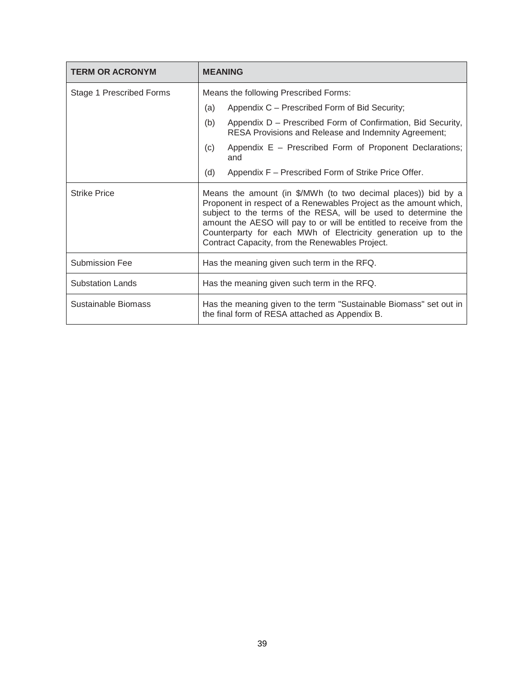| <b>TERM OR ACRONYM</b>   | <b>MEANING</b>                                                                                                                                                                                                                                                                                                                                                                                   |  |
|--------------------------|--------------------------------------------------------------------------------------------------------------------------------------------------------------------------------------------------------------------------------------------------------------------------------------------------------------------------------------------------------------------------------------------------|--|
| Stage 1 Prescribed Forms | Means the following Prescribed Forms:                                                                                                                                                                                                                                                                                                                                                            |  |
|                          | Appendix C - Prescribed Form of Bid Security;<br>(a)                                                                                                                                                                                                                                                                                                                                             |  |
|                          | (b)<br>Appendix D - Prescribed Form of Confirmation, Bid Security,<br>RESA Provisions and Release and Indemnity Agreement;                                                                                                                                                                                                                                                                       |  |
|                          | Appendix E - Prescribed Form of Proponent Declarations;<br>(c)<br>and                                                                                                                                                                                                                                                                                                                            |  |
|                          | Appendix F - Prescribed Form of Strike Price Offer.<br>(d)                                                                                                                                                                                                                                                                                                                                       |  |
| <b>Strike Price</b>      | Means the amount (in \$/MWh (to two decimal places)) bid by a<br>Proponent in respect of a Renewables Project as the amount which,<br>subject to the terms of the RESA, will be used to determine the<br>amount the AESO will pay to or will be entitled to receive from the<br>Counterparty for each MWh of Electricity generation up to the<br>Contract Capacity, from the Renewables Project. |  |
| <b>Submission Fee</b>    | Has the meaning given such term in the RFQ.                                                                                                                                                                                                                                                                                                                                                      |  |
| <b>Substation Lands</b>  | Has the meaning given such term in the RFQ.                                                                                                                                                                                                                                                                                                                                                      |  |
| Sustainable Biomass      | Has the meaning given to the term "Sustainable Biomass" set out in<br>the final form of RESA attached as Appendix B.                                                                                                                                                                                                                                                                             |  |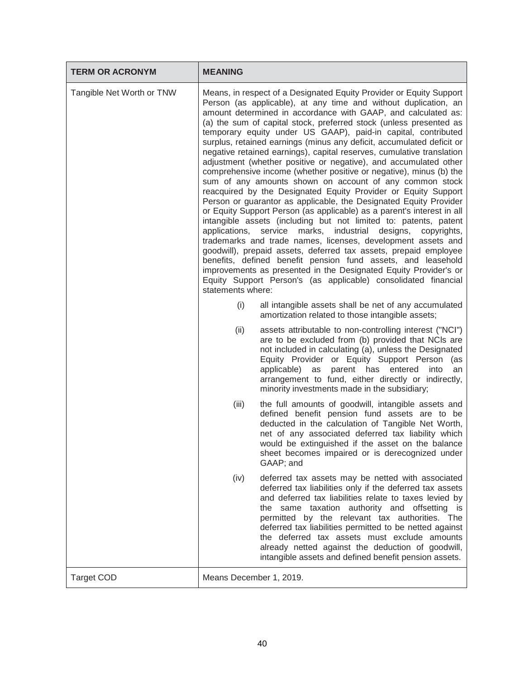| <b>TERM OR ACRONYM</b>    | <b>MEANING</b>                     |                                                                                                                                                                                                                                                                                                                                                                                                                                                                                                                                                                                                                                                                                                                                                                                                                                                                                                                                                                                                                                                                                                                                                                                                                                                                                                                                                                                           |
|---------------------------|------------------------------------|-------------------------------------------------------------------------------------------------------------------------------------------------------------------------------------------------------------------------------------------------------------------------------------------------------------------------------------------------------------------------------------------------------------------------------------------------------------------------------------------------------------------------------------------------------------------------------------------------------------------------------------------------------------------------------------------------------------------------------------------------------------------------------------------------------------------------------------------------------------------------------------------------------------------------------------------------------------------------------------------------------------------------------------------------------------------------------------------------------------------------------------------------------------------------------------------------------------------------------------------------------------------------------------------------------------------------------------------------------------------------------------------|
| Tangible Net Worth or TNW | applications,<br>statements where: | Means, in respect of a Designated Equity Provider or Equity Support<br>Person (as applicable), at any time and without duplication, an<br>amount determined in accordance with GAAP, and calculated as:<br>(a) the sum of capital stock, preferred stock (unless presented as<br>temporary equity under US GAAP), paid-in capital, contributed<br>surplus, retained earnings (minus any deficit, accumulated deficit or<br>negative retained earnings), capital reserves, cumulative translation<br>adjustment (whether positive or negative), and accumulated other<br>comprehensive income (whether positive or negative), minus (b) the<br>sum of any amounts shown on account of any common stock<br>reacquired by the Designated Equity Provider or Equity Support<br>Person or guarantor as applicable, the Designated Equity Provider<br>or Equity Support Person (as applicable) as a parent's interest in all<br>intangible assets (including but not limited to: patents, patent<br>service marks, industrial designs,<br>copyrights,<br>trademarks and trade names, licenses, development assets and<br>goodwill), prepaid assets, deferred tax assets, prepaid employee<br>benefits, defined benefit pension fund assets, and leasehold<br>improvements as presented in the Designated Equity Provider's or<br>Equity Support Person's (as applicable) consolidated financial |
|                           | (i)                                | all intangible assets shall be net of any accumulated<br>amortization related to those intangible assets;                                                                                                                                                                                                                                                                                                                                                                                                                                                                                                                                                                                                                                                                                                                                                                                                                                                                                                                                                                                                                                                                                                                                                                                                                                                                                 |
|                           | (ii)                               | assets attributable to non-controlling interest ("NCI")<br>are to be excluded from (b) provided that NCIs are<br>not included in calculating (a), unless the Designated<br>Equity Provider or Equity Support Person (as<br>applicable) as parent has<br>entered<br>into<br>an<br>arrangement to fund, either directly or indirectly,<br>minority investments made in the subsidiary;                                                                                                                                                                                                                                                                                                                                                                                                                                                                                                                                                                                                                                                                                                                                                                                                                                                                                                                                                                                                      |
|                           | (iii)                              | the full amounts of goodwill, intangible assets and<br>defined benefit pension fund assets are to be<br>deducted in the calculation of Tangible Net Worth,<br>net of any associated deferred tax liability which<br>would be extinguished if the asset on the balance<br>sheet becomes impaired or is derecognized under<br>GAAP; and                                                                                                                                                                                                                                                                                                                                                                                                                                                                                                                                                                                                                                                                                                                                                                                                                                                                                                                                                                                                                                                     |
|                           | (iv)                               | deferred tax assets may be netted with associated<br>deferred tax liabilities only if the deferred tax assets<br>and deferred tax liabilities relate to taxes levied by<br>the same taxation authority and offsetting is<br>permitted by the relevant tax authorities. The<br>deferred tax liabilities permitted to be netted against<br>the deferred tax assets must exclude amounts<br>already netted against the deduction of goodwill,<br>intangible assets and defined benefit pension assets.                                                                                                                                                                                                                                                                                                                                                                                                                                                                                                                                                                                                                                                                                                                                                                                                                                                                                       |
| <b>Target COD</b>         | Means December 1, 2019.            |                                                                                                                                                                                                                                                                                                                                                                                                                                                                                                                                                                                                                                                                                                                                                                                                                                                                                                                                                                                                                                                                                                                                                                                                                                                                                                                                                                                           |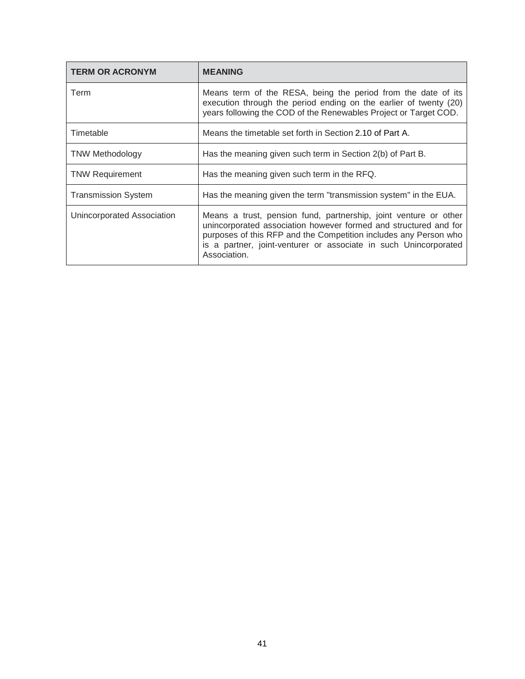| <b>TERM OR ACRONYM</b>     | <b>MEANING</b>                                                                                                                                                                                                                                                                               |
|----------------------------|----------------------------------------------------------------------------------------------------------------------------------------------------------------------------------------------------------------------------------------------------------------------------------------------|
| Term                       | Means term of the RESA, being the period from the date of its<br>execution through the period ending on the earlier of twenty (20)<br>years following the COD of the Renewables Project or Target COD.                                                                                       |
| Timetable                  | Means the timetable set forth in Section 2.10 of Part A.                                                                                                                                                                                                                                     |
| <b>TNW Methodology</b>     | Has the meaning given such term in Section 2(b) of Part B.                                                                                                                                                                                                                                   |
| <b>TNW Requirement</b>     | Has the meaning given such term in the RFQ.                                                                                                                                                                                                                                                  |
| <b>Transmission System</b> | Has the meaning given the term "transmission system" in the EUA.                                                                                                                                                                                                                             |
| Unincorporated Association | Means a trust, pension fund, partnership, joint venture or other<br>unincorporated association however formed and structured and for<br>purposes of this RFP and the Competition includes any Person who<br>is a partner, joint-venturer or associate in such Unincorporated<br>Association. |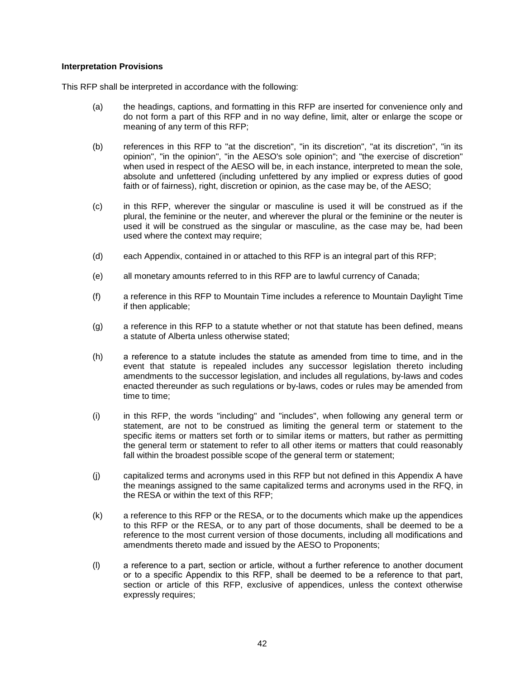#### **Interpretation Provisions**

This RFP shall be interpreted in accordance with the following:

- (a) the headings, captions, and formatting in this RFP are inserted for convenience only and do not form a part of this RFP and in no way define, limit, alter or enlarge the scope or meaning of any term of this RFP;
- (b) references in this RFP to "at the discretion", "in its discretion", "at its discretion", "in its opinion", "in the opinion", "in the AESO's sole opinion"; and "the exercise of discretion" when used in respect of the AESO will be, in each instance, interpreted to mean the sole, absolute and unfettered (including unfettered by any implied or express duties of good faith or of fairness), right, discretion or opinion, as the case may be, of the AESO;
- (c) in this RFP, wherever the singular or masculine is used it will be construed as if the plural, the feminine or the neuter, and wherever the plural or the feminine or the neuter is used it will be construed as the singular or masculine, as the case may be, had been used where the context may require;
- (d) each Appendix, contained in or attached to this RFP is an integral part of this RFP;
- (e) all monetary amounts referred to in this RFP are to lawful currency of Canada;
- (f) a reference in this RFP to Mountain Time includes a reference to Mountain Daylight Time if then applicable;
- (g) a reference in this RFP to a statute whether or not that statute has been defined, means a statute of Alberta unless otherwise stated;
- (h) a reference to а statute includes the statute as amended from time to time, and in the event that statute is repealed includes any successor legislation thereto including amendments to the successor legislation, and includes all regulations, by-laws and codes enacted thereunder as such regulations or by-laws, codes or rules may be amended from time to time;
- (i) in this RFP, the words "including" and "includes", when following any general term or statement, are not to be construed as limiting the general term or statement to the specific items or matters set forth or to similar items or matters, but rather as permitting the general term or statement to refer to all other items or matters that could reasonably fall within the broadest possible scope of the general term or statement;
- (j) capitalized terms and acronyms used in this RFP but not defined in this Appendix A have the meanings assigned to the same capitalized terms and acronyms used in the RFQ, in the RESA or within the text of this RFP;
- (k) a reference to this RFP or the RESA, or to the documents which make up the appendices to this RFP or the RESA, or to any part of those documents, shall be deemed to be a reference to the most current version of those documents, including all modifications and amendments thereto made and issued by the AESO to Proponents;
- (l) a reference to а part, section or article, without а further reference to another document or to а specific Appendix to this RFP, shall be deemed to be a reference to that part, section or article of this RFP, exclusive of appendices, unless the context otherwise expressly requires;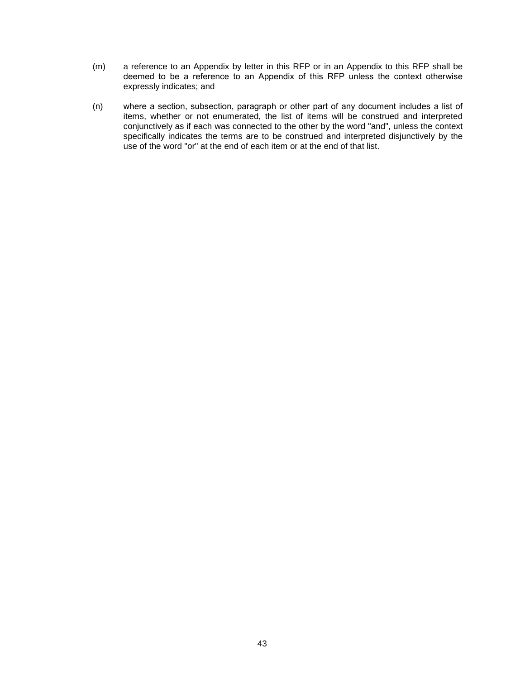- (m) a reference to an Appendix by letter in this RFP or in an Appendix to this RFP shall be deemed to be а reference to an Appendix of this RFP unless the context otherwise expressly indicates; and
- (n) where а section, subsection, paragraph or other part of any document includes а list of items, whether or not enumerated, the list of items will be construed and interpreted conjunctively as if each was connected to the other by the word "and", unless the context specifically indicates the terms are to be construed and interpreted disjunctively by the use of the word "or" at the end of each item or at the end of that list.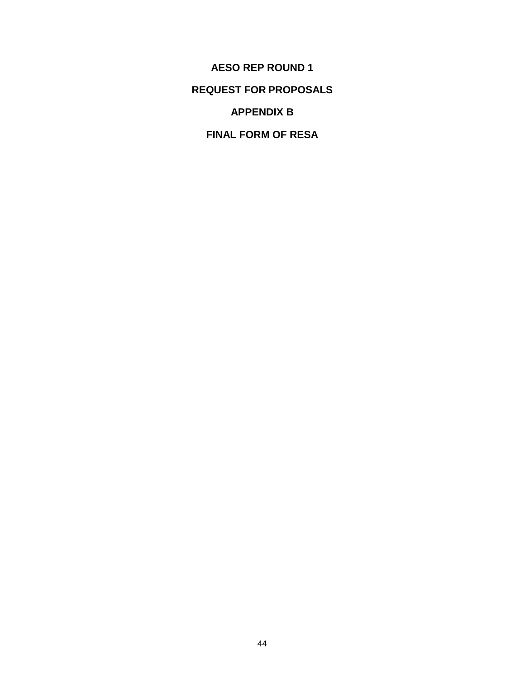**AESO REP ROUND 1 REQUEST FOR PROPOSALS APPENDIX B**

**FINAL FORM OF RESA**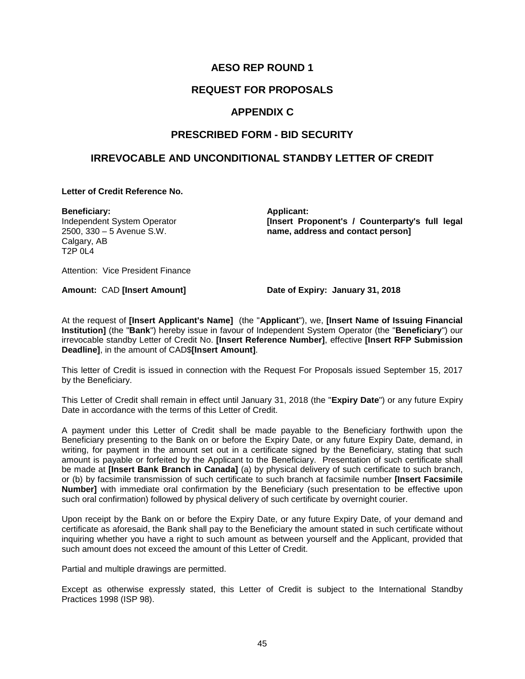## **AESO REP ROUND 1**

## **REQUEST FOR PROPOSALS**

### **APPENDIX C**

## **PRESCRIBED FORM - BID SECURITY**

## **IRREVOCABLE AND UNCONDITIONAL STANDBY LETTER OF CREDIT**

#### **Letter of Credit Reference No.**

**Beneficiary:** Independent System Operator 2500, 330 – 5 Avenue S.W. Calgary, AB T2P 0L4

**Applicant: [Insert Proponent's / Counterparty's full legal name, address and contact person]**

Attention: Vice President Finance

**Amount:** CAD **[Insert Amount] Date of Expiry: January 31, 2018**

At the request of **[Insert Applicant's Name]** (the "**Applicant**"), we, **[Insert Name of Issuing Financial Institution]** (the "**Bank**") hereby issue in favour of Independent System Operator (the "**Beneficiary**") our irrevocable standby Letter of Credit No. **[Insert Reference Number]**, effective **[Insert RFP Submission Deadline]**, in the amount of CAD\$**[Insert Amount]**.

This letter of Credit is issued in connection with the Request For Proposals issued September 15, 2017 by the Beneficiary.

This Letter of Credit shall remain in effect until January 31, 2018 (the "**Expiry Date**") or any future Expiry Date in accordance with the terms of this Letter of Credit.

A payment under this Letter of Credit shall be made payable to the Beneficiary forthwith upon the Beneficiary presenting to the Bank on or before the Expiry Date, or any future Expiry Date, demand, in writing, for payment in the amount set out in a certificate signed by the Beneficiary, stating that such amount is payable or forfeited by the Applicant to the Beneficiary. Presentation of such certificate shall be made at **[Insert Bank Branch in Canada]** (a) by physical delivery of such certificate to such branch, or (b) by facsimile transmission of such certificate to such branch at facsimile number **[Insert Facsimile Number]** with immediate oral confirmation by the Beneficiary (such presentation to be effective upon such oral confirmation) followed by physical delivery of such certificate by overnight courier.

Upon receipt by the Bank on or before the Expiry Date, or any future Expiry Date, of your demand and certificate as aforesaid, the Bank shall pay to the Beneficiary the amount stated in such certificate without inquiring whether you have a right to such amount as between yourself and the Applicant, provided that such amount does not exceed the amount of this Letter of Credit.

Partial and multiple drawings are permitted.

Except as otherwise expressly stated, this Letter of Credit is subject to the International Standby Practices 1998 (ISP 98).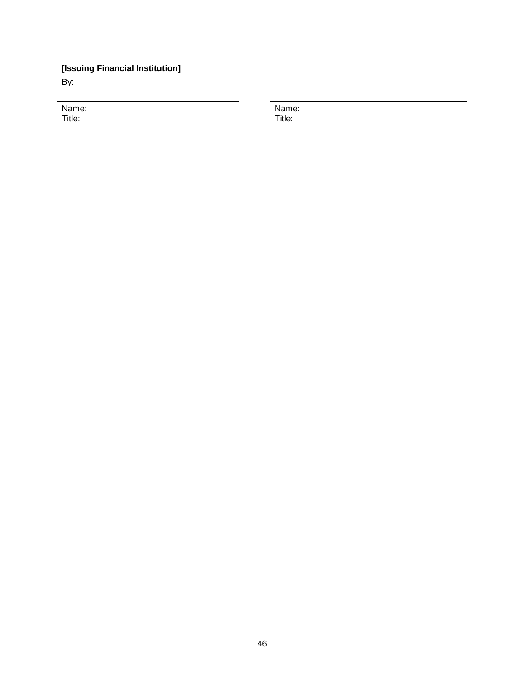## **[Issuing Financial Institution]**

By:

Name: Title:

Name: Title: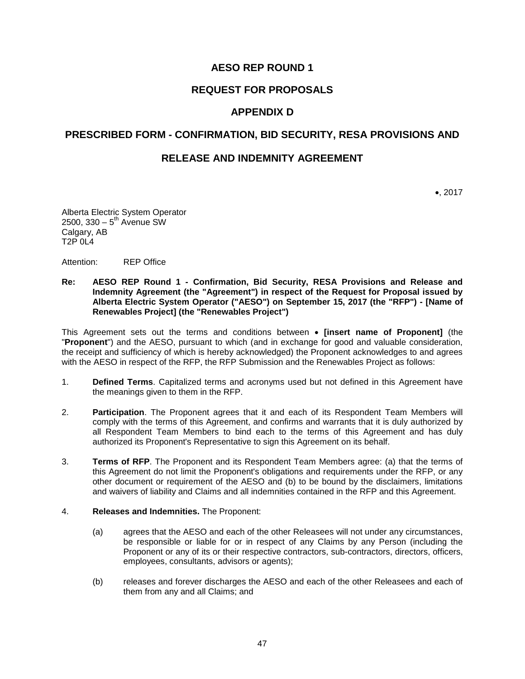## **AESO REP ROUND 1**

## **REQUEST FOR PROPOSALS**

### **APPENDIX D**

#### **PRESCRIBED FORM - CONFIRMATION, BID SECURITY, RESA PROVISIONS AND**

#### **RELEASE AND INDEMNITY AGREEMENT**

•, 2017

Alberta Electric System Operator  $2500, 330 - 5<sup>th</sup>$  Avenue SW Calgary, AB T2P 0L4

Attention: REP Office

#### **Re: AESO REP Round 1 - Confirmation, Bid Security, RESA Provisions and Release and Indemnity Agreement (the "Agreement") in respect of the Request for Proposal issued by Alberta Electric System Operator ("AESO") on September 15, 2017 (the "RFP") - [Name of Renewables Project] (the "Renewables Project")**

This Agreement sets out the terms and conditions between • **[insert name of Proponent]** (the "**Proponent**") and the AESO, pursuant to which (and in exchange for good and valuable consideration, the receipt and sufficiency of which is hereby acknowledged) the Proponent acknowledges to and agrees with the AESO in respect of the RFP, the RFP Submission and the Renewables Project as follows:

- 1. **Defined Terms**. Capitalized terms and acronyms used but not defined in this Agreement have the meanings given to them in the RFP.
- 2. **Participation**. The Proponent agrees that it and each of its Respondent Team Members will comply with the terms of this Agreement, and confirms and warrants that it is duly authorized by all Respondent Team Members to bind each to the terms of this Agreement and has duly authorized its Proponent's Representative to sign this Agreement on its behalf.
- 3. **Terms of RFP**. The Proponent and its Respondent Team Members agree: (a) that the terms of this Agreement do not limit the Proponent's obligations and requirements under the RFP, or any other document or requirement of the AESO and (b) to be bound by the disclaimers, limitations and waivers of liability and Claims and all indemnities contained in the RFP and this Agreement.
- 4. **Releases and Indemnities.** The Proponent:
	- (a) agrees that the AESO and each of the other Releasees will not under any circumstances, be responsible or liable for or in respect of any Claims by any Person (including the Proponent or any of its or their respective contractors, sub-contractors, directors, officers, employees, consultants, advisors or agents);
	- (b) releases and forever discharges the AESO and each of the other Releasees and each of them from any and all Claims; and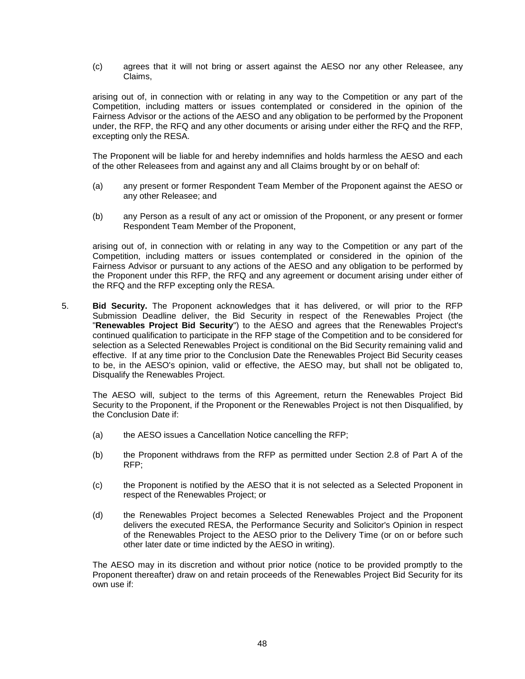(c) agrees that it will not bring or assert against the AESO nor any other Releasee, any Claims,

arising out of, in connection with or relating in any way to the Competition or any part of the Competition, including matters or issues contemplated or considered in the opinion of the Fairness Advisor or the actions of the AESO and any obligation to be performed by the Proponent under, the RFP, the RFQ and any other documents or arising under either the RFQ and the RFP, excepting only the RESA.

The Proponent will be liable for and hereby indemnifies and holds harmless the AESO and each of the other Releasees from and against any and all Claims brought by or on behalf of:

- (a) any present or former Respondent Team Member of the Proponent against the AESO or any other Releasee; and
- (b) any Person as a result of any act or omission of the Proponent, or any present or former Respondent Team Member of the Proponent,

arising out of, in connection with or relating in any way to the Competition or any part of the Competition, including matters or issues contemplated or considered in the opinion of the Fairness Advisor or pursuant to any actions of the AESO and any obligation to be performed by the Proponent under this RFP, the RFQ and any agreement or document arising under either of the RFQ and the RFP excepting only the RESA.

5. **Bid Security.** The Proponent acknowledges that it has delivered, or will prior to the RFP Submission Deadline deliver, the Bid Security in respect of the Renewables Project (the "**Renewables Project Bid Security**") to the AESO and agrees that the Renewables Project's continued qualification to participate in the RFP stage of the Competition and to be considered for selection as a Selected Renewables Project is conditional on the Bid Security remaining valid and effective. If at any time prior to the Conclusion Date the Renewables Project Bid Security ceases to be, in the AESO's opinion, valid or effective, the AESO may, but shall not be obligated to, Disqualify the Renewables Project.

The AESO will, subject to the terms of this Agreement, return the Renewables Project Bid Security to the Proponent, if the Proponent or the Renewables Project is not then Disqualified, by the Conclusion Date if:

- (a) the AESO issues a Cancellation Notice cancelling the RFP;
- (b) the Proponent withdraws from the RFP as permitted under Section 2.8 of Part A of the RFP;
- (c) the Proponent is notified by the AESO that it is not selected as a Selected Proponent in respect of the Renewables Project; or
- (d) the Renewables Project becomes a Selected Renewables Project and the Proponent delivers the executed RESA, the Performance Security and Solicitor's Opinion in respect of the Renewables Project to the AESO prior to the Delivery Time (or on or before such other later date or time indicted by the AESO in writing).

The AESO may in its discretion and without prior notice (notice to be provided promptly to the Proponent thereafter) draw on and retain proceeds of the Renewables Project Bid Security for its own use if: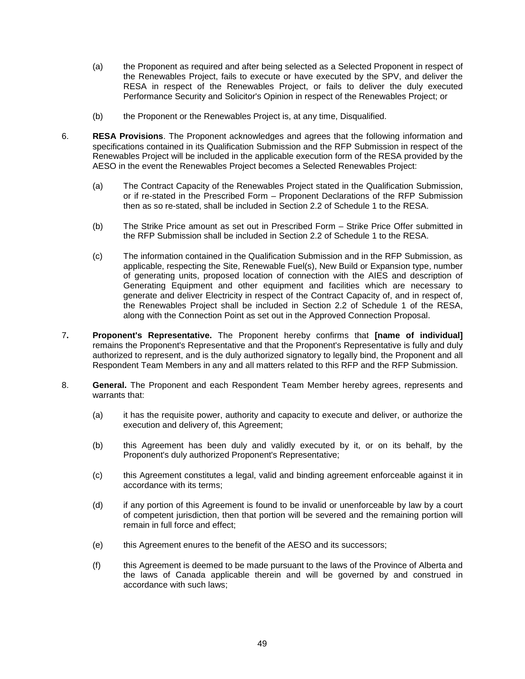- (a) the Proponent as required and after being selected as a Selected Proponent in respect of the Renewables Project, fails to execute or have executed by the SPV, and deliver the RESA in respect of the Renewables Project, or fails to deliver the duly executed Performance Security and Solicitor's Opinion in respect of the Renewables Project; or
- (b) the Proponent or the Renewables Project is, at any time, Disqualified.
- 6. **RESA Provisions**. The Proponent acknowledges and agrees that the following information and specifications contained in its Qualification Submission and the RFP Submission in respect of the Renewables Project will be included in the applicable execution form of the RESA provided by the AESO in the event the Renewables Project becomes a Selected Renewables Project:
	- (a) The Contract Capacity of the Renewables Project stated in the Qualification Submission, or if re-stated in the Prescribed Form – Proponent Declarations of the RFP Submission then as so re-stated, shall be included in Section 2.2 of Schedule 1 to the RESA.
	- (b) The Strike Price amount as set out in Prescribed Form Strike Price Offer submitted in the RFP Submission shall be included in Section 2.2 of Schedule 1 to the RESA.
	- (c) The information contained in the Qualification Submission and in the RFP Submission, as applicable, respecting the Site, Renewable Fuel(s), New Build or Expansion type, number of generating units, proposed location of connection with the AIES and description of Generating Equipment and other equipment and facilities which are necessary to generate and deliver Electricity in respect of the Contract Capacity of, and in respect of, the Renewables Project shall be included in Section 2.2 of Schedule 1 of the RESA, along with the Connection Point as set out in the Approved Connection Proposal.
- 7**. Proponent's Representative.** The Proponent hereby confirms that **[name of individual]** remains the Proponent's Representative and that the Proponent's Representative is fully and duly authorized to represent, and is the duly authorized signatory to legally bind, the Proponent and all Respondent Team Members in any and all matters related to this RFP and the RFP Submission.
- 8. **General.** The Proponent and each Respondent Team Member hereby agrees, represents and warrants that:
	- (a) it has the requisite power, authority and capacity to execute and deliver, or authorize the execution and delivery of, this Agreement;
	- (b) this Agreement has been duly and validly executed by it, or on its behalf, by the Proponent's duly authorized Proponent's Representative;
	- (c) this Agreement constitutes a legal, valid and binding agreement enforceable against it in accordance with its terms;
	- (d) if any portion of this Agreement is found to be invalid or unenforceable by law by a court of competent jurisdiction, then that portion will be severed and the remaining portion will remain in full force and effect;
	- (e) this Agreement enures to the benefit of the AESO and its successors;
	- (f) this Agreement is deemed to be made pursuant to the laws of the Province of Alberta and the laws of Canada applicable therein and will be governed by and construed in accordance with such laws;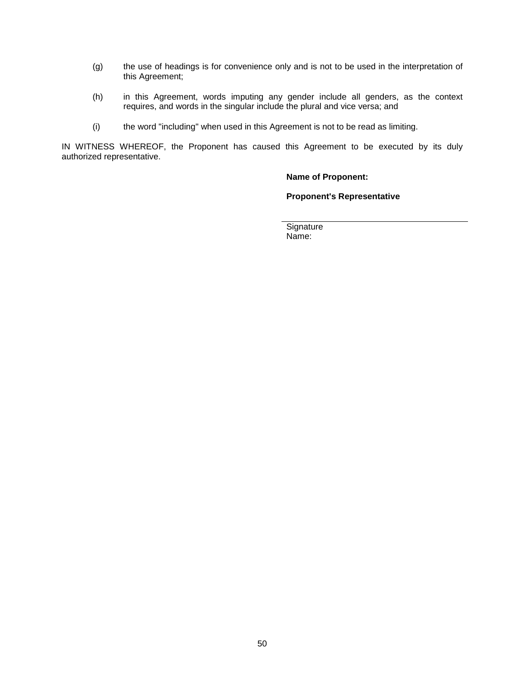- (g) the use of headings is for convenience only and is not to be used in the interpretation of this Agreement;
- (h) in this Agreement, words imputing any gender include all genders, as the context requires, and words in the singular include the plural and vice versa; and
- (i) the word "including" when used in this Agreement is not to be read as limiting.

IN WITNESS WHEREOF, the Proponent has caused this Agreement to be executed by its duly authorized representative.

#### **Name of Proponent:**

**Proponent's Representative**

**Signature** Name: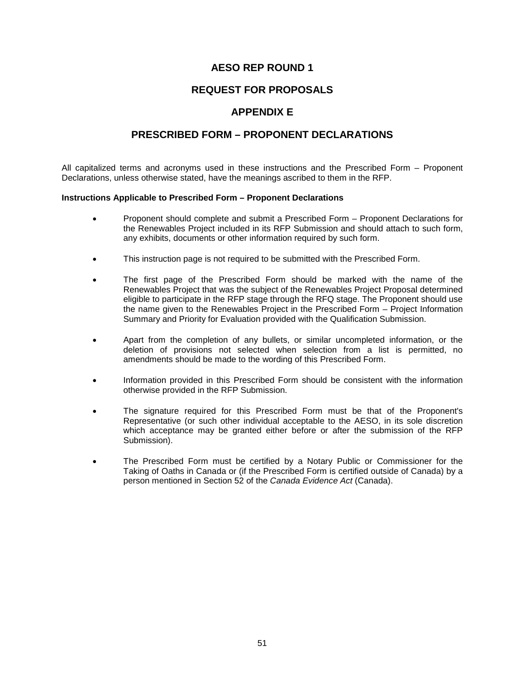## **AESO REP ROUND 1**

## **REQUEST FOR PROPOSALS**

## **APPENDIX E**

## **PRESCRIBED FORM – PROPONENT DECLARATIONS**

All capitalized terms and acronyms used in these instructions and the Prescribed Form – Proponent Declarations, unless otherwise stated, have the meanings ascribed to them in the RFP.

#### **Instructions Applicable to Prescribed Form – Proponent Declarations**

- Proponent should complete and submit a Prescribed Form Proponent Declarations for the Renewables Project included in its RFP Submission and should attach to such form, any exhibits, documents or other information required by such form.
- This instruction page is not required to be submitted with the Prescribed Form.
- The first page of the Prescribed Form should be marked with the name of the Renewables Project that was the subject of the Renewables Project Proposal determined eligible to participate in the RFP stage through the RFQ stage. The Proponent should use the name given to the Renewables Project in the Prescribed Form – Project Information Summary and Priority for Evaluation provided with the Qualification Submission.
- Apart from the completion of any bullets, or similar uncompleted information, or the deletion of provisions not selected when selection from a list is permitted, no amendments should be made to the wording of this Prescribed Form.
- Information provided in this Prescribed Form should be consistent with the information otherwise provided in the RFP Submission.
- The signature required for this Prescribed Form must be that of the Proponent's Representative (or such other individual acceptable to the AESO, in its sole discretion which acceptance may be granted either before or after the submission of the RFP Submission).
- The Prescribed Form must be certified by a Notary Public or Commissioner for the Taking of Oaths in Canada or (if the Prescribed Form is certified outside of Canada) by a person mentioned in Section 52 of the *Canada Evidence Act* (Canada).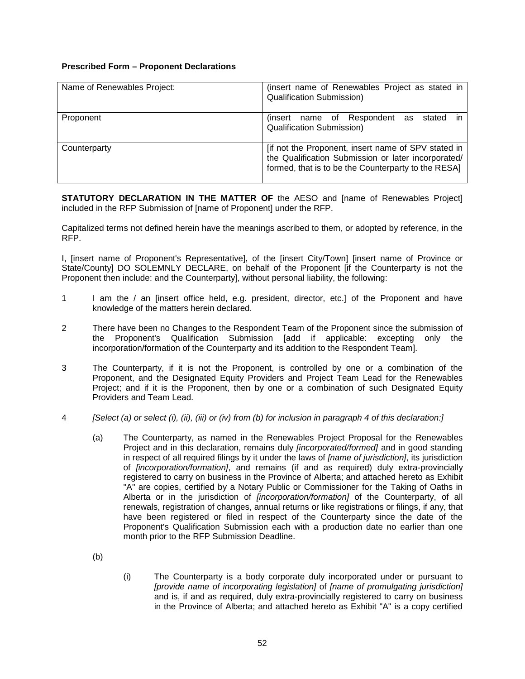#### **Prescribed Form – Proponent Declarations**

| Name of Renewables Project: | (insert name of Renewables Project as stated in<br>Qualification Submission)                                                                                      |
|-----------------------------|-------------------------------------------------------------------------------------------------------------------------------------------------------------------|
| Proponent                   | (insert name of Respondent<br>stated<br>as<br><b>Qualification Submission)</b>                                                                                    |
| Counterparty                | [if not the Proponent, insert name of SPV stated in<br>the Qualification Submission or later incorporated/<br>formed, that is to be the Counterparty to the RESA] |

**STATUTORY DECLARATION IN THE MATTER OF** the AESO and [name of Renewables Project] included in the RFP Submission of [name of Proponent] under the RFP.

Capitalized terms not defined herein have the meanings ascribed to them, or adopted by reference, in the RFP.

I, [insert name of Proponent's Representative], of the [insert City/Town] [insert name of Province or State/County] DO SOLEMNLY DECLARE, on behalf of the Proponent [if the Counterparty is not the Proponent then include: and the Counterparty], without personal liability, the following:

- 1 I am the / an [insert office held, e.g. president, director, etc.] of the Proponent and have knowledge of the matters herein declared.
- 2 There have been no Changes to the Respondent Team of the Proponent since the submission of the Proponent's Qualification Submission [add if applicable: excepting only the incorporation/formation of the Counterparty and its addition to the Respondent Team].
- 3 The Counterparty, if it is not the Proponent, is controlled by one or a combination of the Proponent, and the Designated Equity Providers and Project Team Lead for the Renewables Project; and if it is the Proponent, then by one or a combination of such Designated Equity Providers and Team Lead.
- 4 *[Select (a) or select (i), (ii), (iii) or (iv) from (b) for inclusion in paragraph 4 of this declaration:]*
	- (a) The Counterparty, as named in the Renewables Project Proposal for the Renewables Project and in this declaration, remains duly *[incorporated/formed]* and in good standing in respect of all required filings by it under the laws of *[name of jurisdiction]*, its jurisdiction of *[incorporation/formation]*, and remains (if and as required) duly extra-provincially registered to carry on business in the Province of Alberta; and attached hereto as Exhibit "A" are copies, certified by a Notary Public or Commissioner for the Taking of Oaths in Alberta or in the jurisdiction of *[incorporation/formation]* of the Counterparty, of all renewals, registration of changes, annual returns or like registrations or filings, if any, that have been registered or filed in respect of the Counterparty since the date of the Proponent's Qualification Submission each with a production date no earlier than one month prior to the RFP Submission Deadline.

(b)

(i) The Counterparty is a body corporate duly incorporated under or pursuant to *[provide name of incorporating legislation]* of *[name of promulgating jurisdiction]* and is, if and as required, duly extra-provincially registered to carry on business in the Province of Alberta; and attached hereto as Exhibit "A" is a copy certified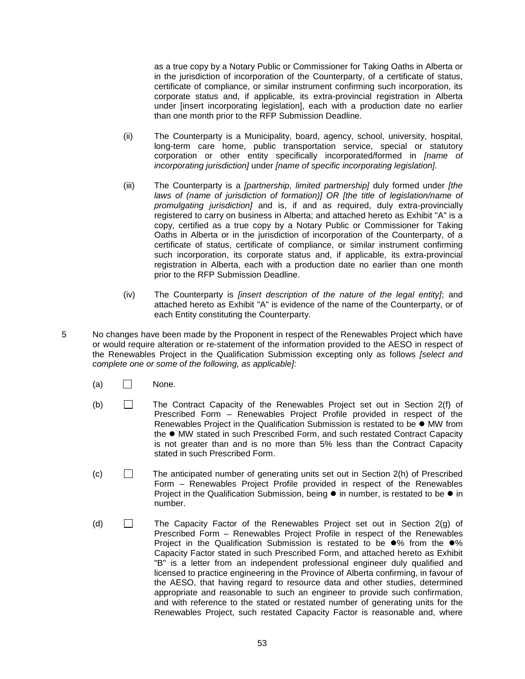as a true copy by a Notary Public or Commissioner for Taking Oaths in Alberta or in the jurisdiction of incorporation of the Counterparty, of a certificate of status, certificate of compliance, or similar instrument confirming such incorporation, its corporate status and, if applicable, its extra-provincial registration in Alberta under [insert incorporating legislation], each with a production date no earlier than one month prior to the RFP Submission Deadline.

- (ii) The Counterparty is a Municipality, board, agency, school, university, hospital, long-term care home, public transportation service, special or statutory corporation or other entity specifically incorporated/formed in *[name of incorporating jurisdiction]* under *[name of specific incorporating legislation]*.
- (iii) The Counterparty is a *[partnership, limited partnership]* duly formed under *[the laws of (name of jurisdiction of formation)] OR [the title of legislation/name of promulgating jurisdiction]* and is, if and as required, duly extra-provincially registered to carry on business in Alberta; and attached hereto as Exhibit "A" is a copy, certified as a true copy by a Notary Public or Commissioner for Taking Oaths in Alberta or in the jurisdiction of incorporation of the Counterparty, of a certificate of status, certificate of compliance, or similar instrument confirming such incorporation, its corporate status and, if applicable, its extra-provincial registration in Alberta, each with a production date no earlier than one month prior to the RFP Submission Deadline.
- (iv) The Counterparty is *[insert description of the nature of the legal entity]*; and attached hereto as Exhibit "A" is evidence of the name of the Counterparty, or of each Entity constituting the Counterparty.
- 5 No changes have been made by the Proponent in respect of the Renewables Project which have or would require alteration or re-statement of the information provided to the AESO in respect of the Renewables Project in the Qualification Submission excepting only as follows *[select and complete one or some of the following, as applicable]*:
	- $(a)$   $\Box$  None.
	- (b) The Contract Capacity of the Renewables Project set out in Section 2(f) of Prescribed Form – Renewables Project Profile provided in respect of the Renewables Project in the Qualification Submission is restated to be ● MW from the  $\bullet$  MW stated in such Prescribed Form, and such restated Contract Capacity is not greater than and is no more than 5% less than the Contract Capacity stated in such Prescribed Form.
	- $(c)$  The anticipated number of generating units set out in Section 2(h) of Prescribed Form – Renewables Project Profile provided in respect of the Renewables Project in the Qualification Submission, being  $\bullet$  in number, is restated to be  $\bullet$  in number.
	- (d)  $\Box$  The Capacity Factor of the Renewables Project set out in Section 2(g) of Prescribed Form – Renewables Project Profile in respect of the Renewables Project in the Qualification Submission is restated to be  $\bullet\%$  from the  $\bullet\%$ Capacity Factor stated in such Prescribed Form, and attached hereto as Exhibit "B" is a letter from an independent professional engineer duly qualified and licensed to practice engineering in the Province of Alberta confirming, in favour of the AESO, that having regard to resource data and other studies, determined appropriate and reasonable to such an engineer to provide such confirmation, and with reference to the stated or restated number of generating units for the Renewables Project, such restated Capacity Factor is reasonable and, where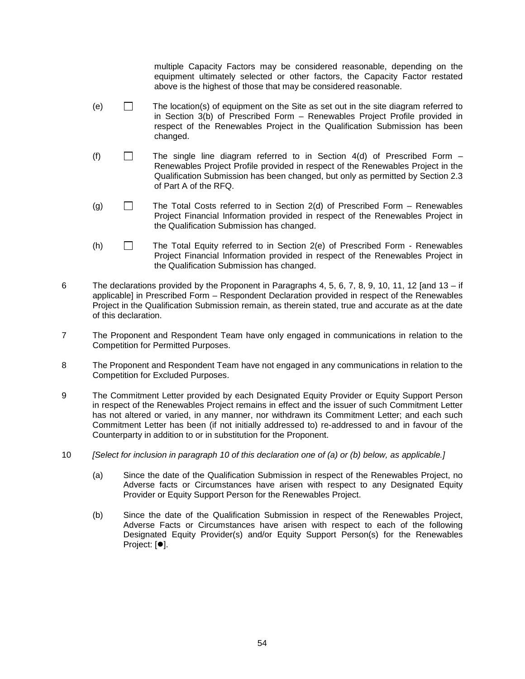multiple Capacity Factors may be considered reasonable, depending on the equipment ultimately selected or other factors, the Capacity Factor restated above is the highest of those that may be considered reasonable.

- (e)  $\Box$  The location(s) of equipment on the Site as set out in the site diagram referred to in Section 3(b) of Prescribed Form – Renewables Project Profile provided in respect of the Renewables Project in the Qualification Submission has been changed.
- (f)  $\Box$  The single line diagram referred to in Section 4(d) of Prescribed Form Renewables Project Profile provided in respect of the Renewables Project in the Qualification Submission has been changed, but only as permitted by Section 2.3 of Part A of the RFQ.
- (g)  $\Box$  The Total Costs referred to in Section 2(d) of Prescribed Form Renewables Project Financial Information provided in respect of the Renewables Project in the Qualification Submission has changed.
- (h) The Total Equity referred to in Section 2(e) of Prescribed Form Renewables Project Financial Information provided in respect of the Renewables Project in the Qualification Submission has changed.
- 6 The declarations provided by the Proponent in Paragraphs 4, 5, 6, 7, 8, 9, 10, 11, 12 [and 13 if applicable] in Prescribed Form – Respondent Declaration provided in respect of the Renewables Project in the Qualification Submission remain, as therein stated, true and accurate as at the date of this declaration.
- 7 The Proponent and Respondent Team have only engaged in communications in relation to the Competition for Permitted Purposes.
- 8 The Proponent and Respondent Team have not engaged in any communications in relation to the Competition for Excluded Purposes.
- 9 The Commitment Letter provided by each Designated Equity Provider or Equity Support Person in respect of the Renewables Project remains in effect and the issuer of such Commitment Letter has not altered or varied, in any manner, nor withdrawn its Commitment Letter; and each such Commitment Letter has been (if not initially addressed to) re-addressed to and in favour of the Counterparty in addition to or in substitution for the Proponent.
- 10 *[Select for inclusion in paragraph 10 of this declaration one of (a) or (b) below, as applicable.]*
	- (a) Since the date of the Qualification Submission in respect of the Renewables Project, no Adverse facts or Circumstances have arisen with respect to any Designated Equity Provider or Equity Support Person for the Renewables Project.
	- (b) Since the date of the Qualification Submission in respect of the Renewables Project, Adverse Facts or Circumstances have arisen with respect to each of the following Designated Equity Provider(s) and/or Equity Support Person(s) for the Renewables Project: [ $\bullet$ ].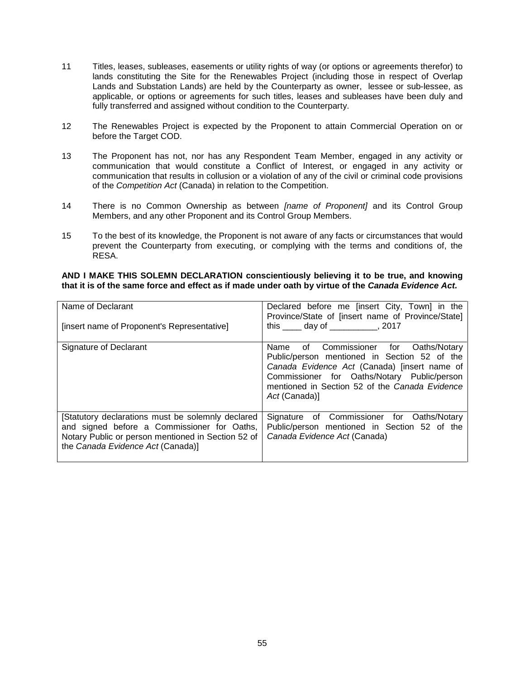- 11 Titles, leases, subleases, easements or utility rights of way (or options or agreements therefor) to lands constituting the Site for the Renewables Project (including those in respect of Overlap Lands and Substation Lands) are held by the Counterparty as owner, lessee or sub-lessee, as applicable, or options or agreements for such titles, leases and subleases have been duly and fully transferred and assigned without condition to the Counterparty.
- 12 The Renewables Project is expected by the Proponent to attain Commercial Operation on or before the Target COD.
- 13 The Proponent has not, nor has any Respondent Team Member, engaged in any activity or communication that would constitute a Conflict of Interest, or engaged in any activity or communication that results in collusion or a violation of any of the civil or criminal code provisions of the *Competition Act* (Canada) in relation to the Competition.
- 14 There is no Common Ownership as between *[name of Proponent]* and its Control Group Members, and any other Proponent and its Control Group Members.
- 15 To the best of its knowledge, the Proponent is not aware of any facts or circumstances that would prevent the Counterparty from executing, or complying with the terms and conditions of, the RESA.

#### **AND I MAKE THIS SOLEMN DECLARATION conscientiously believing it to be true, and knowing that it is of the same force and effect as if made under oath by virtue of the** *Canada Evidence Act.*

| Name of Declarant<br>[insert name of Proponent's Representative]                                                                                                                            | Declared before me [insert City, Town] in the<br>Province/State of [insert name of Province/State]<br>this day of this day of                                                                                                                              |
|---------------------------------------------------------------------------------------------------------------------------------------------------------------------------------------------|------------------------------------------------------------------------------------------------------------------------------------------------------------------------------------------------------------------------------------------------------------|
| Signature of Declarant                                                                                                                                                                      | of Commissioner for Oaths/Notary<br>Name<br>Public/person mentioned in Section 52 of the<br>Canada Evidence Act (Canada) [insert name of<br>Commissioner for Oaths/Notary Public/person<br>mentioned in Section 52 of the Canada Evidence<br>Act (Canada)] |
| [Statutory declarations must be solemnly declared<br>and signed before a Commissioner for Oaths,<br>Notary Public or person mentioned in Section 52 of<br>the Canada Evidence Act (Canada)] | Signature of Commissioner for Oaths/Notary<br>Public/person mentioned in Section 52 of the<br>Canada Evidence Act (Canada)                                                                                                                                 |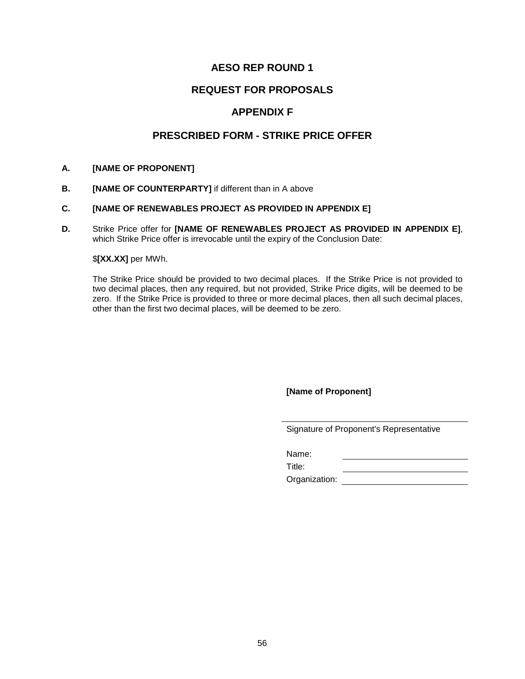## **AESO REP ROUND 1**

## **REQUEST FOR PROPOSALS**

## **APPENDIX F**

## **PRESCRIBED FORM - STRIKE PRICE OFFER**

#### **A. [NAME OF PROPONENT]**

**B. [NAME OF COUNTERPARTY]** if different than in A above

#### **C. [NAME OF RENEWABLES PROJECT AS PROVIDED IN APPENDIX E]**

**D.** Strike Price offer for **[NAME OF RENEWABLES PROJECT AS PROVIDED IN APPENDIX E]**, which Strike Price offer is irrevocable until the expiry of the Conclusion Date:

#### \$**[XX.XX]** per MWh.

The Strike Price should be provided to two decimal places. If the Strike Price is not provided to two decimal places, then any required, but not provided, Strike Price digits, will be deemed to be zero. If the Strike Price is provided to three or more decimal places, then all such decimal places, other than the first two decimal places, will be deemed to be zero.

**[Name of Proponent]**

Signature of Proponent's Representative

Name:

Title: Organization: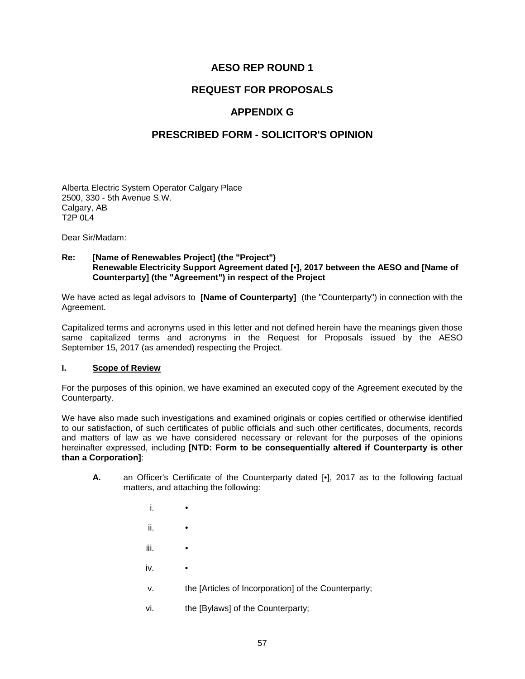## **AESO REP ROUND 1**

## **REQUEST FOR PROPOSALS**

## **APPENDIX G**

## **PRESCRIBED FORM - SOLICITOR'S OPINION**

Alberta Electric System Operator Calgary Place 2500, 330 - 5th Avenue S.W. Calgary, AB T2P 0L4

Dear Sir/Madam:

#### **Re: [Name of Renewables Project] (the "Project") Renewable Electricity Support Agreement dated [•], 2017 between the AESO and [Name of Counterparty] (the "Agreement") in respect of the Project**

We have acted as legal advisors to **[Name of Counterparty]** (the "Counterparty") in connection with the Agreement.

Capitalized terms and acronyms used in this letter and not defined herein have the meanings given those same capitalized terms and acronyms in the Request for Proposals issued by the AESO September 15, 2017 (as amended) respecting the Project.

#### **I. Scope of Review**

For the purposes of this opinion, we have examined an executed copy of the Agreement executed by the Counterparty.

We have also made such investigations and examined originals or copies certified or otherwise identified to our satisfaction, of such certificates of public officials and such other certificates, documents, records and matters of law as we have considered necessary or relevant for the purposes of the opinions hereinafter expressed, including **[NTD: Form to be consequentially altered if Counterparty is other than a Corporation]**:

- **A.** an Officer's Certificate of the Counterparty dated [•], 2017 as to the following factual matters, and attaching the following:
	- i. ii. • iii. • iv. • v. the [Articles of Incorporation] of the Counterparty; vi. the [Bylaws] of the Counterparty;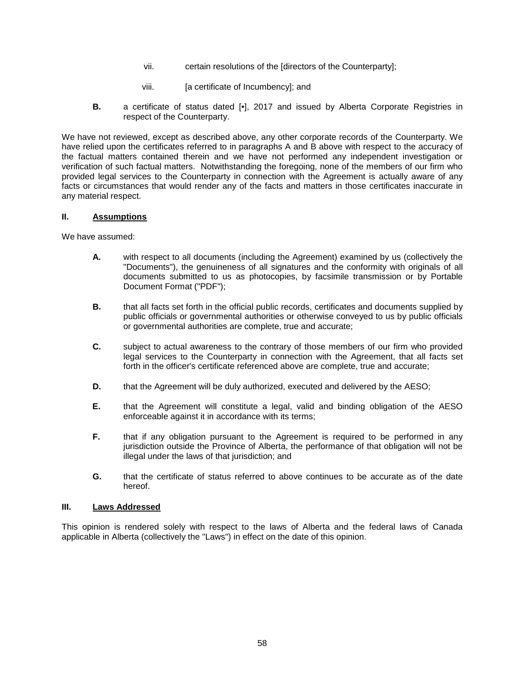- vii. certain resolutions of the [directors of the Counterparty];
- viii. **[a certificate of Incumbency]**; and
- **B.** a certificate of status dated [•], 2017 and issued by Alberta Corporate Registries in respect of the Counterparty.

We have not reviewed, except as described above, any other corporate records of the Counterparty. We have relied upon the certificates referred to in paragraphs A and B above with respect to the accuracy of the factual matters contained therein and we have not performed any independent investigation or verification of such factual matters. Notwithstanding the foregoing, none of the members of our firm who provided legal services to the Counterparty in connection with the Agreement is actually aware of any facts or circumstances that would render any of the facts and matters in those certificates inaccurate in any material respect.

#### **II. Assumptions**

We have assumed:

- **A.** with respect to all documents (including the Agreement) examined by us (collectively the "Documents"), the genuineness of all signatures and the conformity with originals of all documents submitted to us as photocopies, by facsimile transmission or by Portable Document Format ("PDF");
- **B.** that all facts set forth in the official public records, certificates and documents supplied by public officials or governmental authorities or otherwise conveyed to us by public officials or governmental authorities are complete, true and accurate;
- **C.** subject to actual awareness to the contrary of those members of our firm who provided legal services to the Counterparty in connection with the Agreement, that all facts set forth in the officer's certificate referenced above are complete, true and accurate;
- **D.** that the Agreement will be duly authorized, executed and delivered by the AESO;
- **E.** that the Agreement will constitute a legal, valid and binding obligation of the AESO enforceable against it in accordance with its terms;
- **F.** that if any obligation pursuant to the Agreement is required to be performed in any jurisdiction outside the Province of Alberta, the performance of that obligation will not be illegal under the laws of that jurisdiction; and
- **G.** that the certificate of status referred to above continues to be accurate as of the date hereof.

#### **III. Laws Addressed**

This opinion is rendered solely with respect to the laws of Alberta and the federal laws of Canada applicable in Alberta (collectively the "Laws") in effect on the date of this opinion.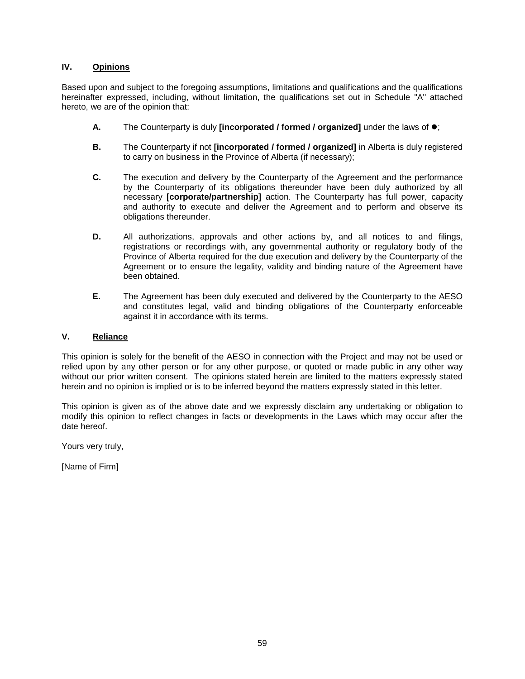#### **IV. Opinions**

Based upon and subject to the foregoing assumptions, limitations and qualifications and the qualifications hereinafter expressed, including, without limitation, the qualifications set out in Schedule "A" attached hereto, we are of the opinion that:

- **A.** The Counterparty is duly **[incorporated / formed / organized]** under the laws of  $\bullet$ ;
- **B.** The Counterparty if not **[incorporated / formed / organized]** in Alberta is duly registered to carry on business in the Province of Alberta (if necessary);
- **C.** The execution and delivery by the Counterparty of the Agreement and the performance by the Counterparty of its obligations thereunder have been duly authorized by all necessary **[corporate/partnership]** action. The Counterparty has full power, capacity and authority to execute and deliver the Agreement and to perform and observe its obligations thereunder.
- **D.** All authorizations, approvals and other actions by, and all notices to and filings, registrations or recordings with, any governmental authority or regulatory body of the Province of Alberta required for the due execution and delivery by the Counterparty of the Agreement or to ensure the legality, validity and binding nature of the Agreement have been obtained.
- **E.** The Agreement has been duly executed and delivered by the Counterparty to the AESO and constitutes legal, valid and binding obligations of the Counterparty enforceable against it in accordance with its terms.

#### **V. Reliance**

This opinion is solely for the benefit of the AESO in connection with the Project and may not be used or relied upon by any other person or for any other purpose, or quoted or made public in any other way without our prior written consent. The opinions stated herein are limited to the matters expressly stated herein and no opinion is implied or is to be inferred beyond the matters expressly stated in this letter.

This opinion is given as of the above date and we expressly disclaim any undertaking or obligation to modify this opinion to reflect changes in facts or developments in the Laws which may occur after the date hereof.

Yours very truly,

[Name of Firm]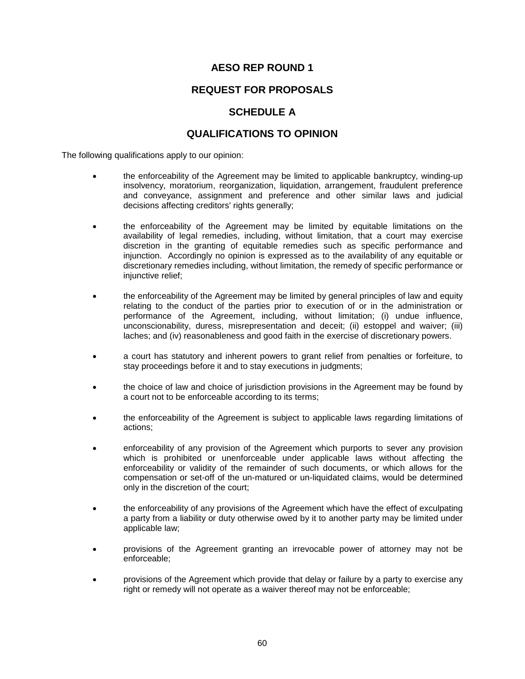## **AESO REP ROUND 1**

## **REQUEST FOR PROPOSALS**

## **SCHEDULE A**

## **QUALIFICATIONS TO OPINION**

The following qualifications apply to our opinion:

- the enforceability of the Agreement may be limited to applicable bankruptcy, winding-up insolvency, moratorium, reorganization, liquidation, arrangement, fraudulent preference and conveyance, assignment and preference and other similar laws and judicial decisions affecting creditors' rights generally;
- the enforceability of the Agreement may be limited by equitable limitations on the availability of legal remedies, including, without limitation, that a court may exercise discretion in the granting of equitable remedies such as specific performance and injunction. Accordingly no opinion is expressed as to the availability of any equitable or discretionary remedies including, without limitation, the remedy of specific performance or injunctive relief;
- the enforceability of the Agreement may be limited by general principles of law and equity relating to the conduct of the parties prior to execution of or in the administration or performance of the Agreement, including, without limitation; (i) undue influence, unconscionability, duress, misrepresentation and deceit; (ii) estoppel and waiver; (iii) laches; and (iv) reasonableness and good faith in the exercise of discretionary powers.
- a court has statutory and inherent powers to grant relief from penalties or forfeiture, to stay proceedings before it and to stay executions in judgments;
- the choice of law and choice of jurisdiction provisions in the Agreement may be found by a court not to be enforceable according to its terms;
- the enforceability of the Agreement is subject to applicable laws regarding limitations of actions;
- enforceability of any provision of the Agreement which purports to sever any provision which is prohibited or unenforceable under applicable laws without affecting the enforceability or validity of the remainder of such documents, or which allows for the compensation or set-off of the un-matured or un-liquidated claims, would be determined only in the discretion of the court;
- the enforceability of any provisions of the Agreement which have the effect of exculpating a party from a liability or duty otherwise owed by it to another party may be limited under applicable law;
- provisions of the Agreement granting an irrevocable power of attorney may not be enforceable;
- provisions of the Agreement which provide that delay or failure by a party to exercise any right or remedy will not operate as a waiver thereof may not be enforceable;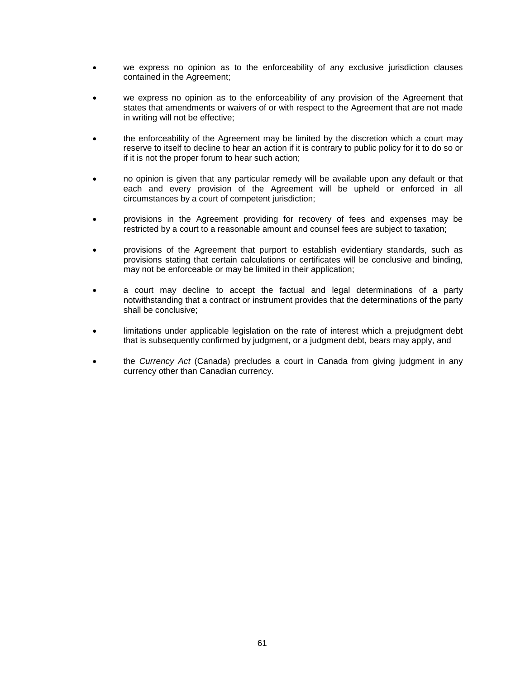- we express no opinion as to the enforceability of any exclusive jurisdiction clauses contained in the Agreement;
- we express no opinion as to the enforceability of any provision of the Agreement that states that amendments or waivers of or with respect to the Agreement that are not made in writing will not be effective;
- the enforceability of the Agreement may be limited by the discretion which a court may reserve to itself to decline to hear an action if it is contrary to public policy for it to do so or if it is not the proper forum to hear such action;
- no opinion is given that any particular remedy will be available upon any default or that each and every provision of the Agreement will be upheld or enforced in all circumstances by a court of competent jurisdiction;
- provisions in the Agreement providing for recovery of fees and expenses may be restricted by a court to a reasonable amount and counsel fees are subject to taxation;
- provisions of the Agreement that purport to establish evidentiary standards, such as provisions stating that certain calculations or certificates will be conclusive and binding, may not be enforceable or may be limited in their application;
- a court may decline to accept the factual and legal determinations of a party notwithstanding that a contract or instrument provides that the determinations of the party shall be conclusive;
- limitations under applicable legislation on the rate of interest which a prejudgment debt that is subsequently confirmed by judgment, or a judgment debt, bears may apply, and
- the *Currency Act* (Canada) precludes a court in Canada from giving judgment in any currency other than Canadian currency.